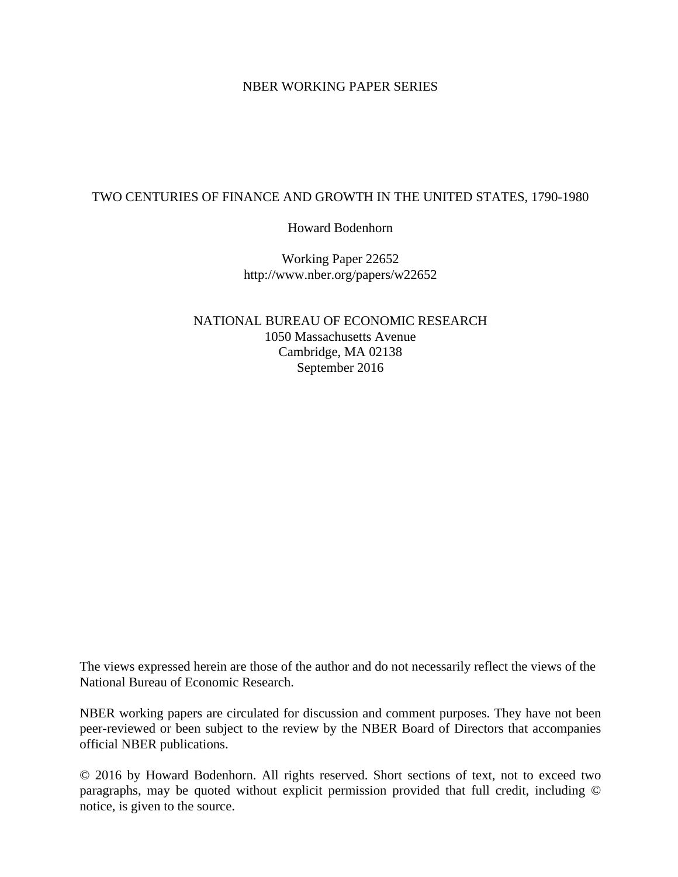# NBER WORKING PAPER SERIES

# TWO CENTURIES OF FINANCE AND GROWTH IN THE UNITED STATES, 1790-1980

Howard Bodenhorn

Working Paper 22652 http://www.nber.org/papers/w22652

NATIONAL BUREAU OF ECONOMIC RESEARCH 1050 Massachusetts Avenue Cambridge, MA 02138 September 2016

The views expressed herein are those of the author and do not necessarily reflect the views of the National Bureau of Economic Research.

NBER working papers are circulated for discussion and comment purposes. They have not been peer-reviewed or been subject to the review by the NBER Board of Directors that accompanies official NBER publications.

© 2016 by Howard Bodenhorn. All rights reserved. Short sections of text, not to exceed two paragraphs, may be quoted without explicit permission provided that full credit, including © notice, is given to the source.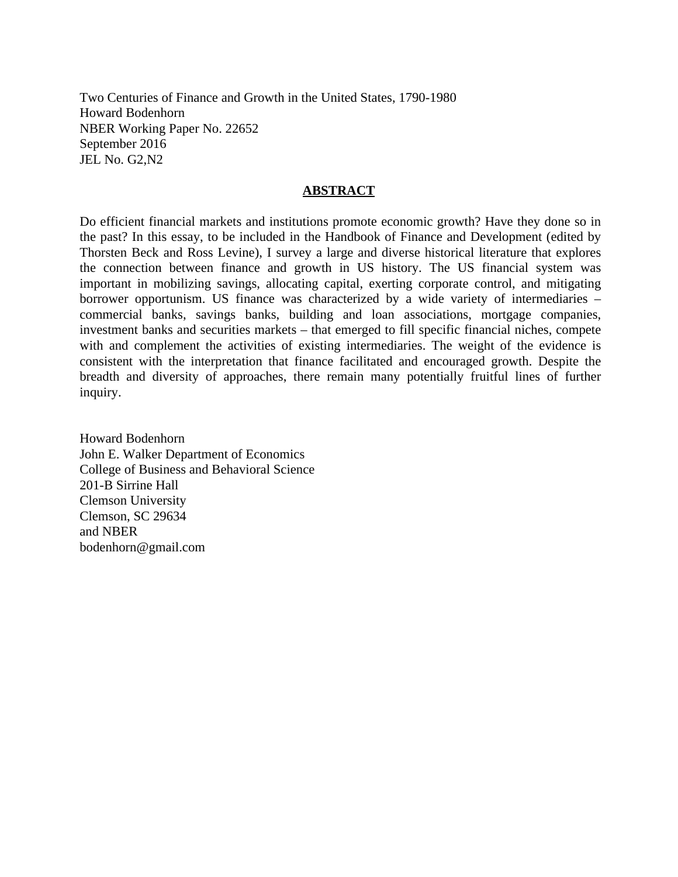Two Centuries of Finance and Growth in the United States, 1790-1980 Howard Bodenhorn NBER Working Paper No. 22652 September 2016 JEL No. G2,N2

# **ABSTRACT**

Do efficient financial markets and institutions promote economic growth? Have they done so in the past? In this essay, to be included in the Handbook of Finance and Development (edited by Thorsten Beck and Ross Levine), I survey a large and diverse historical literature that explores the connection between finance and growth in US history. The US financial system was important in mobilizing savings, allocating capital, exerting corporate control, and mitigating borrower opportunism. US finance was characterized by a wide variety of intermediaries – commercial banks, savings banks, building and loan associations, mortgage companies, investment banks and securities markets – that emerged to fill specific financial niches, compete with and complement the activities of existing intermediaries. The weight of the evidence is consistent with the interpretation that finance facilitated and encouraged growth. Despite the breadth and diversity of approaches, there remain many potentially fruitful lines of further inquiry.

Howard Bodenhorn John E. Walker Department of Economics College of Business and Behavioral Science 201-B Sirrine Hall Clemson University Clemson, SC 29634 and NBER bodenhorn@gmail.com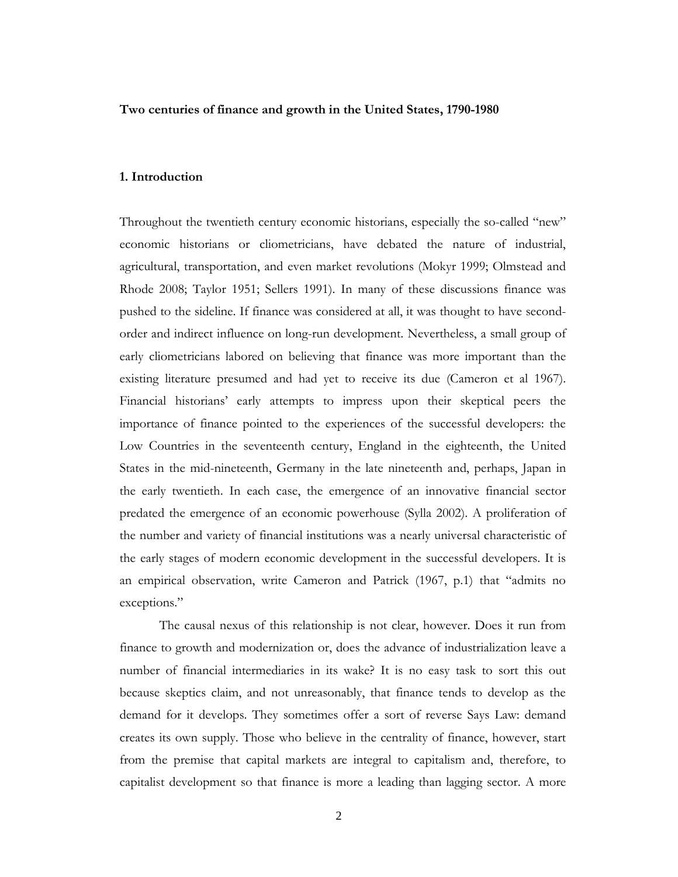### **Two centuries of finance and growth in the United States, 1790-1980**

# **1. Introduction**

Throughout the twentieth century economic historians, especially the so-called "new" economic historians or cliometricians, have debated the nature of industrial, agricultural, transportation, and even market revolutions (Mokyr 1999; Olmstead and Rhode 2008; Taylor 1951; Sellers 1991). In many of these discussions finance was pushed to the sideline. If finance was considered at all, it was thought to have secondorder and indirect influence on long-run development. Nevertheless, a small group of early cliometricians labored on believing that finance was more important than the existing literature presumed and had yet to receive its due (Cameron et al 1967). Financial historians' early attempts to impress upon their skeptical peers the importance of finance pointed to the experiences of the successful developers: the Low Countries in the seventeenth century, England in the eighteenth, the United States in the mid-nineteenth, Germany in the late nineteenth and, perhaps, Japan in the early twentieth. In each case, the emergence of an innovative financial sector predated the emergence of an economic powerhouse (Sylla 2002). A proliferation of the number and variety of financial institutions was a nearly universal characteristic of the early stages of modern economic development in the successful developers. It is an empirical observation, write Cameron and Patrick (1967, p.1) that "admits no exceptions."

The causal nexus of this relationship is not clear, however. Does it run from finance to growth and modernization or, does the advance of industrialization leave a number of financial intermediaries in its wake? It is no easy task to sort this out because skeptics claim, and not unreasonably, that finance tends to develop as the demand for it develops. They sometimes offer a sort of reverse Says Law: demand creates its own supply. Those who believe in the centrality of finance, however, start from the premise that capital markets are integral to capitalism and, therefore, to capitalist development so that finance is more a leading than lagging sector. A more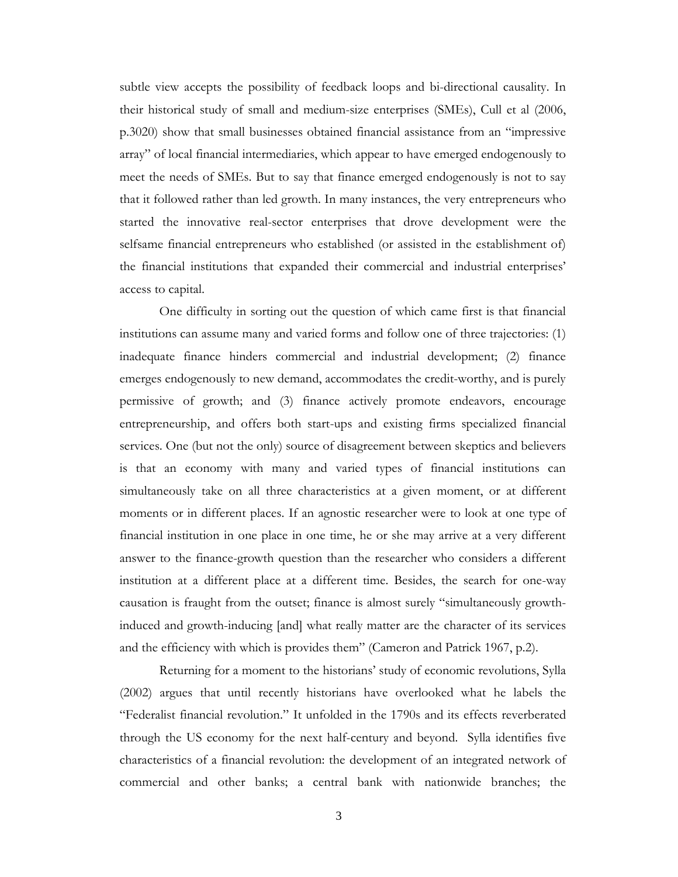subtle view accepts the possibility of feedback loops and bi-directional causality. In their historical study of small and medium-size enterprises (SMEs), Cull et al (2006, p.3020) show that small businesses obtained financial assistance from an "impressive array" of local financial intermediaries, which appear to have emerged endogenously to meet the needs of SMEs. But to say that finance emerged endogenously is not to say that it followed rather than led growth. In many instances, the very entrepreneurs who started the innovative real-sector enterprises that drove development were the selfsame financial entrepreneurs who established (or assisted in the establishment of) the financial institutions that expanded their commercial and industrial enterprises' access to capital.

One difficulty in sorting out the question of which came first is that financial institutions can assume many and varied forms and follow one of three trajectories: (1) inadequate finance hinders commercial and industrial development; (2) finance emerges endogenously to new demand, accommodates the credit-worthy, and is purely permissive of growth; and (3) finance actively promote endeavors, encourage entrepreneurship, and offers both start-ups and existing firms specialized financial services. One (but not the only) source of disagreement between skeptics and believers is that an economy with many and varied types of financial institutions can simultaneously take on all three characteristics at a given moment, or at different moments or in different places. If an agnostic researcher were to look at one type of financial institution in one place in one time, he or she may arrive at a very different answer to the finance-growth question than the researcher who considers a different institution at a different place at a different time. Besides, the search for one-way causation is fraught from the outset; finance is almost surely "simultaneously growthinduced and growth-inducing [and] what really matter are the character of its services and the efficiency with which is provides them" (Cameron and Patrick 1967, p.2).

Returning for a moment to the historians' study of economic revolutions, Sylla (2002) argues that until recently historians have overlooked what he labels the "Federalist financial revolution." It unfolded in the 1790s and its effects reverberated through the US economy for the next half-century and beyond. Sylla identifies five characteristics of a financial revolution: the development of an integrated network of commercial and other banks; a central bank with nationwide branches; the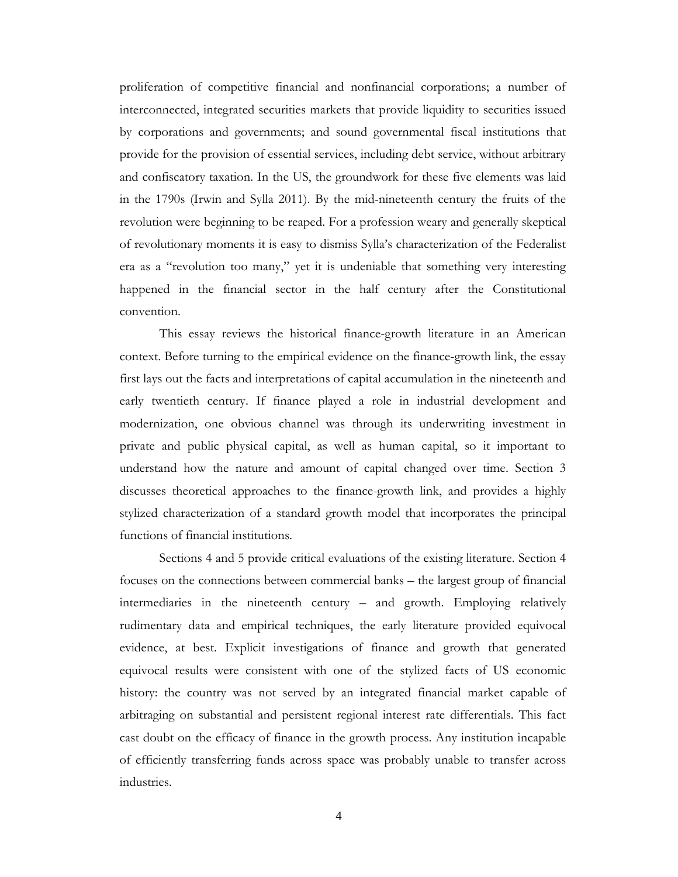proliferation of competitive financial and nonfinancial corporations; a number of interconnected, integrated securities markets that provide liquidity to securities issued by corporations and governments; and sound governmental fiscal institutions that provide for the provision of essential services, including debt service, without arbitrary and confiscatory taxation. In the US, the groundwork for these five elements was laid in the 1790s (Irwin and Sylla 2011). By the mid-nineteenth century the fruits of the revolution were beginning to be reaped. For a profession weary and generally skeptical of revolutionary moments it is easy to dismiss Sylla's characterization of the Federalist era as a "revolution too many," yet it is undeniable that something very interesting happened in the financial sector in the half century after the Constitutional convention.

This essay reviews the historical finance-growth literature in an American context. Before turning to the empirical evidence on the finance-growth link, the essay first lays out the facts and interpretations of capital accumulation in the nineteenth and early twentieth century. If finance played a role in industrial development and modernization, one obvious channel was through its underwriting investment in private and public physical capital, as well as human capital, so it important to understand how the nature and amount of capital changed over time. Section 3 discusses theoretical approaches to the finance-growth link, and provides a highly stylized characterization of a standard growth model that incorporates the principal functions of financial institutions.

Sections 4 and 5 provide critical evaluations of the existing literature. Section 4 focuses on the connections between commercial banks – the largest group of financial intermediaries in the nineteenth century – and growth. Employing relatively rudimentary data and empirical techniques, the early literature provided equivocal evidence, at best. Explicit investigations of finance and growth that generated equivocal results were consistent with one of the stylized facts of US economic history: the country was not served by an integrated financial market capable of arbitraging on substantial and persistent regional interest rate differentials. This fact cast doubt on the efficacy of finance in the growth process. Any institution incapable of efficiently transferring funds across space was probably unable to transfer across industries.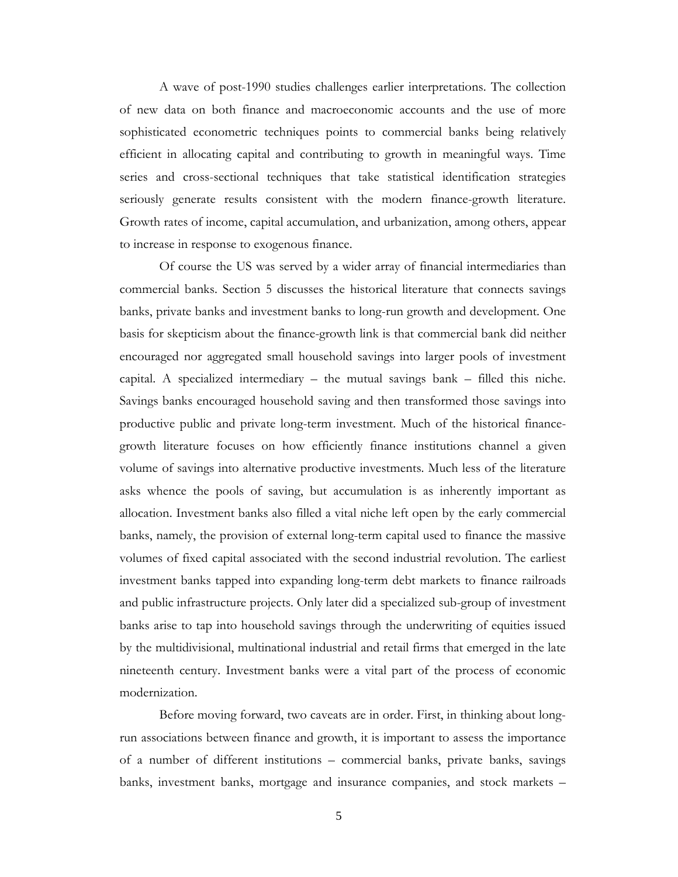A wave of post-1990 studies challenges earlier interpretations. The collection of new data on both finance and macroeconomic accounts and the use of more sophisticated econometric techniques points to commercial banks being relatively efficient in allocating capital and contributing to growth in meaningful ways. Time series and cross-sectional techniques that take statistical identification strategies seriously generate results consistent with the modern finance-growth literature. Growth rates of income, capital accumulation, and urbanization, among others, appear to increase in response to exogenous finance.

Of course the US was served by a wider array of financial intermediaries than commercial banks. Section 5 discusses the historical literature that connects savings banks, private banks and investment banks to long-run growth and development. One basis for skepticism about the finance-growth link is that commercial bank did neither encouraged nor aggregated small household savings into larger pools of investment capital. A specialized intermediary – the mutual savings bank – filled this niche. Savings banks encouraged household saving and then transformed those savings into productive public and private long-term investment. Much of the historical financegrowth literature focuses on how efficiently finance institutions channel a given volume of savings into alternative productive investments. Much less of the literature asks whence the pools of saving, but accumulation is as inherently important as allocation. Investment banks also filled a vital niche left open by the early commercial banks, namely, the provision of external long-term capital used to finance the massive volumes of fixed capital associated with the second industrial revolution. The earliest investment banks tapped into expanding long-term debt markets to finance railroads and public infrastructure projects. Only later did a specialized sub-group of investment banks arise to tap into household savings through the underwriting of equities issued by the multidivisional, multinational industrial and retail firms that emerged in the late nineteenth century. Investment banks were a vital part of the process of economic modernization.

Before moving forward, two caveats are in order. First, in thinking about longrun associations between finance and growth, it is important to assess the importance of a number of different institutions – commercial banks, private banks, savings banks, investment banks, mortgage and insurance companies, and stock markets –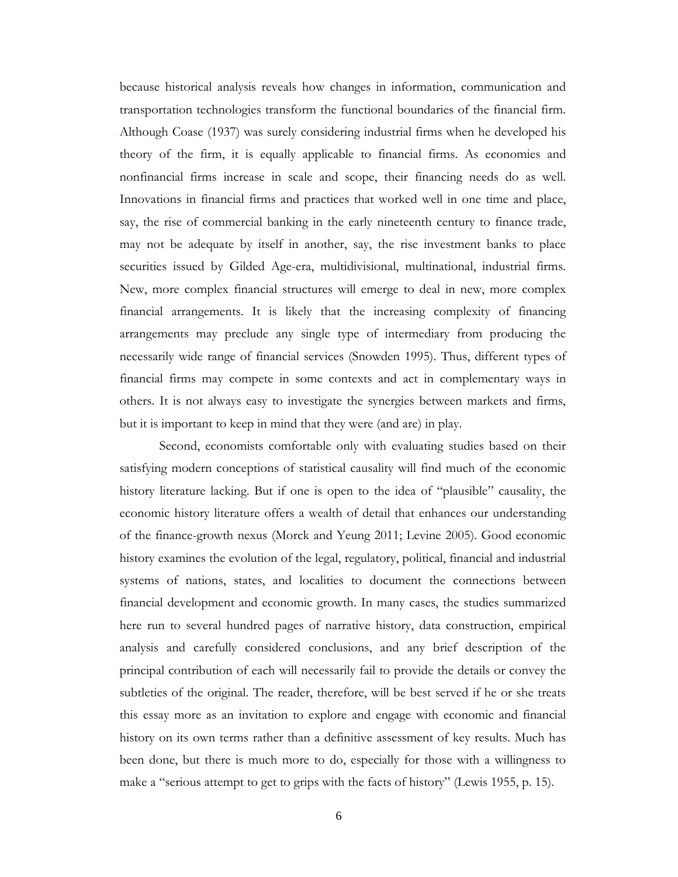because historical analysis reveals how changes in information, communication and transportation technologies transform the functional boundaries of the financial firm. Although Coase (1937) was surely considering industrial firms when he developed his theory of the firm, it is equally applicable to financial firms. As economies and nonfinancial firms increase in scale and scope, their financing needs do as well. Innovations in financial firms and practices that worked well in one time and place, say, the rise of commercial banking in the early nineteenth century to finance trade, may not be adequate by itself in another, say, the rise investment banks to place securities issued by Gilded Age-era, multidivisional, multinational, industrial firms. New, more complex financial structures will emerge to deal in new, more complex financial arrangements. It is likely that the increasing complexity of financing arrangements may preclude any single type of intermediary from producing the necessarily wide range of financial services (Snowden 1995). Thus, different types of financial firms may compete in some contexts and act in complementary ways in others. It is not always easy to investigate the synergies between markets and firms, but it is important to keep in mind that they were (and are) in play.

Second, economists comfortable only with evaluating studies based on their satisfying modern conceptions of statistical causality will find much of the economic history literature lacking. But if one is open to the idea of "plausible" causality, the economic history literature offers a wealth of detail that enhances our understanding of the finance-growth nexus (Morck and Yeung 2011; Levine 2005). Good economic history examines the evolution of the legal, regulatory, political, financial and industrial systems of nations, states, and localities to document the connections between financial development and economic growth. In many cases, the studies summarized here run to several hundred pages of narrative history, data construction, empirical analysis and carefully considered conclusions, and any brief description of the principal contribution of each will necessarily fail to provide the details or convey the subtleties of the original. The reader, therefore, will be best served if he or she treats this essay more as an invitation to explore and engage with economic and financial history on its own terms rather than a definitive assessment of key results. Much has been done, but there is much more to do, especially for those with a willingness to make a "serious attempt to get to grips with the facts of history" (Lewis 1955, p. 15).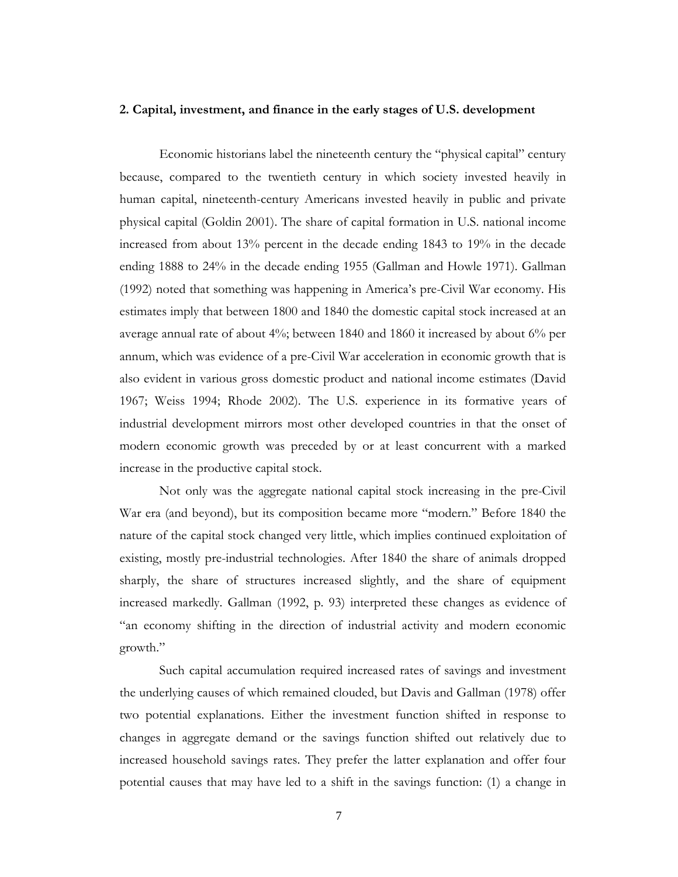#### **2. Capital, investment, and finance in the early stages of U.S. development**

 Economic historians label the nineteenth century the "physical capital" century because, compared to the twentieth century in which society invested heavily in human capital, nineteenth-century Americans invested heavily in public and private physical capital (Goldin 2001). The share of capital formation in U.S. national income increased from about 13% percent in the decade ending 1843 to 19% in the decade ending 1888 to 24% in the decade ending 1955 (Gallman and Howle 1971). Gallman (1992) noted that something was happening in America's pre-Civil War economy. His estimates imply that between 1800 and 1840 the domestic capital stock increased at an average annual rate of about 4%; between 1840 and 1860 it increased by about 6% per annum, which was evidence of a pre-Civil War acceleration in economic growth that is also evident in various gross domestic product and national income estimates (David 1967; Weiss 1994; Rhode 2002). The U.S. experience in its formative years of industrial development mirrors most other developed countries in that the onset of modern economic growth was preceded by or at least concurrent with a marked increase in the productive capital stock.

Not only was the aggregate national capital stock increasing in the pre-Civil War era (and beyond), but its composition became more "modern." Before 1840 the nature of the capital stock changed very little, which implies continued exploitation of existing, mostly pre-industrial technologies. After 1840 the share of animals dropped sharply, the share of structures increased slightly, and the share of equipment increased markedly. Gallman (1992, p. 93) interpreted these changes as evidence of "an economy shifting in the direction of industrial activity and modern economic growth."

Such capital accumulation required increased rates of savings and investment the underlying causes of which remained clouded, but Davis and Gallman (1978) offer two potential explanations. Either the investment function shifted in response to changes in aggregate demand or the savings function shifted out relatively due to increased household savings rates. They prefer the latter explanation and offer four potential causes that may have led to a shift in the savings function: (1) a change in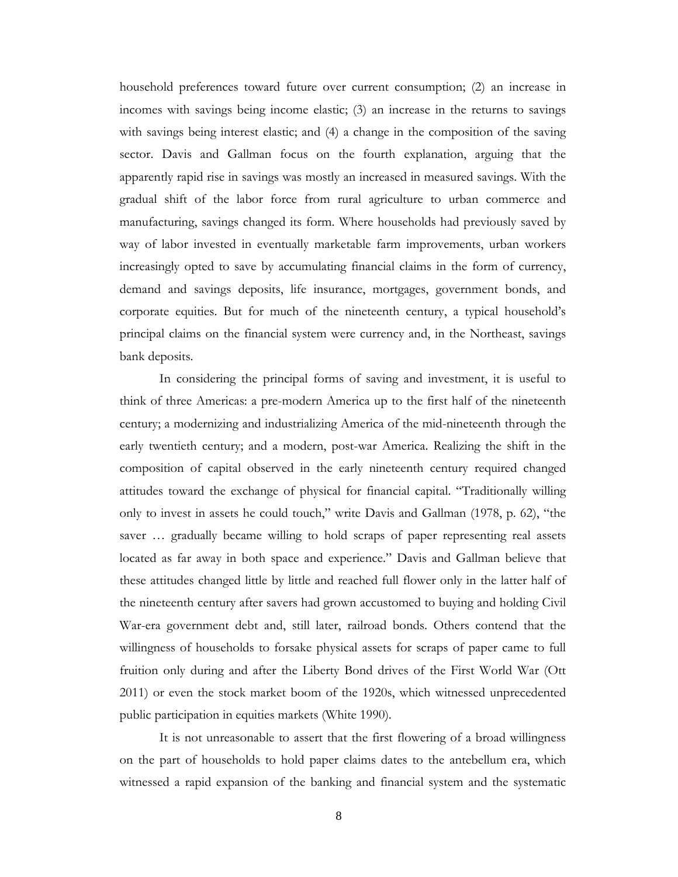household preferences toward future over current consumption; (2) an increase in incomes with savings being income elastic; (3) an increase in the returns to savings with savings being interest elastic; and (4) a change in the composition of the saving sector. Davis and Gallman focus on the fourth explanation, arguing that the apparently rapid rise in savings was mostly an increased in measured savings. With the gradual shift of the labor force from rural agriculture to urban commerce and manufacturing, savings changed its form. Where households had previously saved by way of labor invested in eventually marketable farm improvements, urban workers increasingly opted to save by accumulating financial claims in the form of currency, demand and savings deposits, life insurance, mortgages, government bonds, and corporate equities. But for much of the nineteenth century, a typical household's principal claims on the financial system were currency and, in the Northeast, savings bank deposits.

In considering the principal forms of saving and investment, it is useful to think of three Americas: a pre-modern America up to the first half of the nineteenth century; a modernizing and industrializing America of the mid-nineteenth through the early twentieth century; and a modern, post-war America. Realizing the shift in the composition of capital observed in the early nineteenth century required changed attitudes toward the exchange of physical for financial capital. "Traditionally willing only to invest in assets he could touch," write Davis and Gallman (1978, p. 62), "the saver … gradually became willing to hold scraps of paper representing real assets located as far away in both space and experience." Davis and Gallman believe that these attitudes changed little by little and reached full flower only in the latter half of the nineteenth century after savers had grown accustomed to buying and holding Civil War-era government debt and, still later, railroad bonds. Others contend that the willingness of households to forsake physical assets for scraps of paper came to full fruition only during and after the Liberty Bond drives of the First World War (Ott 2011) or even the stock market boom of the 1920s, which witnessed unprecedented public participation in equities markets (White 1990).

It is not unreasonable to assert that the first flowering of a broad willingness on the part of households to hold paper claims dates to the antebellum era, which witnessed a rapid expansion of the banking and financial system and the systematic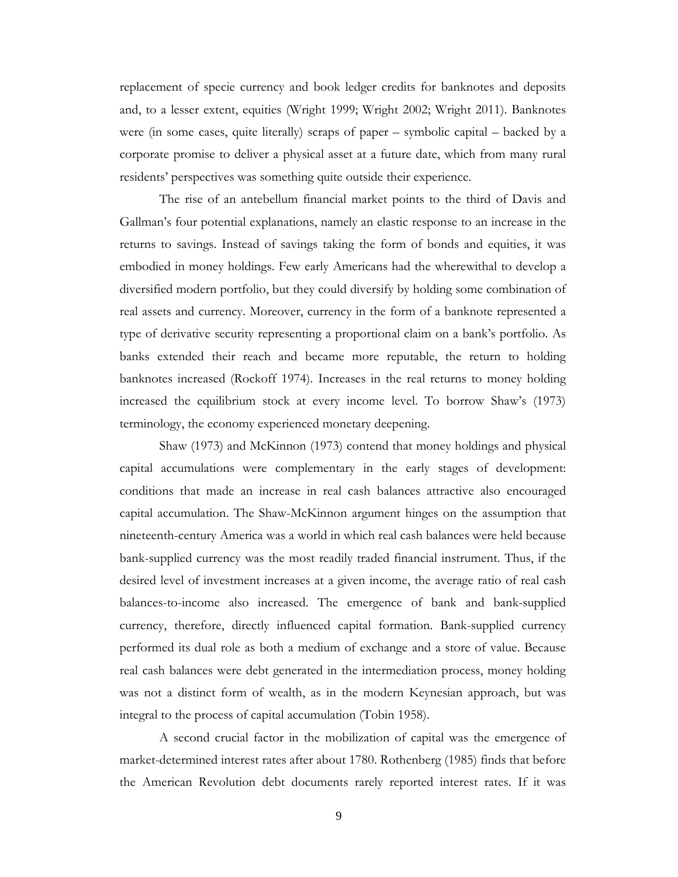replacement of specie currency and book ledger credits for banknotes and deposits and, to a lesser extent, equities (Wright 1999; Wright 2002; Wright 2011). Banknotes were (in some cases, quite literally) scraps of paper – symbolic capital – backed by a corporate promise to deliver a physical asset at a future date, which from many rural residents' perspectives was something quite outside their experience.

The rise of an antebellum financial market points to the third of Davis and Gallman's four potential explanations, namely an elastic response to an increase in the returns to savings. Instead of savings taking the form of bonds and equities, it was embodied in money holdings. Few early Americans had the wherewithal to develop a diversified modern portfolio, but they could diversify by holding some combination of real assets and currency. Moreover, currency in the form of a banknote represented a type of derivative security representing a proportional claim on a bank's portfolio. As banks extended their reach and became more reputable, the return to holding banknotes increased (Rockoff 1974). Increases in the real returns to money holding increased the equilibrium stock at every income level. To borrow Shaw's (1973) terminology, the economy experienced monetary deepening.

Shaw (1973) and McKinnon (1973) contend that money holdings and physical capital accumulations were complementary in the early stages of development: conditions that made an increase in real cash balances attractive also encouraged capital accumulation. The Shaw-McKinnon argument hinges on the assumption that nineteenth-century America was a world in which real cash balances were held because bank-supplied currency was the most readily traded financial instrument. Thus, if the desired level of investment increases at a given income, the average ratio of real cash balances-to-income also increased. The emergence of bank and bank-supplied currency, therefore, directly influenced capital formation. Bank-supplied currency performed its dual role as both a medium of exchange and a store of value. Because real cash balances were debt generated in the intermediation process, money holding was not a distinct form of wealth, as in the modern Keynesian approach, but was integral to the process of capital accumulation (Tobin 1958).

A second crucial factor in the mobilization of capital was the emergence of market-determined interest rates after about 1780. Rothenberg (1985) finds that before the American Revolution debt documents rarely reported interest rates. If it was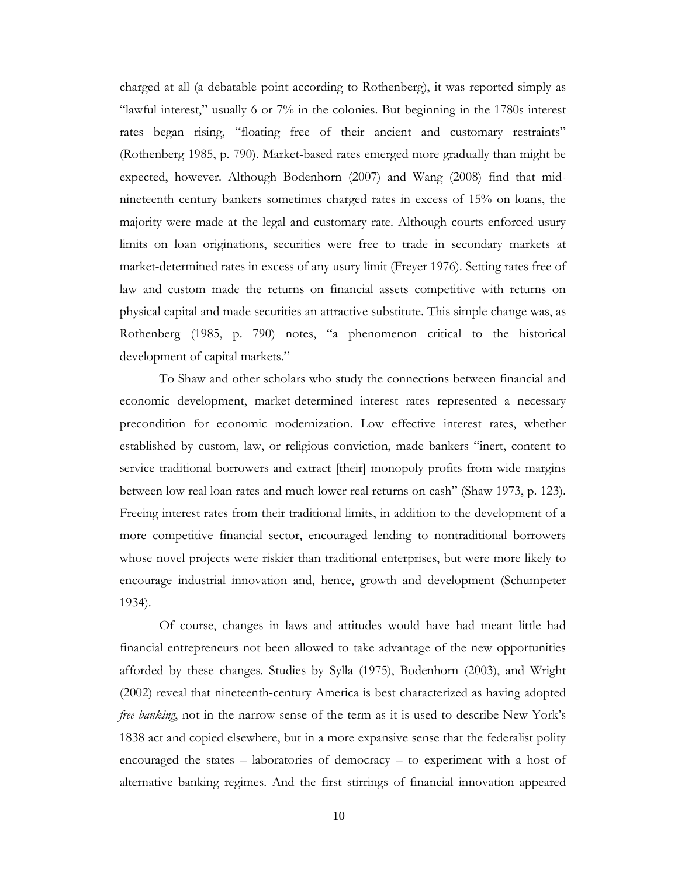charged at all (a debatable point according to Rothenberg), it was reported simply as "lawful interest," usually 6 or 7% in the colonies. But beginning in the 1780s interest rates began rising, "floating free of their ancient and customary restraints" (Rothenberg 1985, p. 790). Market-based rates emerged more gradually than might be expected, however. Although Bodenhorn (2007) and Wang (2008) find that midnineteenth century bankers sometimes charged rates in excess of 15% on loans, the majority were made at the legal and customary rate. Although courts enforced usury limits on loan originations, securities were free to trade in secondary markets at market-determined rates in excess of any usury limit (Freyer 1976). Setting rates free of law and custom made the returns on financial assets competitive with returns on physical capital and made securities an attractive substitute. This simple change was, as Rothenberg (1985, p. 790) notes, "a phenomenon critical to the historical development of capital markets."

To Shaw and other scholars who study the connections between financial and economic development, market-determined interest rates represented a necessary precondition for economic modernization. Low effective interest rates, whether established by custom, law, or religious conviction, made bankers "inert, content to service traditional borrowers and extract [their] monopoly profits from wide margins between low real loan rates and much lower real returns on cash" (Shaw 1973, p. 123). Freeing interest rates from their traditional limits, in addition to the development of a more competitive financial sector, encouraged lending to nontraditional borrowers whose novel projects were riskier than traditional enterprises, but were more likely to encourage industrial innovation and, hence, growth and development (Schumpeter 1934).

Of course, changes in laws and attitudes would have had meant little had financial entrepreneurs not been allowed to take advantage of the new opportunities afforded by these changes. Studies by Sylla (1975), Bodenhorn (2003), and Wright (2002) reveal that nineteenth-century America is best characterized as having adopted *free banking*, not in the narrow sense of the term as it is used to describe New York's 1838 act and copied elsewhere, but in a more expansive sense that the federalist polity encouraged the states – laboratories of democracy – to experiment with a host of alternative banking regimes. And the first stirrings of financial innovation appeared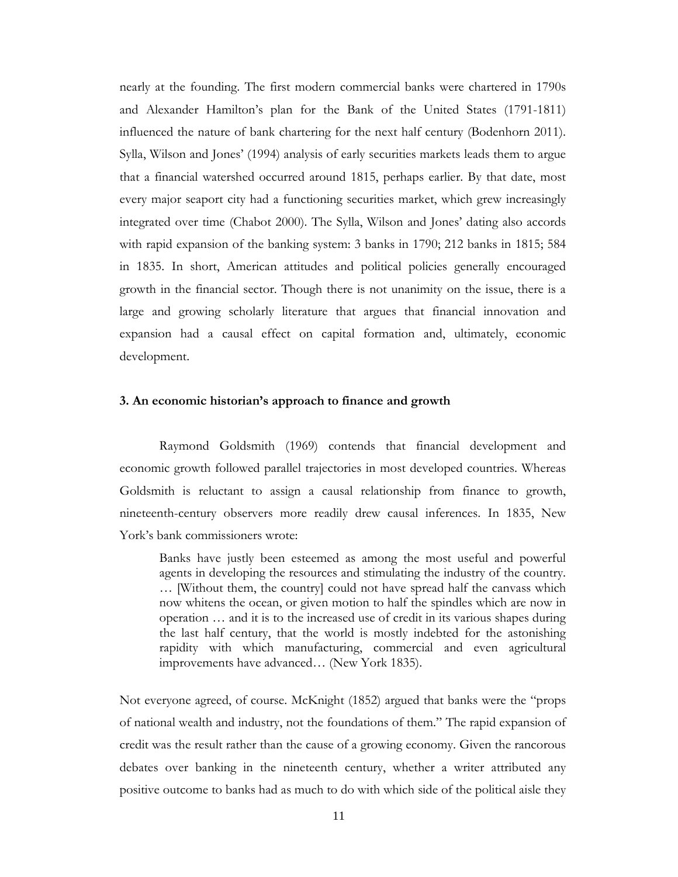nearly at the founding. The first modern commercial banks were chartered in 1790s and Alexander Hamilton's plan for the Bank of the United States (1791-1811) influenced the nature of bank chartering for the next half century (Bodenhorn 2011). Sylla, Wilson and Jones' (1994) analysis of early securities markets leads them to argue that a financial watershed occurred around 1815, perhaps earlier. By that date, most every major seaport city had a functioning securities market, which grew increasingly integrated over time (Chabot 2000). The Sylla, Wilson and Jones' dating also accords with rapid expansion of the banking system: 3 banks in 1790; 212 banks in 1815; 584 in 1835. In short, American attitudes and political policies generally encouraged growth in the financial sector. Though there is not unanimity on the issue, there is a large and growing scholarly literature that argues that financial innovation and expansion had a causal effect on capital formation and, ultimately, economic development.

## **3. An economic historian's approach to finance and growth**

Raymond Goldsmith (1969) contends that financial development and economic growth followed parallel trajectories in most developed countries. Whereas Goldsmith is reluctant to assign a causal relationship from finance to growth, nineteenth-century observers more readily drew causal inferences. In 1835, New York's bank commissioners wrote:

Banks have justly been esteemed as among the most useful and powerful agents in developing the resources and stimulating the industry of the country. … [Without them, the country] could not have spread half the canvass which now whitens the ocean, or given motion to half the spindles which are now in operation … and it is to the increased use of credit in its various shapes during the last half century, that the world is mostly indebted for the astonishing rapidity with which manufacturing, commercial and even agricultural improvements have advanced… (New York 1835).

Not everyone agreed, of course. McKnight (1852) argued that banks were the "props of national wealth and industry, not the foundations of them." The rapid expansion of credit was the result rather than the cause of a growing economy. Given the rancorous debates over banking in the nineteenth century, whether a writer attributed any positive outcome to banks had as much to do with which side of the political aisle they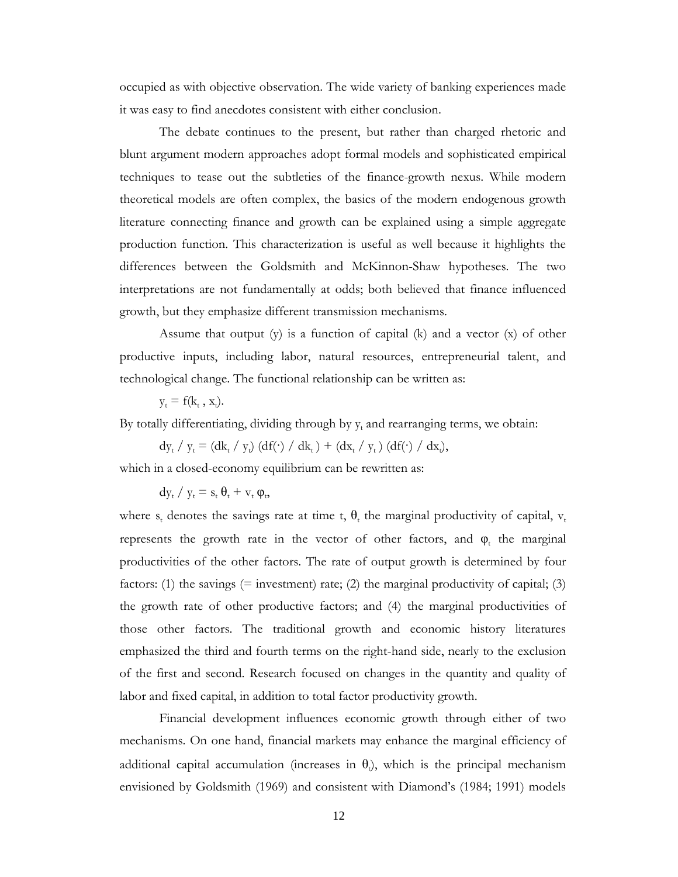occupied as with objective observation. The wide variety of banking experiences made it was easy to find anecdotes consistent with either conclusion.

The debate continues to the present, but rather than charged rhetoric and blunt argument modern approaches adopt formal models and sophisticated empirical techniques to tease out the subtleties of the finance-growth nexus. While modern theoretical models are often complex, the basics of the modern endogenous growth literature connecting finance and growth can be explained using a simple aggregate production function. This characterization is useful as well because it highlights the differences between the Goldsmith and McKinnon-Shaw hypotheses. The two interpretations are not fundamentally at odds; both believed that finance influenced growth, but they emphasize different transmission mechanisms.

Assume that output  $(y)$  is a function of capital  $(k)$  and a vector  $(x)$  of other productive inputs, including labor, natural resources, entrepreneurial talent, and technological change. The functional relationship can be written as:

 $y_t = f(k_t, x_t)$ .

By totally differentiating, dividing through by  $y_t$  and rearranging terms, we obtain:

 $dy_t / y_t = (dk_t / y_t) (df(\cdot) / dk_t) + (dx_t / y_t) (df(\cdot) / dx_t),$ 

which in a closed-economy equilibrium can be rewritten as:

 $dy_t / y_t = s_t \theta_t + v_t \varphi_t$ 

where s<sub>t</sub> denotes the savings rate at time t,  $\theta_t$  the marginal productivity of capital,  $v_t$ represents the growth rate in the vector of other factors, and  $\varphi$ , the marginal productivities of the other factors. The rate of output growth is determined by four factors: (1) the savings  $(=$  investment) rate; (2) the marginal productivity of capital; (3) the growth rate of other productive factors; and (4) the marginal productivities of those other factors. The traditional growth and economic history literatures emphasized the third and fourth terms on the right-hand side, nearly to the exclusion of the first and second. Research focused on changes in the quantity and quality of labor and fixed capital, in addition to total factor productivity growth.

Financial development influences economic growth through either of two mechanisms. On one hand, financial markets may enhance the marginal efficiency of additional capital accumulation (increases in  $\theta$ ), which is the principal mechanism envisioned by Goldsmith (1969) and consistent with Diamond's (1984; 1991) models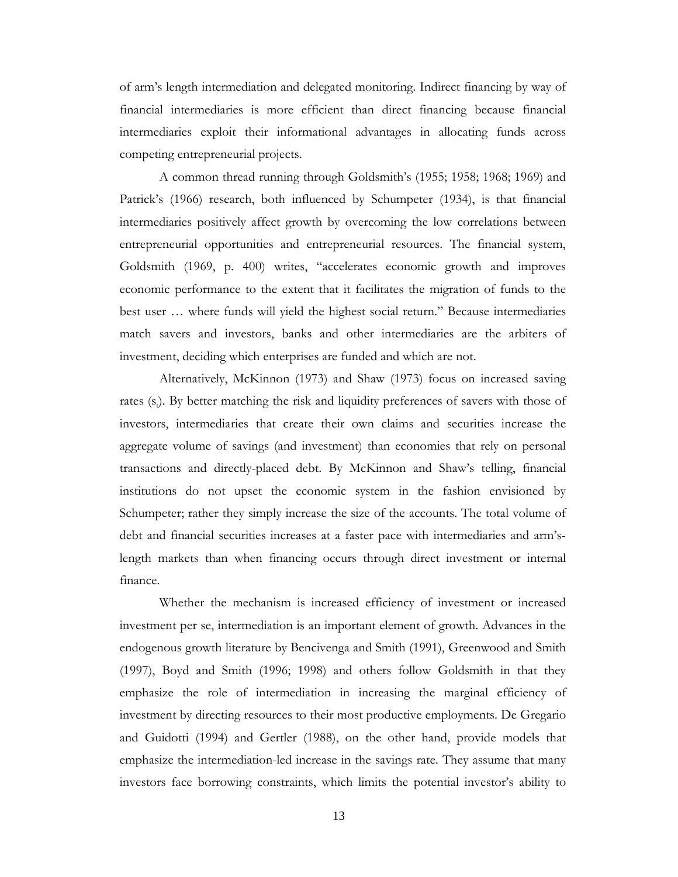of arm's length intermediation and delegated monitoring. Indirect financing by way of financial intermediaries is more efficient than direct financing because financial intermediaries exploit their informational advantages in allocating funds across competing entrepreneurial projects.

A common thread running through Goldsmith's (1955; 1958; 1968; 1969) and Patrick's (1966) research, both influenced by Schumpeter (1934), is that financial intermediaries positively affect growth by overcoming the low correlations between entrepreneurial opportunities and entrepreneurial resources. The financial system, Goldsmith (1969, p. 400) writes, "accelerates economic growth and improves economic performance to the extent that it facilitates the migration of funds to the best user … where funds will yield the highest social return." Because intermediaries match savers and investors, banks and other intermediaries are the arbiters of investment, deciding which enterprises are funded and which are not.

Alternatively, McKinnon (1973) and Shaw (1973) focus on increased saving rates (s<sub>t</sub>). By better matching the risk and liquidity preferences of savers with those of investors, intermediaries that create their own claims and securities increase the aggregate volume of savings (and investment) than economies that rely on personal transactions and directly-placed debt. By McKinnon and Shaw's telling, financial institutions do not upset the economic system in the fashion envisioned by Schumpeter; rather they simply increase the size of the accounts. The total volume of debt and financial securities increases at a faster pace with intermediaries and arm'slength markets than when financing occurs through direct investment or internal finance.

Whether the mechanism is increased efficiency of investment or increased investment per se, intermediation is an important element of growth. Advances in the endogenous growth literature by Bencivenga and Smith (1991), Greenwood and Smith (1997), Boyd and Smith (1996; 1998) and others follow Goldsmith in that they emphasize the role of intermediation in increasing the marginal efficiency of investment by directing resources to their most productive employments. De Gregario and Guidotti (1994) and Gertler (1988), on the other hand, provide models that emphasize the intermediation-led increase in the savings rate. They assume that many investors face borrowing constraints, which limits the potential investor's ability to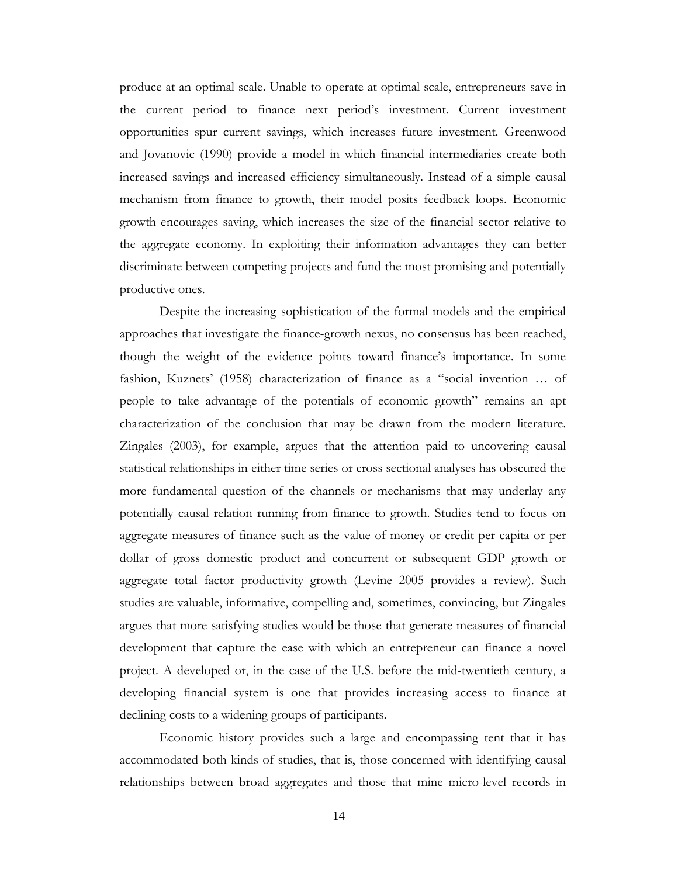produce at an optimal scale. Unable to operate at optimal scale, entrepreneurs save in the current period to finance next period's investment. Current investment opportunities spur current savings, which increases future investment. Greenwood and Jovanovic (1990) provide a model in which financial intermediaries create both increased savings and increased efficiency simultaneously. Instead of a simple causal mechanism from finance to growth, their model posits feedback loops. Economic growth encourages saving, which increases the size of the financial sector relative to the aggregate economy. In exploiting their information advantages they can better discriminate between competing projects and fund the most promising and potentially productive ones.

Despite the increasing sophistication of the formal models and the empirical approaches that investigate the finance-growth nexus, no consensus has been reached, though the weight of the evidence points toward finance's importance. In some fashion, Kuznets' (1958) characterization of finance as a "social invention … of people to take advantage of the potentials of economic growth" remains an apt characterization of the conclusion that may be drawn from the modern literature. Zingales (2003), for example, argues that the attention paid to uncovering causal statistical relationships in either time series or cross sectional analyses has obscured the more fundamental question of the channels or mechanisms that may underlay any potentially causal relation running from finance to growth. Studies tend to focus on aggregate measures of finance such as the value of money or credit per capita or per dollar of gross domestic product and concurrent or subsequent GDP growth or aggregate total factor productivity growth (Levine 2005 provides a review). Such studies are valuable, informative, compelling and, sometimes, convincing, but Zingales argues that more satisfying studies would be those that generate measures of financial development that capture the ease with which an entrepreneur can finance a novel project. A developed or, in the case of the U.S. before the mid-twentieth century, a developing financial system is one that provides increasing access to finance at declining costs to a widening groups of participants.

Economic history provides such a large and encompassing tent that it has accommodated both kinds of studies, that is, those concerned with identifying causal relationships between broad aggregates and those that mine micro-level records in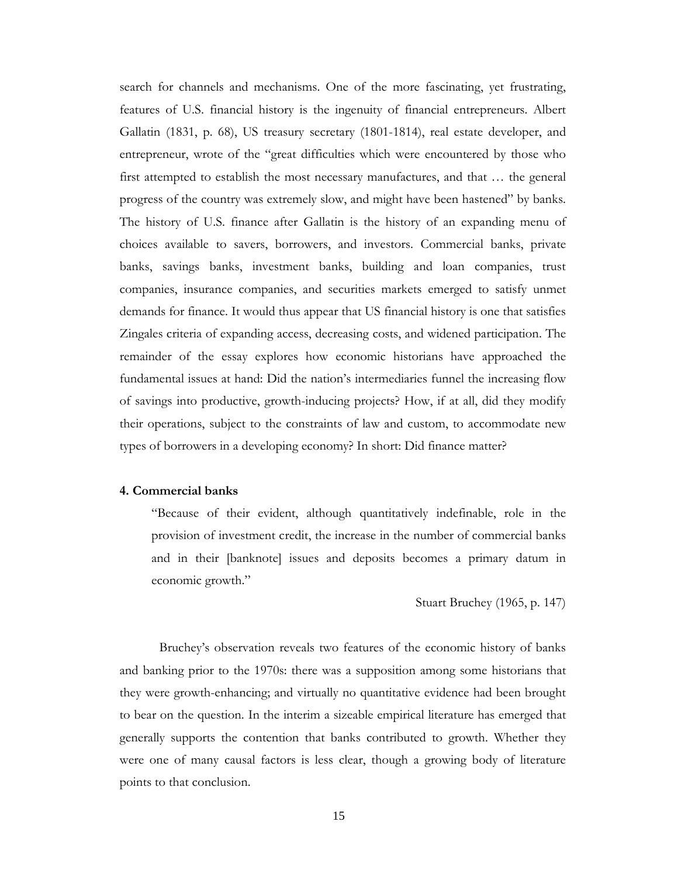search for channels and mechanisms. One of the more fascinating, yet frustrating, features of U.S. financial history is the ingenuity of financial entrepreneurs. Albert Gallatin (1831, p. 68), US treasury secretary (1801-1814), real estate developer, and entrepreneur, wrote of the "great difficulties which were encountered by those who first attempted to establish the most necessary manufactures, and that … the general progress of the country was extremely slow, and might have been hastened" by banks. The history of U.S. finance after Gallatin is the history of an expanding menu of choices available to savers, borrowers, and investors. Commercial banks, private banks, savings banks, investment banks, building and loan companies, trust companies, insurance companies, and securities markets emerged to satisfy unmet demands for finance. It would thus appear that US financial history is one that satisfies Zingales criteria of expanding access, decreasing costs, and widened participation. The remainder of the essay explores how economic historians have approached the fundamental issues at hand: Did the nation's intermediaries funnel the increasing flow of savings into productive, growth-inducing projects? How, if at all, did they modify their operations, subject to the constraints of law and custom, to accommodate new types of borrowers in a developing economy? In short: Did finance matter?

#### **4. Commercial banks**

"Because of their evident, although quantitatively indefinable, role in the provision of investment credit, the increase in the number of commercial banks and in their [banknote] issues and deposits becomes a primary datum in economic growth."

Stuart Bruchey (1965, p. 147)

Bruchey's observation reveals two features of the economic history of banks and banking prior to the 1970s: there was a supposition among some historians that they were growth-enhancing; and virtually no quantitative evidence had been brought to bear on the question. In the interim a sizeable empirical literature has emerged that generally supports the contention that banks contributed to growth. Whether they were one of many causal factors is less clear, though a growing body of literature points to that conclusion.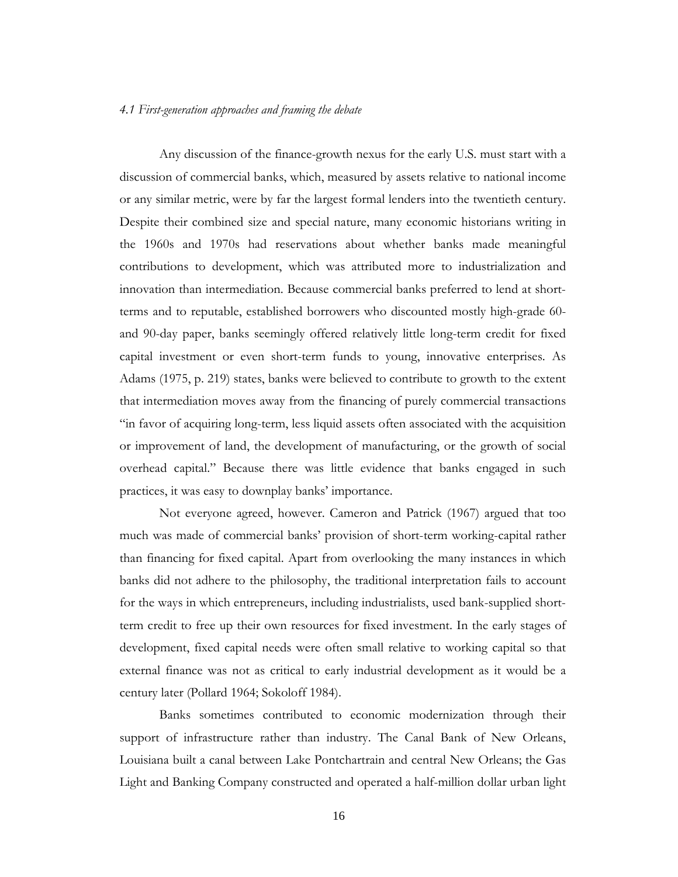## *4.1 First-generation approaches and framing the debate*

Any discussion of the finance-growth nexus for the early U.S. must start with a discussion of commercial banks, which, measured by assets relative to national income or any similar metric, were by far the largest formal lenders into the twentieth century. Despite their combined size and special nature, many economic historians writing in the 1960s and 1970s had reservations about whether banks made meaningful contributions to development, which was attributed more to industrialization and innovation than intermediation. Because commercial banks preferred to lend at shortterms and to reputable, established borrowers who discounted mostly high-grade 60 and 90-day paper, banks seemingly offered relatively little long-term credit for fixed capital investment or even short-term funds to young, innovative enterprises. As Adams (1975, p. 219) states, banks were believed to contribute to growth to the extent that intermediation moves away from the financing of purely commercial transactions "in favor of acquiring long-term, less liquid assets often associated with the acquisition or improvement of land, the development of manufacturing, or the growth of social overhead capital." Because there was little evidence that banks engaged in such practices, it was easy to downplay banks' importance.

Not everyone agreed, however. Cameron and Patrick (1967) argued that too much was made of commercial banks' provision of short-term working-capital rather than financing for fixed capital. Apart from overlooking the many instances in which banks did not adhere to the philosophy, the traditional interpretation fails to account for the ways in which entrepreneurs, including industrialists, used bank-supplied shortterm credit to free up their own resources for fixed investment. In the early stages of development, fixed capital needs were often small relative to working capital so that external finance was not as critical to early industrial development as it would be a century later (Pollard 1964; Sokoloff 1984).

Banks sometimes contributed to economic modernization through their support of infrastructure rather than industry. The Canal Bank of New Orleans, Louisiana built a canal between Lake Pontchartrain and central New Orleans; the Gas Light and Banking Company constructed and operated a half-million dollar urban light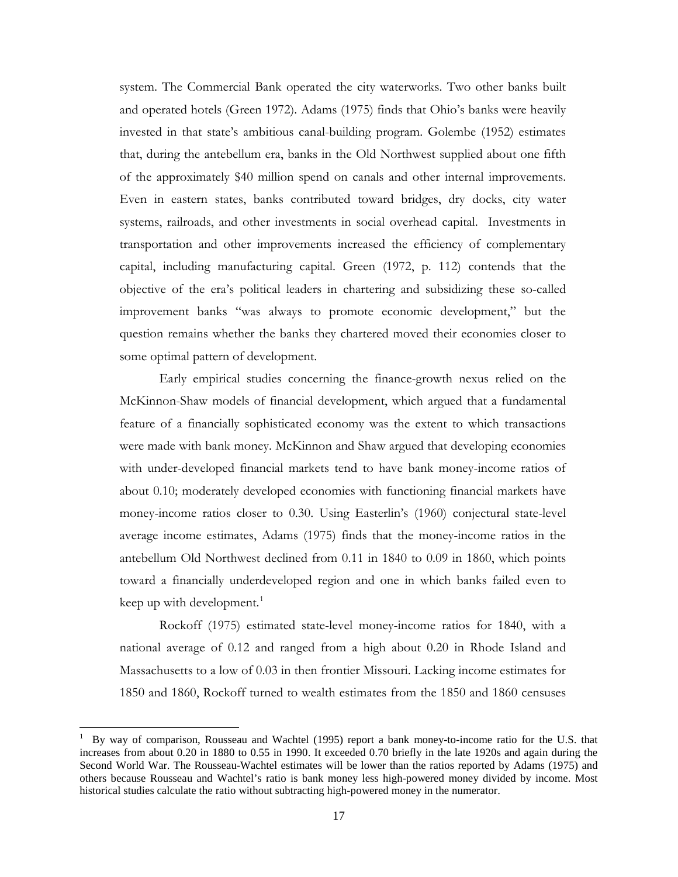system. The Commercial Bank operated the city waterworks. Two other banks built and operated hotels (Green 1972). Adams (1975) finds that Ohio's banks were heavily invested in that state's ambitious canal-building program. Golembe (1952) estimates that, during the antebellum era, banks in the Old Northwest supplied about one fifth of the approximately \$40 million spend on canals and other internal improvements. Even in eastern states, banks contributed toward bridges, dry docks, city water systems, railroads, and other investments in social overhead capital. Investments in transportation and other improvements increased the efficiency of complementary capital, including manufacturing capital. Green (1972, p. 112) contends that the objective of the era's political leaders in chartering and subsidizing these so-called improvement banks "was always to promote economic development," but the question remains whether the banks they chartered moved their economies closer to some optimal pattern of development.

Early empirical studies concerning the finance-growth nexus relied on the McKinnon-Shaw models of financial development, which argued that a fundamental feature of a financially sophisticated economy was the extent to which transactions were made with bank money. McKinnon and Shaw argued that developing economies with under-developed financial markets tend to have bank money-income ratios of about 0.10; moderately developed economies with functioning financial markets have money-income ratios closer to 0.30. Using Easterlin's (1960) conjectural state-level average income estimates, Adams (1975) finds that the money-income ratios in the antebellum Old Northwest declined from 0.11 in 1840 to 0.09 in 1860, which points toward a financially underdeveloped region and one in which banks failed even to keep up with development.<sup>[1](#page-17-0)</sup>

Rockoff (1975) estimated state-level money-income ratios for 1840, with a national average of 0.12 and ranged from a high about 0.20 in Rhode Island and Massachusetts to a low of 0.03 in then frontier Missouri. Lacking income estimates for 1850 and 1860, Rockoff turned to wealth estimates from the 1850 and 1860 censuses

 $\overline{a}$ 

<span id="page-17-0"></span><sup>1</sup> By way of comparison, Rousseau and Wachtel (1995) report a bank money-to-income ratio for the U.S. that increases from about 0.20 in 1880 to 0.55 in 1990. It exceeded 0.70 briefly in the late 1920s and again during the Second World War. The Rousseau-Wachtel estimates will be lower than the ratios reported by Adams (1975) and others because Rousseau and Wachtel's ratio is bank money less high-powered money divided by income. Most historical studies calculate the ratio without subtracting high-powered money in the numerator.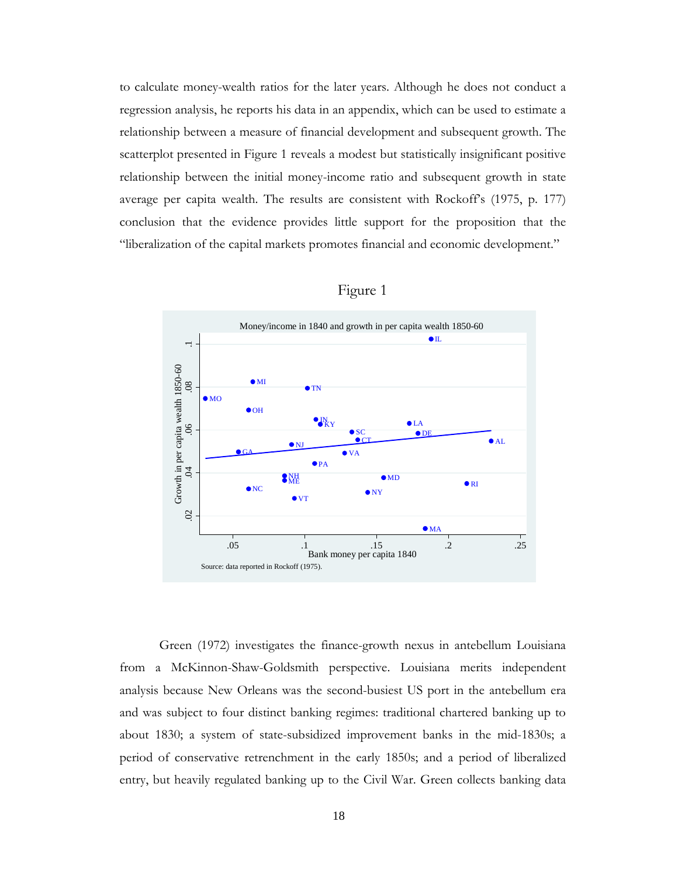to calculate money-wealth ratios for the later years. Although he does not conduct a regression analysis, he reports his data in an appendix, which can be used to estimate a relationship between a measure of financial development and subsequent growth. The scatterplot presented in Figure 1 reveals a modest but statistically insignificant positive relationship between the initial money-income ratio and subsequent growth in state average per capita wealth. The results are consistent with Rockoff's (1975, p. 177) conclusion that the evidence provides little support for the proposition that the "liberalization of the capital markets promotes financial and economic development."



| 1911 T |  |
|--------|--|
|--------|--|

Green (1972) investigates the finance-growth nexus in antebellum Louisiana from a McKinnon-Shaw-Goldsmith perspective. Louisiana merits independent analysis because New Orleans was the second-busiest US port in the antebellum era and was subject to four distinct banking regimes: traditional chartered banking up to about 1830; a system of state-subsidized improvement banks in the mid-1830s; a period of conservative retrenchment in the early 1850s; and a period of liberalized entry, but heavily regulated banking up to the Civil War. Green collects banking data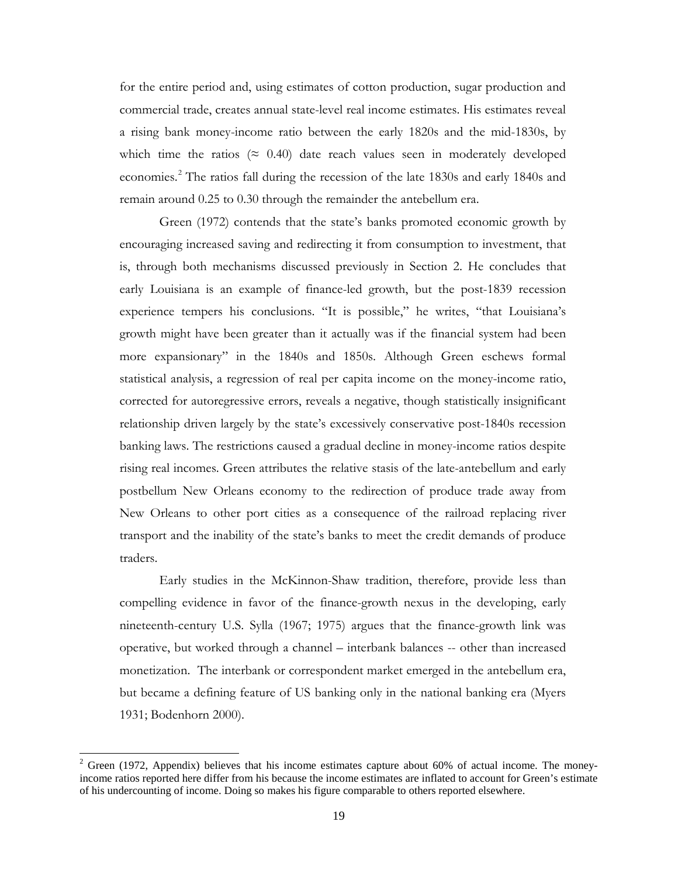for the entire period and, using estimates of cotton production, sugar production and commercial trade, creates annual state-level real income estimates. His estimates reveal a rising bank money-income ratio between the early 1820s and the mid-1830s, by which time the ratios ( $\approx$  0.40) date reach values seen in moderately developed economies.<sup>[2](#page-19-0)</sup> The ratios fall during the recession of the late 1830s and early 1840s and remain around 0.25 to 0.30 through the remainder the antebellum era.

Green (1972) contends that the state's banks promoted economic growth by encouraging increased saving and redirecting it from consumption to investment, that is, through both mechanisms discussed previously in Section 2. He concludes that early Louisiana is an example of finance-led growth, but the post-1839 recession experience tempers his conclusions. "It is possible," he writes, "that Louisiana's growth might have been greater than it actually was if the financial system had been more expansionary" in the 1840s and 1850s. Although Green eschews formal statistical analysis, a regression of real per capita income on the money-income ratio, corrected for autoregressive errors, reveals a negative, though statistically insignificant relationship driven largely by the state's excessively conservative post-1840s recession banking laws. The restrictions caused a gradual decline in money-income ratios despite rising real incomes. Green attributes the relative stasis of the late-antebellum and early postbellum New Orleans economy to the redirection of produce trade away from New Orleans to other port cities as a consequence of the railroad replacing river transport and the inability of the state's banks to meet the credit demands of produce traders.

Early studies in the McKinnon-Shaw tradition, therefore, provide less than compelling evidence in favor of the finance-growth nexus in the developing, early nineteenth-century U.S. Sylla (1967; 1975) argues that the finance-growth link was operative, but worked through a channel – interbank balances -- other than increased monetization. The interbank or correspondent market emerged in the antebellum era, but became a defining feature of US banking only in the national banking era (Myers 1931; Bodenhorn 2000).

 $\overline{a}$ 

<span id="page-19-0"></span> $2$  Green (1972, Appendix) believes that his income estimates capture about 60% of actual income. The moneyincome ratios reported here differ from his because the income estimates are inflated to account for Green's estimate of his undercounting of income. Doing so makes his figure comparable to others reported elsewhere.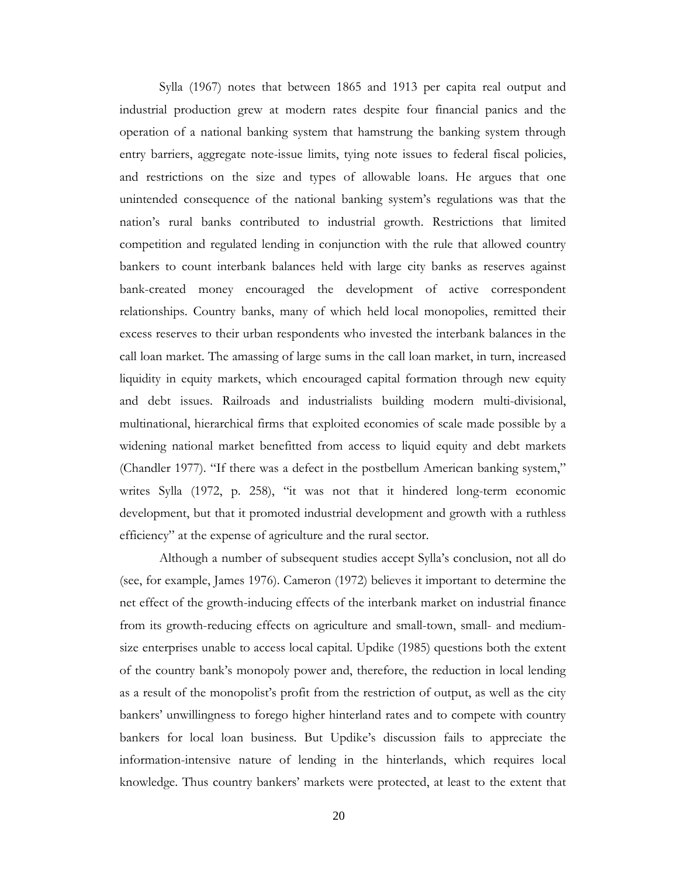Sylla (1967) notes that between 1865 and 1913 per capita real output and industrial production grew at modern rates despite four financial panics and the operation of a national banking system that hamstrung the banking system through entry barriers, aggregate note-issue limits, tying note issues to federal fiscal policies, and restrictions on the size and types of allowable loans. He argues that one unintended consequence of the national banking system's regulations was that the nation's rural banks contributed to industrial growth. Restrictions that limited competition and regulated lending in conjunction with the rule that allowed country bankers to count interbank balances held with large city banks as reserves against bank-created money encouraged the development of active correspondent relationships. Country banks, many of which held local monopolies, remitted their excess reserves to their urban respondents who invested the interbank balances in the call loan market. The amassing of large sums in the call loan market, in turn, increased liquidity in equity markets, which encouraged capital formation through new equity and debt issues. Railroads and industrialists building modern multi-divisional, multinational, hierarchical firms that exploited economies of scale made possible by a widening national market benefitted from access to liquid equity and debt markets (Chandler 1977). "If there was a defect in the postbellum American banking system," writes Sylla (1972, p. 258), "it was not that it hindered long-term economic development, but that it promoted industrial development and growth with a ruthless efficiency" at the expense of agriculture and the rural sector.

Although a number of subsequent studies accept Sylla's conclusion, not all do (see, for example, James 1976). Cameron (1972) believes it important to determine the net effect of the growth-inducing effects of the interbank market on industrial finance from its growth-reducing effects on agriculture and small-town, small- and mediumsize enterprises unable to access local capital. Updike (1985) questions both the extent of the country bank's monopoly power and, therefore, the reduction in local lending as a result of the monopolist's profit from the restriction of output, as well as the city bankers' unwillingness to forego higher hinterland rates and to compete with country bankers for local loan business. But Updike's discussion fails to appreciate the information-intensive nature of lending in the hinterlands, which requires local knowledge. Thus country bankers' markets were protected, at least to the extent that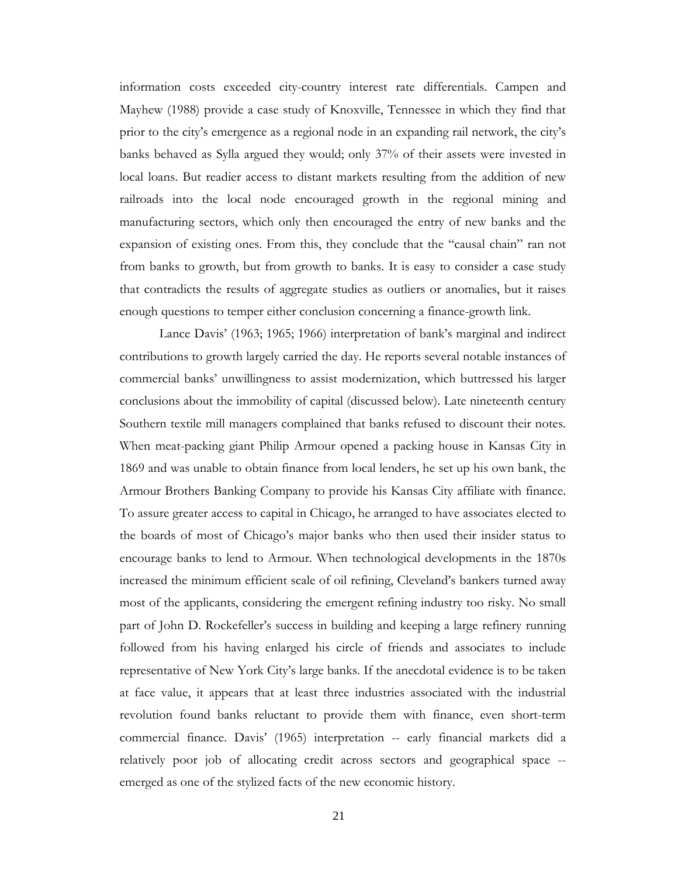information costs exceeded city-country interest rate differentials. Campen and Mayhew (1988) provide a case study of Knoxville, Tennessee in which they find that prior to the city's emergence as a regional node in an expanding rail network, the city's banks behaved as Sylla argued they would; only 37% of their assets were invested in local loans. But readier access to distant markets resulting from the addition of new railroads into the local node encouraged growth in the regional mining and manufacturing sectors, which only then encouraged the entry of new banks and the expansion of existing ones. From this, they conclude that the "causal chain" ran not from banks to growth, but from growth to banks. It is easy to consider a case study that contradicts the results of aggregate studies as outliers or anomalies, but it raises enough questions to temper either conclusion concerning a finance-growth link.

Lance Davis' (1963; 1965; 1966) interpretation of bank's marginal and indirect contributions to growth largely carried the day. He reports several notable instances of commercial banks' unwillingness to assist modernization, which buttressed his larger conclusions about the immobility of capital (discussed below). Late nineteenth century Southern textile mill managers complained that banks refused to discount their notes. When meat-packing giant Philip Armour opened a packing house in Kansas City in 1869 and was unable to obtain finance from local lenders, he set up his own bank, the Armour Brothers Banking Company to provide his Kansas City affiliate with finance. To assure greater access to capital in Chicago, he arranged to have associates elected to the boards of most of Chicago's major banks who then used their insider status to encourage banks to lend to Armour. When technological developments in the 1870s increased the minimum efficient scale of oil refining, Cleveland's bankers turned away most of the applicants, considering the emergent refining industry too risky. No small part of John D. Rockefeller's success in building and keeping a large refinery running followed from his having enlarged his circle of friends and associates to include representative of New York City's large banks. If the anecdotal evidence is to be taken at face value, it appears that at least three industries associated with the industrial revolution found banks reluctant to provide them with finance, even short-term commercial finance. Davis' (1965) interpretation -- early financial markets did a relatively poor job of allocating credit across sectors and geographical space - emerged as one of the stylized facts of the new economic history.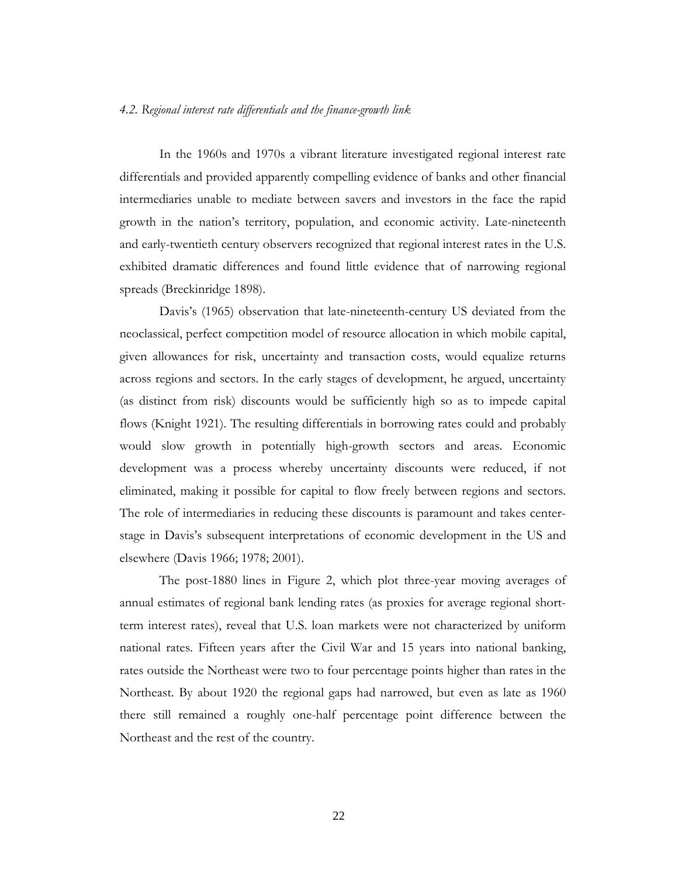#### *4.2. Regional interest rate differentials and the finance-growth link*

In the 1960s and 1970s a vibrant literature investigated regional interest rate differentials and provided apparently compelling evidence of banks and other financial intermediaries unable to mediate between savers and investors in the face the rapid growth in the nation's territory, population, and economic activity. Late-nineteenth and early-twentieth century observers recognized that regional interest rates in the U.S. exhibited dramatic differences and found little evidence that of narrowing regional spreads (Breckinridge 1898).

Davis's (1965) observation that late-nineteenth-century US deviated from the neoclassical, perfect competition model of resource allocation in which mobile capital, given allowances for risk, uncertainty and transaction costs, would equalize returns across regions and sectors. In the early stages of development, he argued, uncertainty (as distinct from risk) discounts would be sufficiently high so as to impede capital flows (Knight 1921). The resulting differentials in borrowing rates could and probably would slow growth in potentially high-growth sectors and areas. Economic development was a process whereby uncertainty discounts were reduced, if not eliminated, making it possible for capital to flow freely between regions and sectors. The role of intermediaries in reducing these discounts is paramount and takes centerstage in Davis's subsequent interpretations of economic development in the US and elsewhere (Davis 1966; 1978; 2001).

The post-1880 lines in Figure 2, which plot three-year moving averages of annual estimates of regional bank lending rates (as proxies for average regional shortterm interest rates), reveal that U.S. loan markets were not characterized by uniform national rates. Fifteen years after the Civil War and 15 years into national banking, rates outside the Northeast were two to four percentage points higher than rates in the Northeast. By about 1920 the regional gaps had narrowed, but even as late as 1960 there still remained a roughly one-half percentage point difference between the Northeast and the rest of the country.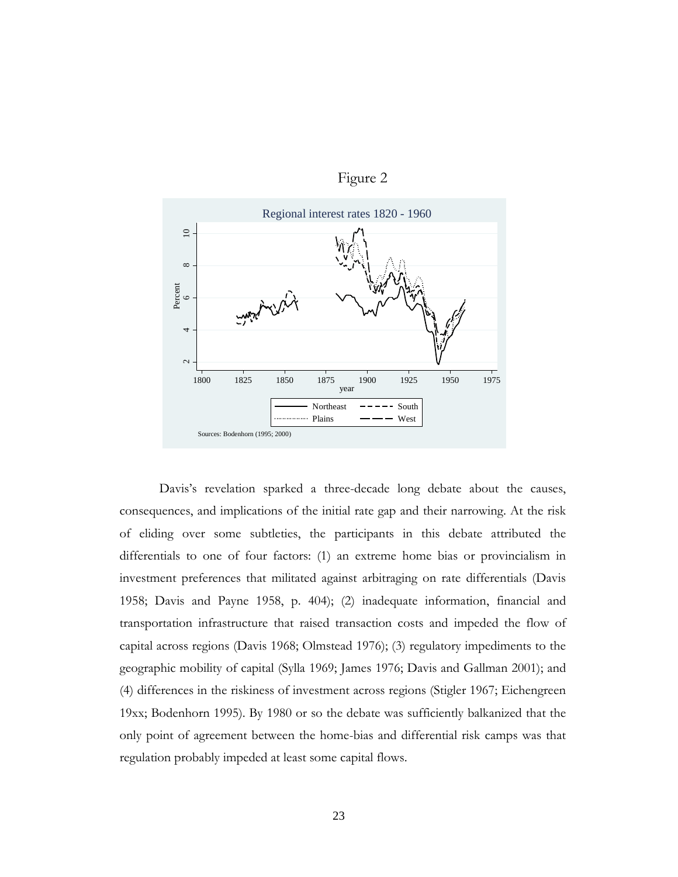



Davis's revelation sparked a three-decade long debate about the causes, consequences, and implications of the initial rate gap and their narrowing. At the risk of eliding over some subtleties, the participants in this debate attributed the differentials to one of four factors: (1) an extreme home bias or provincialism in investment preferences that militated against arbitraging on rate differentials (Davis 1958; Davis and Payne 1958, p. 404); (2) inadequate information, financial and transportation infrastructure that raised transaction costs and impeded the flow of capital across regions (Davis 1968; Olmstead 1976); (3) regulatory impediments to the geographic mobility of capital (Sylla 1969; James 1976; Davis and Gallman 2001); and (4) differences in the riskiness of investment across regions (Stigler 1967; Eichengreen 19xx; Bodenhorn 1995). By 1980 or so the debate was sufficiently balkanized that the only point of agreement between the home-bias and differential risk camps was that regulation probably impeded at least some capital flows.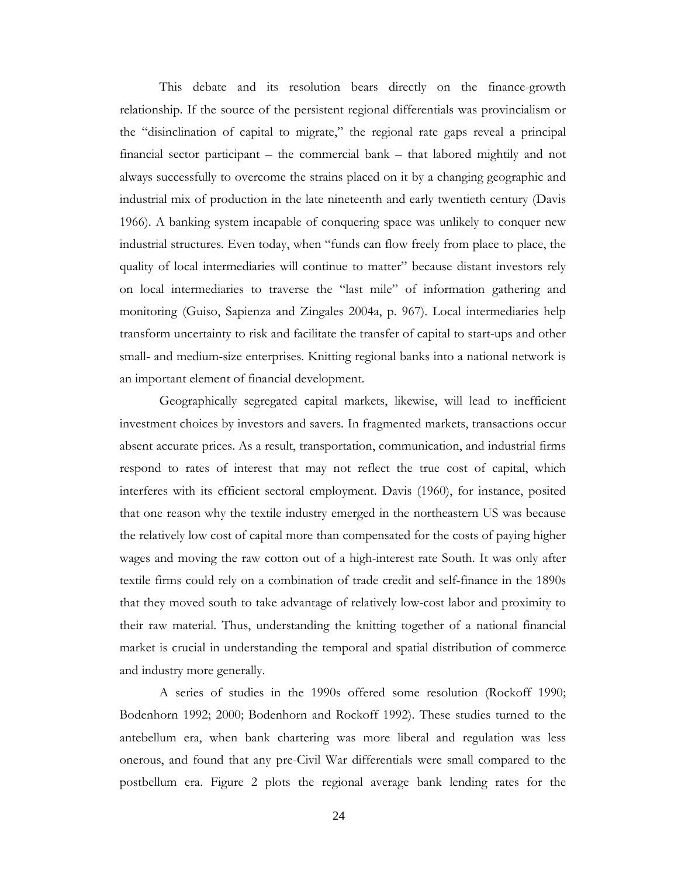This debate and its resolution bears directly on the finance-growth relationship. If the source of the persistent regional differentials was provincialism or the "disinclination of capital to migrate," the regional rate gaps reveal a principal financial sector participant – the commercial bank – that labored mightily and not always successfully to overcome the strains placed on it by a changing geographic and industrial mix of production in the late nineteenth and early twentieth century (Davis 1966). A banking system incapable of conquering space was unlikely to conquer new industrial structures. Even today, when "funds can flow freely from place to place, the quality of local intermediaries will continue to matter" because distant investors rely on local intermediaries to traverse the "last mile" of information gathering and monitoring (Guiso, Sapienza and Zingales 2004a, p. 967). Local intermediaries help transform uncertainty to risk and facilitate the transfer of capital to start-ups and other small- and medium-size enterprises. Knitting regional banks into a national network is an important element of financial development.

Geographically segregated capital markets, likewise, will lead to inefficient investment choices by investors and savers. In fragmented markets, transactions occur absent accurate prices. As a result, transportation, communication, and industrial firms respond to rates of interest that may not reflect the true cost of capital, which interferes with its efficient sectoral employment. Davis (1960), for instance, posited that one reason why the textile industry emerged in the northeastern US was because the relatively low cost of capital more than compensated for the costs of paying higher wages and moving the raw cotton out of a high-interest rate South. It was only after textile firms could rely on a combination of trade credit and self-finance in the 1890s that they moved south to take advantage of relatively low-cost labor and proximity to their raw material. Thus, understanding the knitting together of a national financial market is crucial in understanding the temporal and spatial distribution of commerce and industry more generally.

A series of studies in the 1990s offered some resolution (Rockoff 1990; Bodenhorn 1992; 2000; Bodenhorn and Rockoff 1992). These studies turned to the antebellum era, when bank chartering was more liberal and regulation was less onerous, and found that any pre-Civil War differentials were small compared to the postbellum era. Figure 2 plots the regional average bank lending rates for the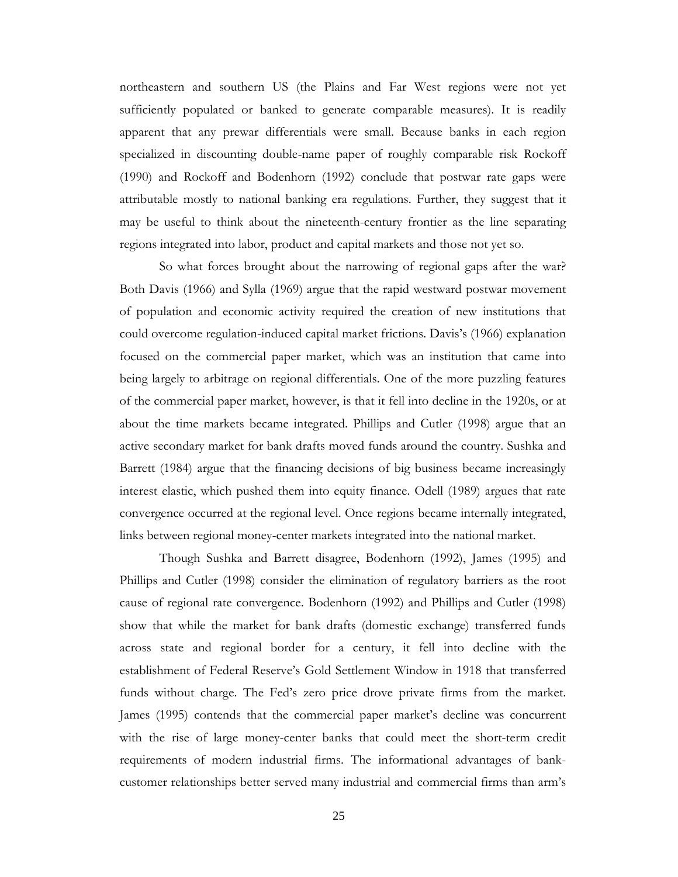northeastern and southern US (the Plains and Far West regions were not yet sufficiently populated or banked to generate comparable measures). It is readily apparent that any prewar differentials were small. Because banks in each region specialized in discounting double-name paper of roughly comparable risk Rockoff (1990) and Rockoff and Bodenhorn (1992) conclude that postwar rate gaps were attributable mostly to national banking era regulations. Further, they suggest that it may be useful to think about the nineteenth-century frontier as the line separating regions integrated into labor, product and capital markets and those not yet so.

So what forces brought about the narrowing of regional gaps after the war? Both Davis (1966) and Sylla (1969) argue that the rapid westward postwar movement of population and economic activity required the creation of new institutions that could overcome regulation-induced capital market frictions. Davis's (1966) explanation focused on the commercial paper market, which was an institution that came into being largely to arbitrage on regional differentials. One of the more puzzling features of the commercial paper market, however, is that it fell into decline in the 1920s, or at about the time markets became integrated. Phillips and Cutler (1998) argue that an active secondary market for bank drafts moved funds around the country. Sushka and Barrett (1984) argue that the financing decisions of big business became increasingly interest elastic, which pushed them into equity finance. Odell (1989) argues that rate convergence occurred at the regional level. Once regions became internally integrated, links between regional money-center markets integrated into the national market.

Though Sushka and Barrett disagree, Bodenhorn (1992), James (1995) and Phillips and Cutler (1998) consider the elimination of regulatory barriers as the root cause of regional rate convergence. Bodenhorn (1992) and Phillips and Cutler (1998) show that while the market for bank drafts (domestic exchange) transferred funds across state and regional border for a century, it fell into decline with the establishment of Federal Reserve's Gold Settlement Window in 1918 that transferred funds without charge. The Fed's zero price drove private firms from the market. James (1995) contends that the commercial paper market's decline was concurrent with the rise of large money-center banks that could meet the short-term credit requirements of modern industrial firms. The informational advantages of bankcustomer relationships better served many industrial and commercial firms than arm's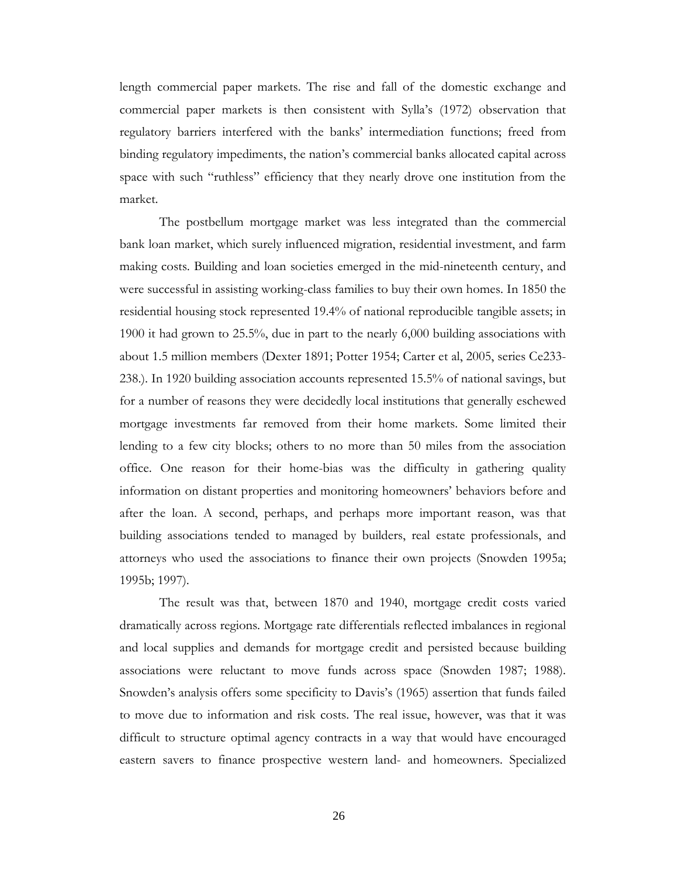length commercial paper markets. The rise and fall of the domestic exchange and commercial paper markets is then consistent with Sylla's (1972) observation that regulatory barriers interfered with the banks' intermediation functions; freed from binding regulatory impediments, the nation's commercial banks allocated capital across space with such "ruthless" efficiency that they nearly drove one institution from the market.

The postbellum mortgage market was less integrated than the commercial bank loan market, which surely influenced migration, residential investment, and farm making costs. Building and loan societies emerged in the mid-nineteenth century, and were successful in assisting working-class families to buy their own homes. In 1850 the residential housing stock represented 19.4% of national reproducible tangible assets; in 1900 it had grown to 25.5%, due in part to the nearly 6,000 building associations with about 1.5 million members (Dexter 1891; Potter 1954; Carter et al, 2005, series Ce233- 238.). In 1920 building association accounts represented 15.5% of national savings, but for a number of reasons they were decidedly local institutions that generally eschewed mortgage investments far removed from their home markets. Some limited their lending to a few city blocks; others to no more than 50 miles from the association office. One reason for their home-bias was the difficulty in gathering quality information on distant properties and monitoring homeowners' behaviors before and after the loan. A second, perhaps, and perhaps more important reason, was that building associations tended to managed by builders, real estate professionals, and attorneys who used the associations to finance their own projects (Snowden 1995a; 1995b; 1997).

The result was that, between 1870 and 1940, mortgage credit costs varied dramatically across regions. Mortgage rate differentials reflected imbalances in regional and local supplies and demands for mortgage credit and persisted because building associations were reluctant to move funds across space (Snowden 1987; 1988). Snowden's analysis offers some specificity to Davis's (1965) assertion that funds failed to move due to information and risk costs. The real issue, however, was that it was difficult to structure optimal agency contracts in a way that would have encouraged eastern savers to finance prospective western land- and homeowners. Specialized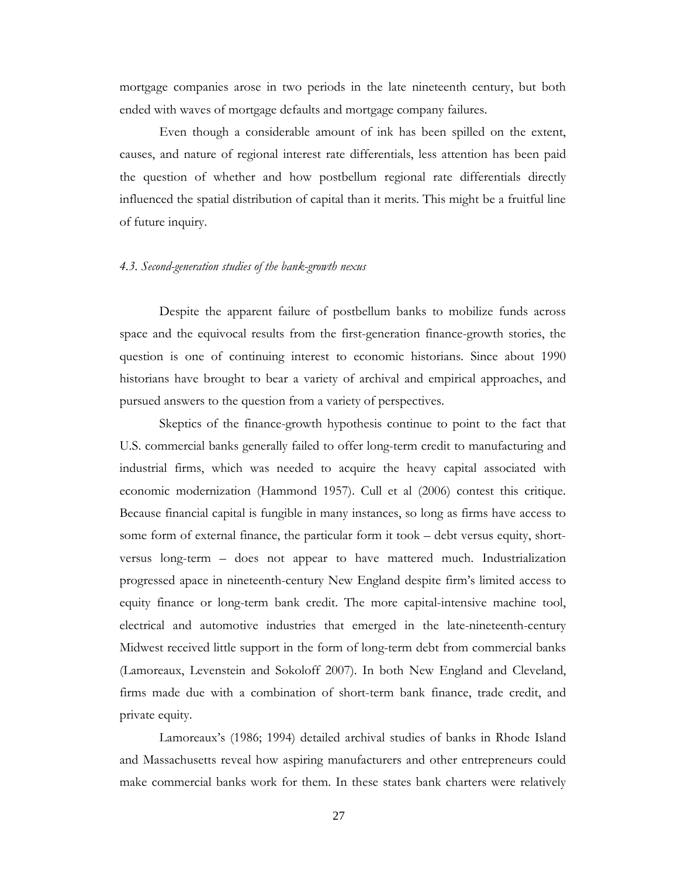mortgage companies arose in two periods in the late nineteenth century, but both ended with waves of mortgage defaults and mortgage company failures.

Even though a considerable amount of ink has been spilled on the extent, causes, and nature of regional interest rate differentials, less attention has been paid the question of whether and how postbellum regional rate differentials directly influenced the spatial distribution of capital than it merits. This might be a fruitful line of future inquiry.

### *4.3. Second-generation studies of the bank-growth nexus*

Despite the apparent failure of postbellum banks to mobilize funds across space and the equivocal results from the first-generation finance-growth stories, the question is one of continuing interest to economic historians. Since about 1990 historians have brought to bear a variety of archival and empirical approaches, and pursued answers to the question from a variety of perspectives.

Skeptics of the finance-growth hypothesis continue to point to the fact that U.S. commercial banks generally failed to offer long-term credit to manufacturing and industrial firms, which was needed to acquire the heavy capital associated with economic modernization (Hammond 1957). Cull et al (2006) contest this critique. Because financial capital is fungible in many instances, so long as firms have access to some form of external finance, the particular form it took – debt versus equity, shortversus long-term – does not appear to have mattered much. Industrialization progressed apace in nineteenth-century New England despite firm's limited access to equity finance or long-term bank credit. The more capital-intensive machine tool, electrical and automotive industries that emerged in the late-nineteenth-century Midwest received little support in the form of long-term debt from commercial banks (Lamoreaux, Levenstein and Sokoloff 2007). In both New England and Cleveland, firms made due with a combination of short-term bank finance, trade credit, and private equity.

Lamoreaux's (1986; 1994) detailed archival studies of banks in Rhode Island and Massachusetts reveal how aspiring manufacturers and other entrepreneurs could make commercial banks work for them. In these states bank charters were relatively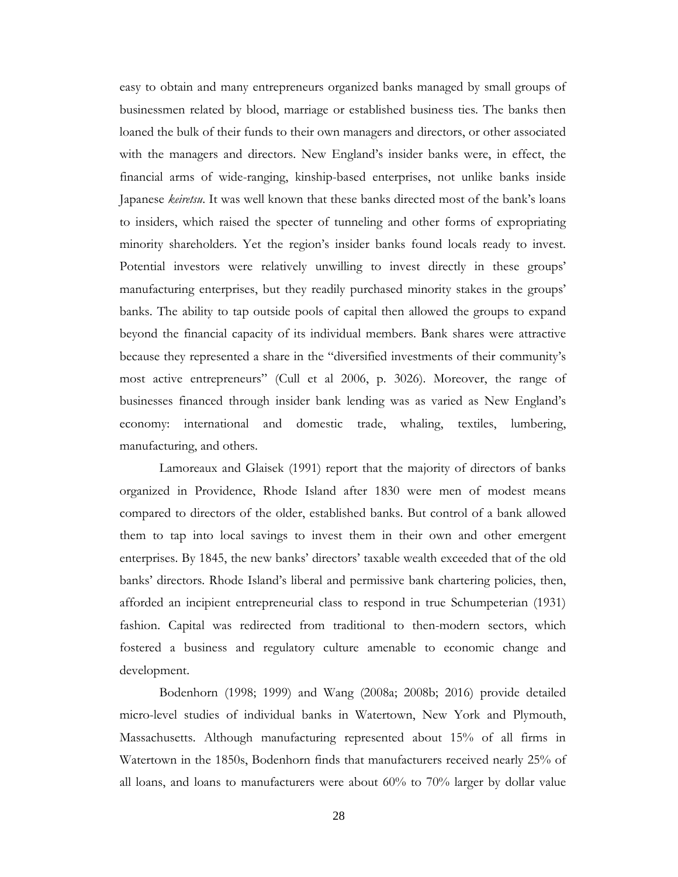easy to obtain and many entrepreneurs organized banks managed by small groups of businessmen related by blood, marriage or established business ties. The banks then loaned the bulk of their funds to their own managers and directors, or other associated with the managers and directors. New England's insider banks were, in effect, the financial arms of wide-ranging, kinship-based enterprises, not unlike banks inside Japanese *keiretsu*. It was well known that these banks directed most of the bank's loans to insiders, which raised the specter of tunneling and other forms of expropriating minority shareholders. Yet the region's insider banks found locals ready to invest. Potential investors were relatively unwilling to invest directly in these groups' manufacturing enterprises, but they readily purchased minority stakes in the groups' banks. The ability to tap outside pools of capital then allowed the groups to expand beyond the financial capacity of its individual members. Bank shares were attractive because they represented a share in the "diversified investments of their community's most active entrepreneurs" (Cull et al 2006, p. 3026). Moreover, the range of businesses financed through insider bank lending was as varied as New England's economy: international and domestic trade, whaling, textiles, lumbering, manufacturing, and others.

Lamoreaux and Glaisek (1991) report that the majority of directors of banks organized in Providence, Rhode Island after 1830 were men of modest means compared to directors of the older, established banks. But control of a bank allowed them to tap into local savings to invest them in their own and other emergent enterprises. By 1845, the new banks' directors' taxable wealth exceeded that of the old banks' directors. Rhode Island's liberal and permissive bank chartering policies, then, afforded an incipient entrepreneurial class to respond in true Schumpeterian (1931) fashion. Capital was redirected from traditional to then-modern sectors, which fostered a business and regulatory culture amenable to economic change and development.

Bodenhorn (1998; 1999) and Wang (2008a; 2008b; 2016) provide detailed micro-level studies of individual banks in Watertown, New York and Plymouth, Massachusetts. Although manufacturing represented about 15% of all firms in Watertown in the 1850s, Bodenhorn finds that manufacturers received nearly 25% of all loans, and loans to manufacturers were about 60% to 70% larger by dollar value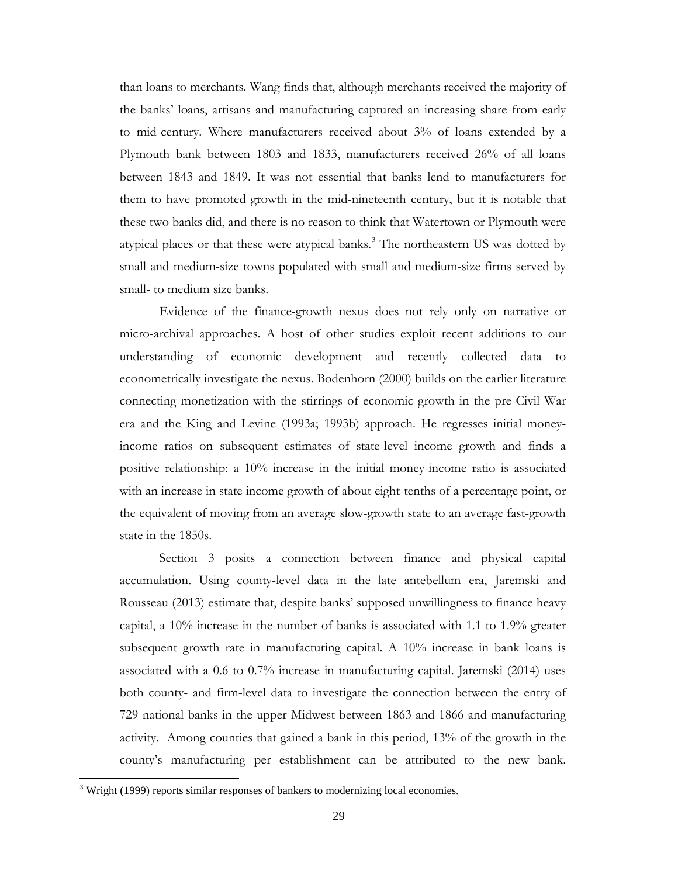than loans to merchants. Wang finds that, although merchants received the majority of the banks' loans, artisans and manufacturing captured an increasing share from early to mid-century. Where manufacturers received about 3% of loans extended by a Plymouth bank between 1803 and 1833, manufacturers received 26% of all loans between 1843 and 1849. It was not essential that banks lend to manufacturers for them to have promoted growth in the mid-nineteenth century, but it is notable that these two banks did, and there is no reason to think that Watertown or Plymouth were atypical places or that these were atypical banks. [3](#page-29-0) The northeastern US was dotted by small and medium-size towns populated with small and medium-size firms served by small- to medium size banks.

Evidence of the finance-growth nexus does not rely only on narrative or micro-archival approaches. A host of other studies exploit recent additions to our understanding of economic development and recently collected data to econometrically investigate the nexus. Bodenhorn (2000) builds on the earlier literature connecting monetization with the stirrings of economic growth in the pre-Civil War era and the King and Levine (1993a; 1993b) approach. He regresses initial moneyincome ratios on subsequent estimates of state-level income growth and finds a positive relationship: a 10% increase in the initial money-income ratio is associated with an increase in state income growth of about eight-tenths of a percentage point, or the equivalent of moving from an average slow-growth state to an average fast-growth state in the 1850s.

Section 3 posits a connection between finance and physical capital accumulation. Using county-level data in the late antebellum era, Jaremski and Rousseau (2013) estimate that, despite banks' supposed unwillingness to finance heavy capital, a 10% increase in the number of banks is associated with 1.1 to 1.9% greater subsequent growth rate in manufacturing capital. A 10% increase in bank loans is associated with a 0.6 to 0.7% increase in manufacturing capital. Jaremski (2014) uses both county- and firm-level data to investigate the connection between the entry of 729 national banks in the upper Midwest between 1863 and 1866 and manufacturing activity. Among counties that gained a bank in this period, 13% of the growth in the county's manufacturing per establishment can be attributed to the new bank.

 $\overline{a}$ 

<span id="page-29-0"></span> $3$  Wright (1999) reports similar responses of bankers to modernizing local economies.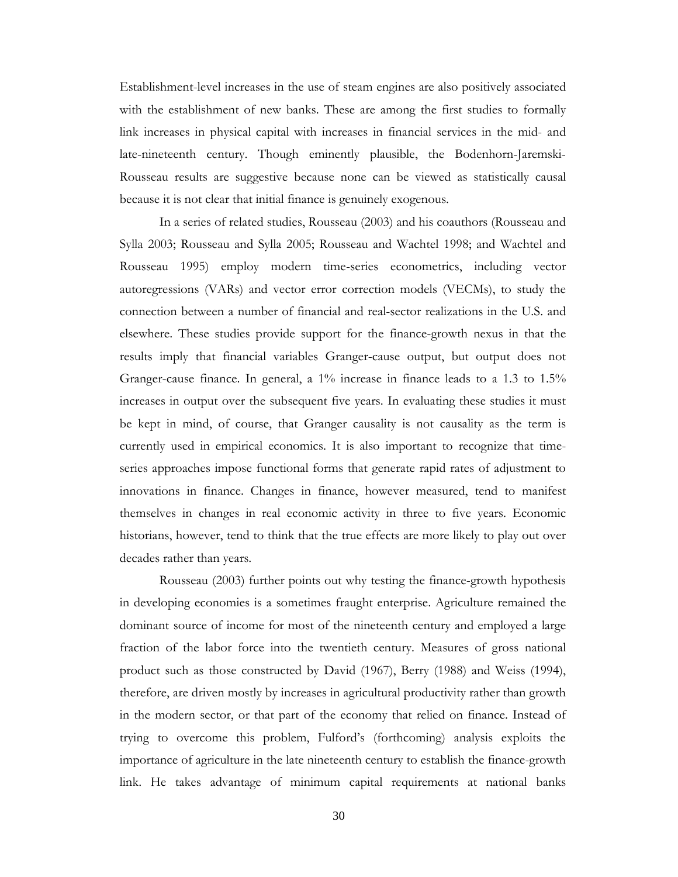Establishment-level increases in the use of steam engines are also positively associated with the establishment of new banks. These are among the first studies to formally link increases in physical capital with increases in financial services in the mid- and late-nineteenth century. Though eminently plausible, the Bodenhorn-Jaremski-Rousseau results are suggestive because none can be viewed as statistically causal because it is not clear that initial finance is genuinely exogenous.

In a series of related studies, Rousseau (2003) and his coauthors (Rousseau and Sylla 2003; Rousseau and Sylla 2005; Rousseau and Wachtel 1998; and Wachtel and Rousseau 1995) employ modern time-series econometrics, including vector autoregressions (VARs) and vector error correction models (VECMs), to study the connection between a number of financial and real-sector realizations in the U.S. and elsewhere. These studies provide support for the finance-growth nexus in that the results imply that financial variables Granger-cause output, but output does not Granger-cause finance. In general, a 1% increase in finance leads to a 1.3 to 1.5% increases in output over the subsequent five years. In evaluating these studies it must be kept in mind, of course, that Granger causality is not causality as the term is currently used in empirical economics. It is also important to recognize that timeseries approaches impose functional forms that generate rapid rates of adjustment to innovations in finance. Changes in finance, however measured, tend to manifest themselves in changes in real economic activity in three to five years. Economic historians, however, tend to think that the true effects are more likely to play out over decades rather than years.

Rousseau (2003) further points out why testing the finance-growth hypothesis in developing economies is a sometimes fraught enterprise. Agriculture remained the dominant source of income for most of the nineteenth century and employed a large fraction of the labor force into the twentieth century. Measures of gross national product such as those constructed by David (1967), Berry (1988) and Weiss (1994), therefore, are driven mostly by increases in agricultural productivity rather than growth in the modern sector, or that part of the economy that relied on finance. Instead of trying to overcome this problem, Fulford's (forthcoming) analysis exploits the importance of agriculture in the late nineteenth century to establish the finance-growth link. He takes advantage of minimum capital requirements at national banks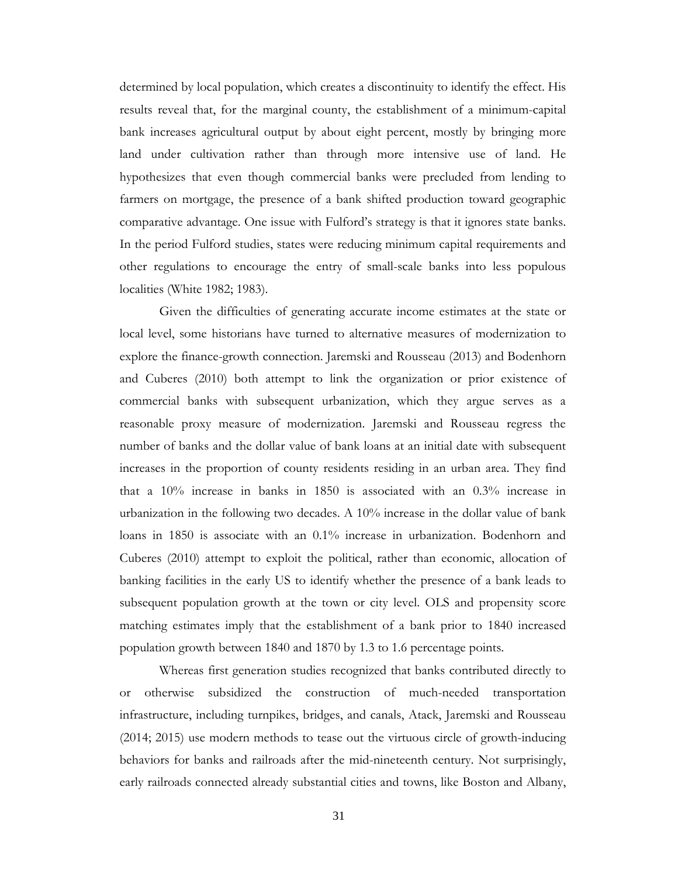determined by local population, which creates a discontinuity to identify the effect. His results reveal that, for the marginal county, the establishment of a minimum-capital bank increases agricultural output by about eight percent, mostly by bringing more land under cultivation rather than through more intensive use of land. He hypothesizes that even though commercial banks were precluded from lending to farmers on mortgage, the presence of a bank shifted production toward geographic comparative advantage. One issue with Fulford's strategy is that it ignores state banks. In the period Fulford studies, states were reducing minimum capital requirements and other regulations to encourage the entry of small-scale banks into less populous localities (White 1982; 1983).

Given the difficulties of generating accurate income estimates at the state or local level, some historians have turned to alternative measures of modernization to explore the finance-growth connection. Jaremski and Rousseau (2013) and Bodenhorn and Cuberes (2010) both attempt to link the organization or prior existence of commercial banks with subsequent urbanization, which they argue serves as a reasonable proxy measure of modernization. Jaremski and Rousseau regress the number of banks and the dollar value of bank loans at an initial date with subsequent increases in the proportion of county residents residing in an urban area. They find that a 10% increase in banks in 1850 is associated with an 0.3% increase in urbanization in the following two decades. A 10% increase in the dollar value of bank loans in 1850 is associate with an 0.1% increase in urbanization. Bodenhorn and Cuberes (2010) attempt to exploit the political, rather than economic, allocation of banking facilities in the early US to identify whether the presence of a bank leads to subsequent population growth at the town or city level. OLS and propensity score matching estimates imply that the establishment of a bank prior to 1840 increased population growth between 1840 and 1870 by 1.3 to 1.6 percentage points.

Whereas first generation studies recognized that banks contributed directly to or otherwise subsidized the construction of much-needed transportation infrastructure, including turnpikes, bridges, and canals, Atack, Jaremski and Rousseau (2014; 2015) use modern methods to tease out the virtuous circle of growth-inducing behaviors for banks and railroads after the mid-nineteenth century. Not surprisingly, early railroads connected already substantial cities and towns, like Boston and Albany,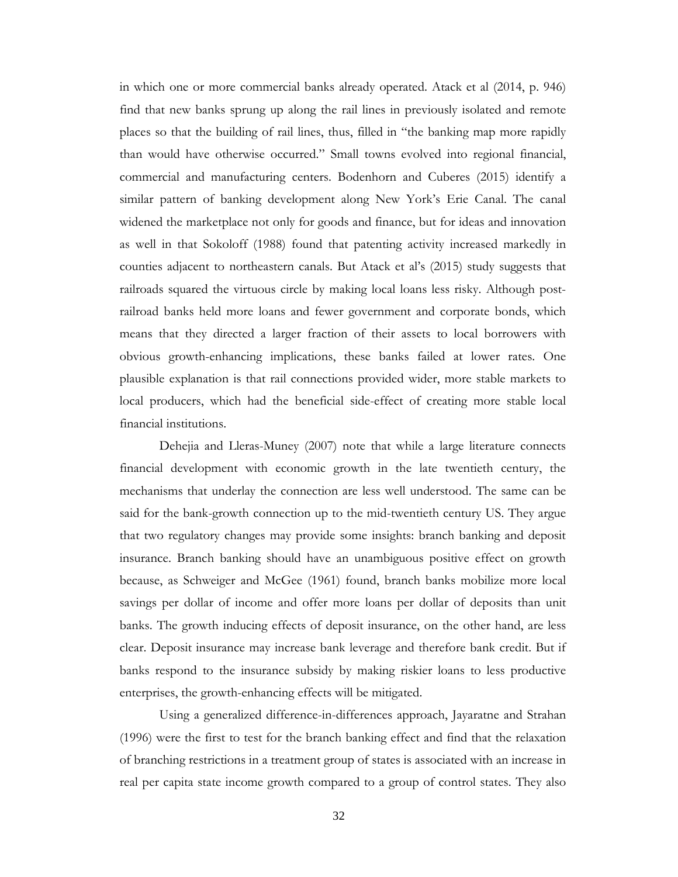in which one or more commercial banks already operated. Atack et al (2014, p. 946) find that new banks sprung up along the rail lines in previously isolated and remote places so that the building of rail lines, thus, filled in "the banking map more rapidly than would have otherwise occurred." Small towns evolved into regional financial, commercial and manufacturing centers. Bodenhorn and Cuberes (2015) identify a similar pattern of banking development along New York's Erie Canal. The canal widened the marketplace not only for goods and finance, but for ideas and innovation as well in that Sokoloff (1988) found that patenting activity increased markedly in counties adjacent to northeastern canals. But Atack et al's (2015) study suggests that railroads squared the virtuous circle by making local loans less risky. Although postrailroad banks held more loans and fewer government and corporate bonds, which means that they directed a larger fraction of their assets to local borrowers with obvious growth-enhancing implications, these banks failed at lower rates. One plausible explanation is that rail connections provided wider, more stable markets to local producers, which had the beneficial side-effect of creating more stable local financial institutions.

Dehejia and Lleras-Muney (2007) note that while a large literature connects financial development with economic growth in the late twentieth century, the mechanisms that underlay the connection are less well understood. The same can be said for the bank-growth connection up to the mid-twentieth century US. They argue that two regulatory changes may provide some insights: branch banking and deposit insurance. Branch banking should have an unambiguous positive effect on growth because, as Schweiger and McGee (1961) found, branch banks mobilize more local savings per dollar of income and offer more loans per dollar of deposits than unit banks. The growth inducing effects of deposit insurance, on the other hand, are less clear. Deposit insurance may increase bank leverage and therefore bank credit. But if banks respond to the insurance subsidy by making riskier loans to less productive enterprises, the growth-enhancing effects will be mitigated.

Using a generalized difference-in-differences approach, Jayaratne and Strahan (1996) were the first to test for the branch banking effect and find that the relaxation of branching restrictions in a treatment group of states is associated with an increase in real per capita state income growth compared to a group of control states. They also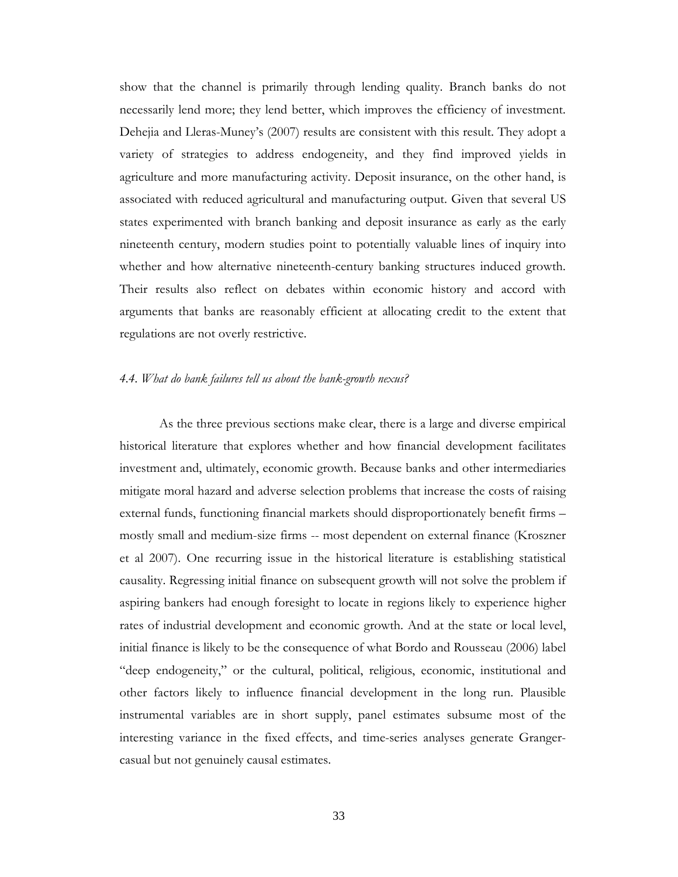show that the channel is primarily through lending quality. Branch banks do not necessarily lend more; they lend better, which improves the efficiency of investment. Dehejia and Lleras-Muney's (2007) results are consistent with this result. They adopt a variety of strategies to address endogeneity, and they find improved yields in agriculture and more manufacturing activity. Deposit insurance, on the other hand, is associated with reduced agricultural and manufacturing output. Given that several US states experimented with branch banking and deposit insurance as early as the early nineteenth century, modern studies point to potentially valuable lines of inquiry into whether and how alternative nineteenth-century banking structures induced growth. Their results also reflect on debates within economic history and accord with arguments that banks are reasonably efficient at allocating credit to the extent that regulations are not overly restrictive.

# *4.4. What do bank failures tell us about the bank-growth nexus?*

As the three previous sections make clear, there is a large and diverse empirical historical literature that explores whether and how financial development facilitates investment and, ultimately, economic growth. Because banks and other intermediaries mitigate moral hazard and adverse selection problems that increase the costs of raising external funds, functioning financial markets should disproportionately benefit firms – mostly small and medium-size firms -- most dependent on external finance (Kroszner et al 2007). One recurring issue in the historical literature is establishing statistical causality. Regressing initial finance on subsequent growth will not solve the problem if aspiring bankers had enough foresight to locate in regions likely to experience higher rates of industrial development and economic growth. And at the state or local level, initial finance is likely to be the consequence of what Bordo and Rousseau (2006) label "deep endogeneity," or the cultural, political, religious, economic, institutional and other factors likely to influence financial development in the long run. Plausible instrumental variables are in short supply, panel estimates subsume most of the interesting variance in the fixed effects, and time-series analyses generate Grangercasual but not genuinely causal estimates.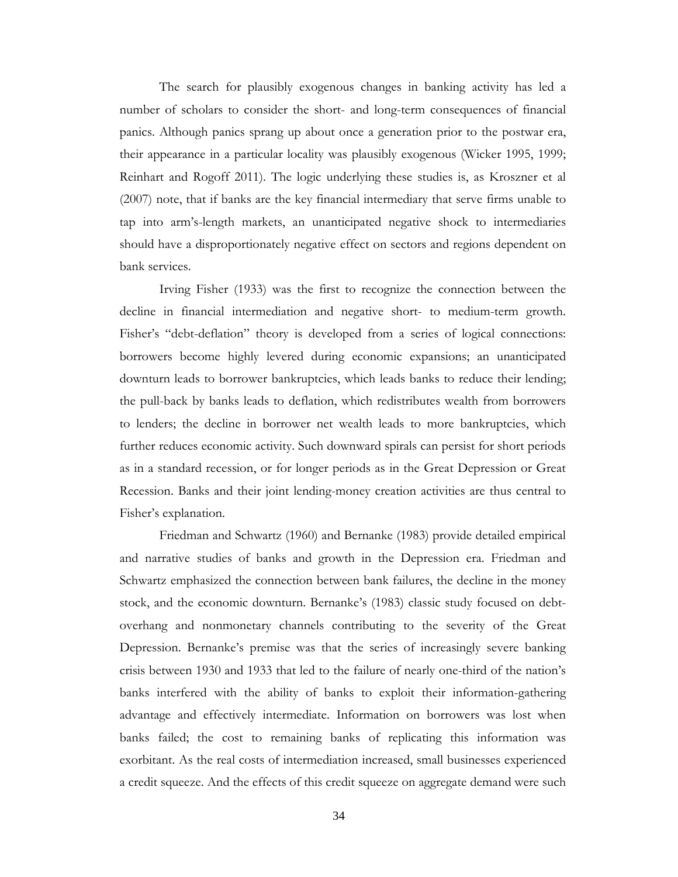The search for plausibly exogenous changes in banking activity has led a number of scholars to consider the short- and long-term consequences of financial panics. Although panics sprang up about once a generation prior to the postwar era, their appearance in a particular locality was plausibly exogenous (Wicker 1995, 1999; Reinhart and Rogoff 2011). The logic underlying these studies is, as Kroszner et al (2007) note, that if banks are the key financial intermediary that serve firms unable to tap into arm's-length markets, an unanticipated negative shock to intermediaries should have a disproportionately negative effect on sectors and regions dependent on bank services.

Irving Fisher (1933) was the first to recognize the connection between the decline in financial intermediation and negative short- to medium-term growth. Fisher's "debt-deflation" theory is developed from a series of logical connections: borrowers become highly levered during economic expansions; an unanticipated downturn leads to borrower bankruptcies, which leads banks to reduce their lending; the pull-back by banks leads to deflation, which redistributes wealth from borrowers to lenders; the decline in borrower net wealth leads to more bankruptcies, which further reduces economic activity. Such downward spirals can persist for short periods as in a standard recession, or for longer periods as in the Great Depression or Great Recession. Banks and their joint lending-money creation activities are thus central to Fisher's explanation.

Friedman and Schwartz (1960) and Bernanke (1983) provide detailed empirical and narrative studies of banks and growth in the Depression era. Friedman and Schwartz emphasized the connection between bank failures, the decline in the money stock, and the economic downturn. Bernanke's (1983) classic study focused on debtoverhang and nonmonetary channels contributing to the severity of the Great Depression. Bernanke's premise was that the series of increasingly severe banking crisis between 1930 and 1933 that led to the failure of nearly one-third of the nation's banks interfered with the ability of banks to exploit their information-gathering advantage and effectively intermediate. Information on borrowers was lost when banks failed; the cost to remaining banks of replicating this information was exorbitant. As the real costs of intermediation increased, small businesses experienced a credit squeeze. And the effects of this credit squeeze on aggregate demand were such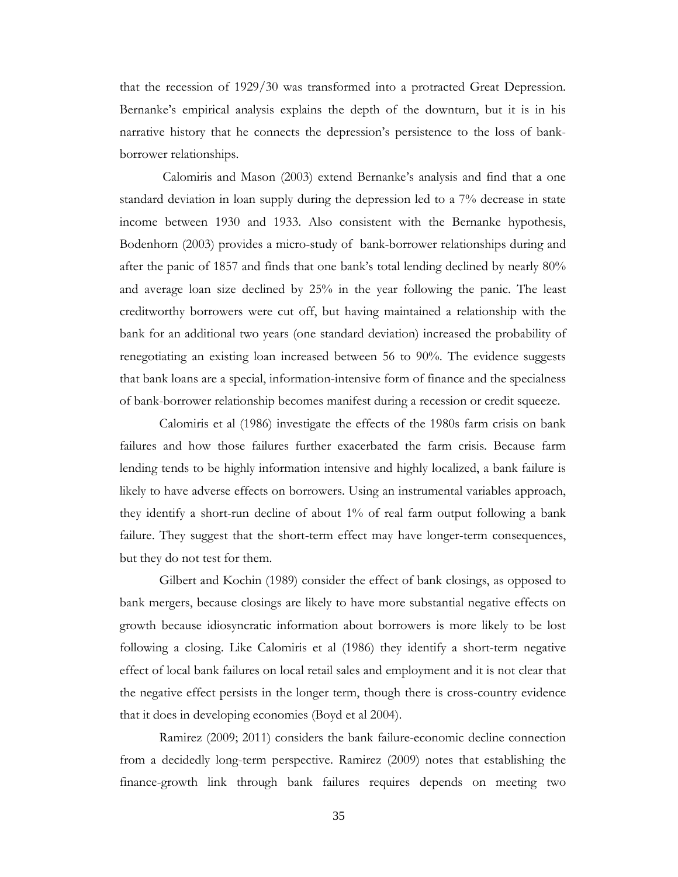that the recession of 1929/30 was transformed into a protracted Great Depression. Bernanke's empirical analysis explains the depth of the downturn, but it is in his narrative history that he connects the depression's persistence to the loss of bankborrower relationships.

Calomiris and Mason (2003) extend Bernanke's analysis and find that a one standard deviation in loan supply during the depression led to a 7% decrease in state income between 1930 and 1933. Also consistent with the Bernanke hypothesis, Bodenhorn (2003) provides a micro-study of bank-borrower relationships during and after the panic of 1857 and finds that one bank's total lending declined by nearly 80% and average loan size declined by 25% in the year following the panic. The least creditworthy borrowers were cut off, but having maintained a relationship with the bank for an additional two years (one standard deviation) increased the probability of renegotiating an existing loan increased between 56 to 90%. The evidence suggests that bank loans are a special, information-intensive form of finance and the specialness of bank-borrower relationship becomes manifest during a recession or credit squeeze.

Calomiris et al (1986) investigate the effects of the 1980s farm crisis on bank failures and how those failures further exacerbated the farm crisis. Because farm lending tends to be highly information intensive and highly localized, a bank failure is likely to have adverse effects on borrowers. Using an instrumental variables approach, they identify a short-run decline of about 1% of real farm output following a bank failure. They suggest that the short-term effect may have longer-term consequences, but they do not test for them.

Gilbert and Kochin (1989) consider the effect of bank closings, as opposed to bank mergers, because closings are likely to have more substantial negative effects on growth because idiosyncratic information about borrowers is more likely to be lost following a closing. Like Calomiris et al (1986) they identify a short-term negative effect of local bank failures on local retail sales and employment and it is not clear that the negative effect persists in the longer term, though there is cross-country evidence that it does in developing economies (Boyd et al 2004).

Ramirez (2009; 2011) considers the bank failure-economic decline connection from a decidedly long-term perspective. Ramirez (2009) notes that establishing the finance-growth link through bank failures requires depends on meeting two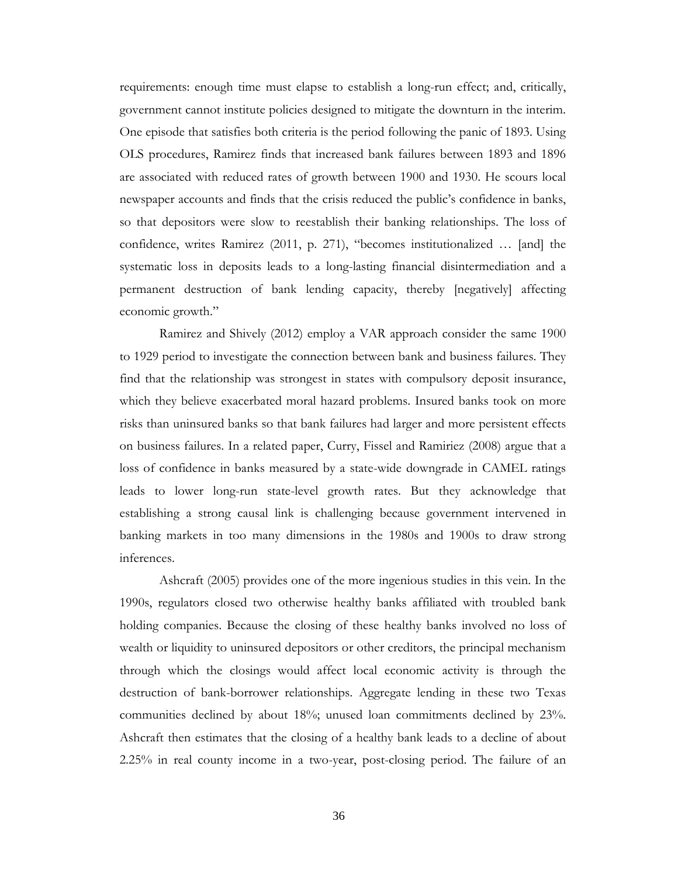requirements: enough time must elapse to establish a long-run effect; and, critically, government cannot institute policies designed to mitigate the downturn in the interim. One episode that satisfies both criteria is the period following the panic of 1893. Using OLS procedures, Ramirez finds that increased bank failures between 1893 and 1896 are associated with reduced rates of growth between 1900 and 1930. He scours local newspaper accounts and finds that the crisis reduced the public's confidence in banks, so that depositors were slow to reestablish their banking relationships. The loss of confidence, writes Ramirez (2011, p. 271), "becomes institutionalized … [and] the systematic loss in deposits leads to a long-lasting financial disintermediation and a permanent destruction of bank lending capacity, thereby [negatively] affecting economic growth."

Ramirez and Shively (2012) employ a VAR approach consider the same 1900 to 1929 period to investigate the connection between bank and business failures. They find that the relationship was strongest in states with compulsory deposit insurance, which they believe exacerbated moral hazard problems. Insured banks took on more risks than uninsured banks so that bank failures had larger and more persistent effects on business failures. In a related paper, Curry, Fissel and Ramiriez (2008) argue that a loss of confidence in banks measured by a state-wide downgrade in CAMEL ratings leads to lower long-run state-level growth rates. But they acknowledge that establishing a strong causal link is challenging because government intervened in banking markets in too many dimensions in the 1980s and 1900s to draw strong inferences.

Ashcraft (2005) provides one of the more ingenious studies in this vein. In the 1990s, regulators closed two otherwise healthy banks affiliated with troubled bank holding companies. Because the closing of these healthy banks involved no loss of wealth or liquidity to uninsured depositors or other creditors, the principal mechanism through which the closings would affect local economic activity is through the destruction of bank-borrower relationships. Aggregate lending in these two Texas communities declined by about 18%; unused loan commitments declined by 23%. Ashcraft then estimates that the closing of a healthy bank leads to a decline of about 2.25% in real county income in a two-year, post-closing period. The failure of an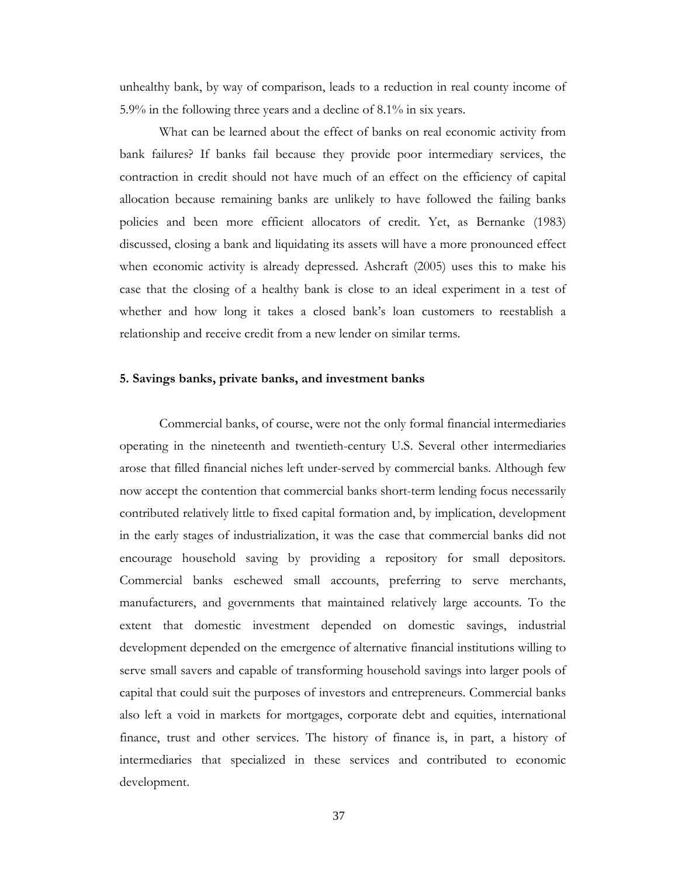unhealthy bank, by way of comparison, leads to a reduction in real county income of 5.9% in the following three years and a decline of 8.1% in six years.

What can be learned about the effect of banks on real economic activity from bank failures? If banks fail because they provide poor intermediary services, the contraction in credit should not have much of an effect on the efficiency of capital allocation because remaining banks are unlikely to have followed the failing banks policies and been more efficient allocators of credit. Yet, as Bernanke (1983) discussed, closing a bank and liquidating its assets will have a more pronounced effect when economic activity is already depressed. Ashcraft (2005) uses this to make his case that the closing of a healthy bank is close to an ideal experiment in a test of whether and how long it takes a closed bank's loan customers to reestablish a relationship and receive credit from a new lender on similar terms.

#### **5. Savings banks, private banks, and investment banks**

Commercial banks, of course, were not the only formal financial intermediaries operating in the nineteenth and twentieth-century U.S. Several other intermediaries arose that filled financial niches left under-served by commercial banks. Although few now accept the contention that commercial banks short-term lending focus necessarily contributed relatively little to fixed capital formation and, by implication, development in the early stages of industrialization, it was the case that commercial banks did not encourage household saving by providing a repository for small depositors. Commercial banks eschewed small accounts, preferring to serve merchants, manufacturers, and governments that maintained relatively large accounts. To the extent that domestic investment depended on domestic savings, industrial development depended on the emergence of alternative financial institutions willing to serve small savers and capable of transforming household savings into larger pools of capital that could suit the purposes of investors and entrepreneurs. Commercial banks also left a void in markets for mortgages, corporate debt and equities, international finance, trust and other services. The history of finance is, in part, a history of intermediaries that specialized in these services and contributed to economic development.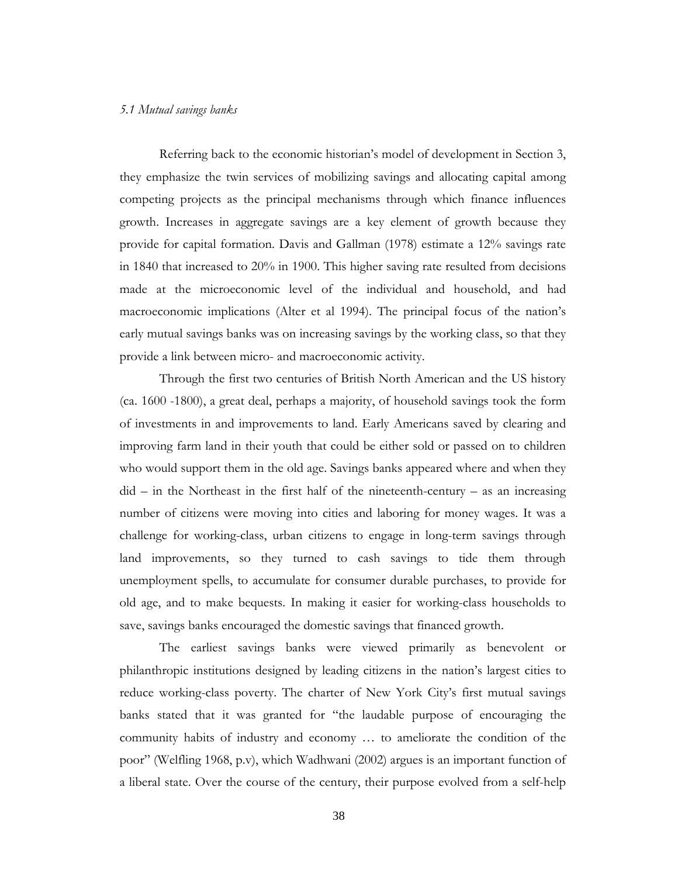#### *5.1 Mutual savings banks*

Referring back to the economic historian's model of development in Section 3, they emphasize the twin services of mobilizing savings and allocating capital among competing projects as the principal mechanisms through which finance influences growth. Increases in aggregate savings are a key element of growth because they provide for capital formation. Davis and Gallman (1978) estimate a 12% savings rate in 1840 that increased to 20% in 1900. This higher saving rate resulted from decisions made at the microeconomic level of the individual and household, and had macroeconomic implications (Alter et al 1994). The principal focus of the nation's early mutual savings banks was on increasing savings by the working class, so that they provide a link between micro- and macroeconomic activity.

Through the first two centuries of British North American and the US history (ca. 1600 -1800), a great deal, perhaps a majority, of household savings took the form of investments in and improvements to land. Early Americans saved by clearing and improving farm land in their youth that could be either sold or passed on to children who would support them in the old age. Savings banks appeared where and when they did – in the Northeast in the first half of the nineteenth-century – as an increasing number of citizens were moving into cities and laboring for money wages. It was a challenge for working-class, urban citizens to engage in long-term savings through land improvements, so they turned to cash savings to tide them through unemployment spells, to accumulate for consumer durable purchases, to provide for old age, and to make bequests. In making it easier for working-class households to save, savings banks encouraged the domestic savings that financed growth.

The earliest savings banks were viewed primarily as benevolent or philanthropic institutions designed by leading citizens in the nation's largest cities to reduce working-class poverty. The charter of New York City's first mutual savings banks stated that it was granted for "the laudable purpose of encouraging the community habits of industry and economy … to ameliorate the condition of the poor" (Welfling 1968, p.v), which Wadhwani (2002) argues is an important function of a liberal state. Over the course of the century, their purpose evolved from a self-help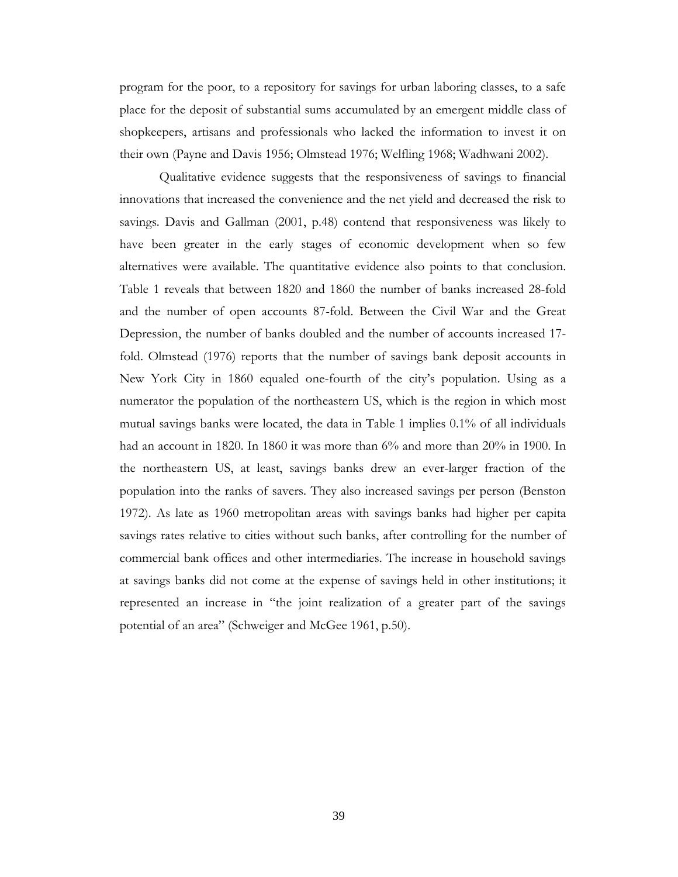program for the poor, to a repository for savings for urban laboring classes, to a safe place for the deposit of substantial sums accumulated by an emergent middle class of shopkeepers, artisans and professionals who lacked the information to invest it on their own (Payne and Davis 1956; Olmstead 1976; Welfling 1968; Wadhwani 2002).

Qualitative evidence suggests that the responsiveness of savings to financial innovations that increased the convenience and the net yield and decreased the risk to savings. Davis and Gallman (2001, p.48) contend that responsiveness was likely to have been greater in the early stages of economic development when so few alternatives were available. The quantitative evidence also points to that conclusion. Table 1 reveals that between 1820 and 1860 the number of banks increased 28-fold and the number of open accounts 87-fold. Between the Civil War and the Great Depression, the number of banks doubled and the number of accounts increased 17 fold. Olmstead (1976) reports that the number of savings bank deposit accounts in New York City in 1860 equaled one-fourth of the city's population. Using as a numerator the population of the northeastern US, which is the region in which most mutual savings banks were located, the data in Table 1 implies 0.1% of all individuals had an account in 1820. In 1860 it was more than 6% and more than 20% in 1900. In the northeastern US, at least, savings banks drew an ever-larger fraction of the population into the ranks of savers. They also increased savings per person (Benston 1972). As late as 1960 metropolitan areas with savings banks had higher per capita savings rates relative to cities without such banks, after controlling for the number of commercial bank offices and other intermediaries. The increase in household savings at savings banks did not come at the expense of savings held in other institutions; it represented an increase in "the joint realization of a greater part of the savings potential of an area" (Schweiger and McGee 1961, p.50).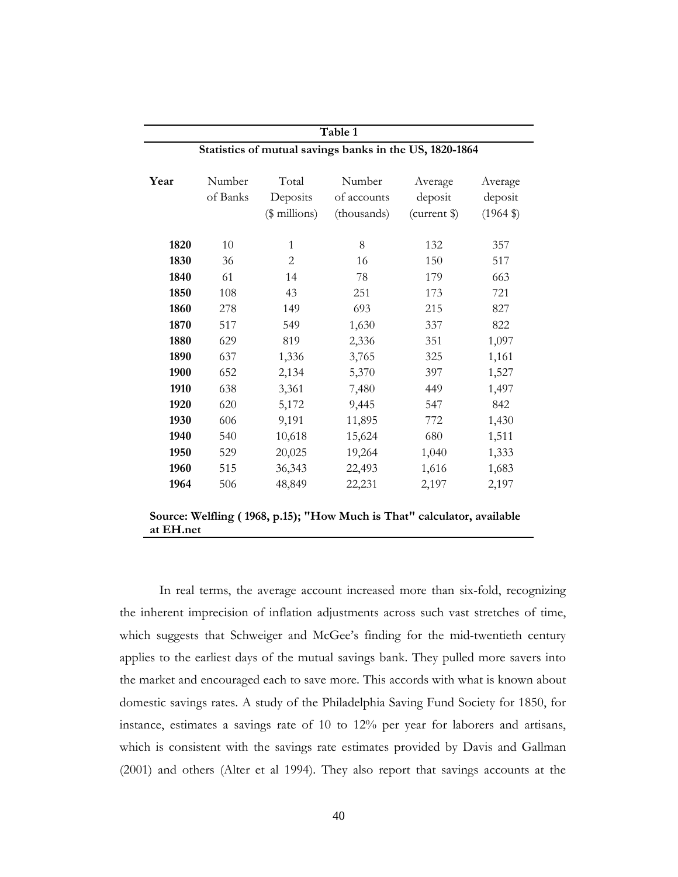| Table 1<br>Statistics of mutual savings banks in the US, 1820-1864 |     |               |             |              |                                                  |  |  |
|--------------------------------------------------------------------|-----|---------------|-------------|--------------|--------------------------------------------------|--|--|
|                                                                    |     |               |             |              |                                                  |  |  |
|                                                                    |     | $$$ millions) | (thousands) | (current \$) | $(1964 \text{ } \frac{\text{}}{\text{}}\text{)}$ |  |  |
| 1820                                                               | 10  | $\mathbf{1}$  | 8           | 132          | 357                                              |  |  |
| 1830                                                               | 36  | $\mathbf{2}$  | 16          | 150          | 517                                              |  |  |
| 1840                                                               | 61  | 14            | 78          | 179          | 663                                              |  |  |
| 1850                                                               | 108 | 43            | 251         | 173          | 721                                              |  |  |
| 1860                                                               | 278 | 149           | 693         | 215          | 827                                              |  |  |
| 1870                                                               | 517 | 549           | 1,630       | 337          | 822                                              |  |  |
| 1880                                                               | 629 | 819           | 2,336       | 351          | 1,097                                            |  |  |
| 1890                                                               | 637 | 1,336         | 3,765       | 325          | 1,161                                            |  |  |
| 1900                                                               | 652 | 2,134         | 5,370       | 397          | 1,527                                            |  |  |
| 1910                                                               | 638 | 3,361         | 7,480       | 449          | 1,497                                            |  |  |
| 1920                                                               | 620 | 5,172         | 9,445       | 547          | 842                                              |  |  |
| 1930                                                               | 606 | 9,191         | 11,895      | 772          | 1,430                                            |  |  |
| 1940                                                               | 540 | 10,618        | 15,624      | 680          | 1,511                                            |  |  |
| 1950                                                               | 529 | 20,025        | 19,264      | 1,040        | 1,333                                            |  |  |
| 1960                                                               | 515 | 36,343        | 22,493      | 1,616        | 1,683                                            |  |  |
|                                                                    | 506 | 48,849        | 22,231      | 2,197        | 2,197                                            |  |  |

In real terms, the average account increased more than six-fold, recognizing the inherent imprecision of inflation adjustments across such vast stretches of time, which suggests that Schweiger and McGee's finding for the mid-twentieth century applies to the earliest days of the mutual savings bank. They pulled more savers into the market and encouraged each to save more. This accords with what is known about domestic savings rates. A study of the Philadelphia Saving Fund Society for 1850, for instance, estimates a savings rate of 10 to 12% per year for laborers and artisans, which is consistent with the savings rate estimates provided by Davis and Gallman (2001) and others (Alter et al 1994). They also report that savings accounts at the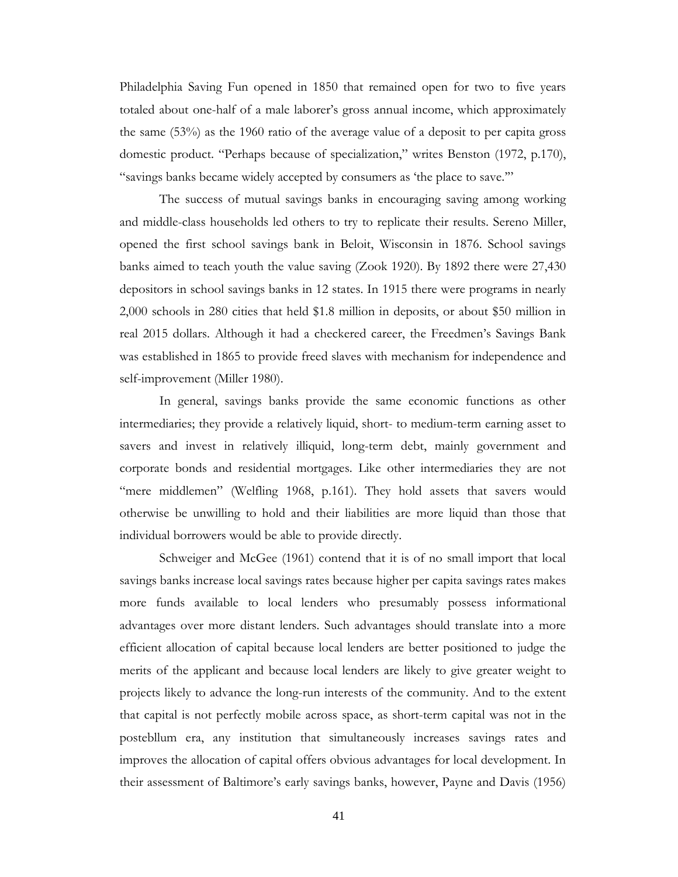Philadelphia Saving Fun opened in 1850 that remained open for two to five years totaled about one-half of a male laborer's gross annual income, which approximately the same (53%) as the 1960 ratio of the average value of a deposit to per capita gross domestic product. "Perhaps because of specialization," writes Benston (1972, p.170), "savings banks became widely accepted by consumers as 'the place to save.'"

The success of mutual savings banks in encouraging saving among working and middle-class households led others to try to replicate their results. Sereno Miller, opened the first school savings bank in Beloit, Wisconsin in 1876. School savings banks aimed to teach youth the value saving (Zook 1920). By 1892 there were 27,430 depositors in school savings banks in 12 states. In 1915 there were programs in nearly 2,000 schools in 280 cities that held \$1.8 million in deposits, or about \$50 million in real 2015 dollars. Although it had a checkered career, the Freedmen's Savings Bank was established in 1865 to provide freed slaves with mechanism for independence and self-improvement (Miller 1980).

In general, savings banks provide the same economic functions as other intermediaries; they provide a relatively liquid, short- to medium-term earning asset to savers and invest in relatively illiquid, long-term debt, mainly government and corporate bonds and residential mortgages. Like other intermediaries they are not "mere middlemen" (Welfling 1968, p.161). They hold assets that savers would otherwise be unwilling to hold and their liabilities are more liquid than those that individual borrowers would be able to provide directly.

Schweiger and McGee (1961) contend that it is of no small import that local savings banks increase local savings rates because higher per capita savings rates makes more funds available to local lenders who presumably possess informational advantages over more distant lenders. Such advantages should translate into a more efficient allocation of capital because local lenders are better positioned to judge the merits of the applicant and because local lenders are likely to give greater weight to projects likely to advance the long-run interests of the community. And to the extent that capital is not perfectly mobile across space, as short-term capital was not in the postebllum era, any institution that simultaneously increases savings rates and improves the allocation of capital offers obvious advantages for local development. In their assessment of Baltimore's early savings banks, however, Payne and Davis (1956)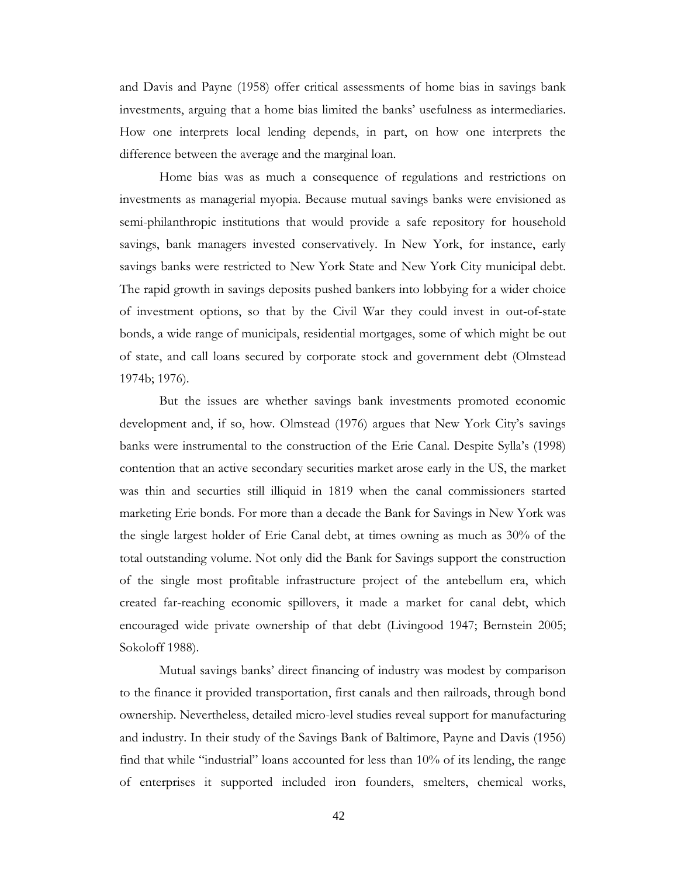and Davis and Payne (1958) offer critical assessments of home bias in savings bank investments, arguing that a home bias limited the banks' usefulness as intermediaries. How one interprets local lending depends, in part, on how one interprets the difference between the average and the marginal loan.

Home bias was as much a consequence of regulations and restrictions on investments as managerial myopia. Because mutual savings banks were envisioned as semi-philanthropic institutions that would provide a safe repository for household savings, bank managers invested conservatively. In New York, for instance, early savings banks were restricted to New York State and New York City municipal debt. The rapid growth in savings deposits pushed bankers into lobbying for a wider choice of investment options, so that by the Civil War they could invest in out-of-state bonds, a wide range of municipals, residential mortgages, some of which might be out of state, and call loans secured by corporate stock and government debt (Olmstead 1974b; 1976).

But the issues are whether savings bank investments promoted economic development and, if so, how. Olmstead (1976) argues that New York City's savings banks were instrumental to the construction of the Erie Canal. Despite Sylla's (1998) contention that an active secondary securities market arose early in the US, the market was thin and securties still illiquid in 1819 when the canal commissioners started marketing Erie bonds. For more than a decade the Bank for Savings in New York was the single largest holder of Erie Canal debt, at times owning as much as 30% of the total outstanding volume. Not only did the Bank for Savings support the construction of the single most profitable infrastructure project of the antebellum era, which created far-reaching economic spillovers, it made a market for canal debt, which encouraged wide private ownership of that debt (Livingood 1947; Bernstein 2005; Sokoloff 1988).

Mutual savings banks' direct financing of industry was modest by comparison to the finance it provided transportation, first canals and then railroads, through bond ownership. Nevertheless, detailed micro-level studies reveal support for manufacturing and industry. In their study of the Savings Bank of Baltimore, Payne and Davis (1956) find that while "industrial" loans accounted for less than 10% of its lending, the range of enterprises it supported included iron founders, smelters, chemical works,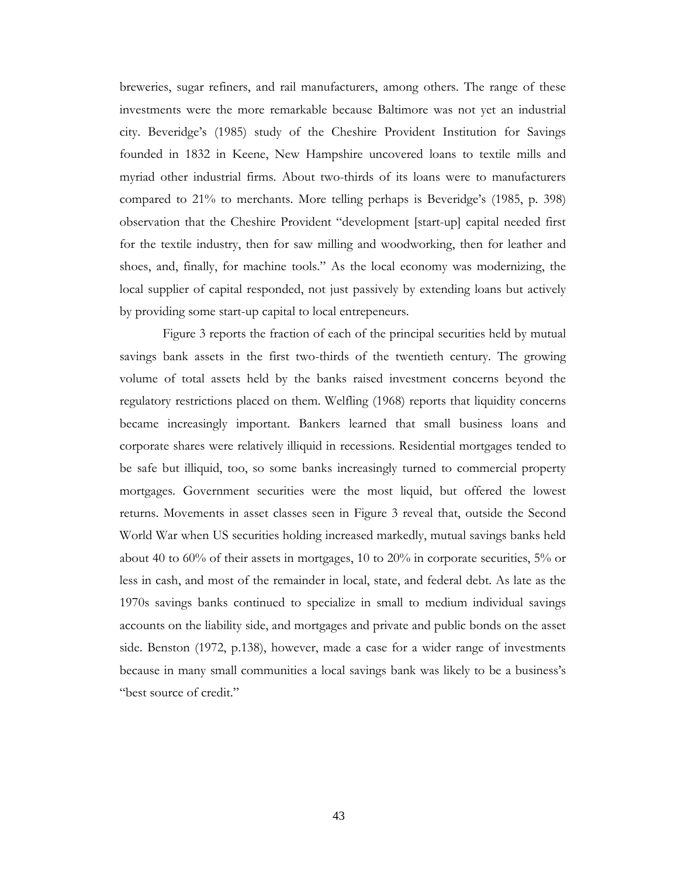breweries, sugar refiners, and rail manufacturers, among others. The range of these investments were the more remarkable because Baltimore was not yet an industrial city. Beveridge's (1985) study of the Cheshire Provident Institution for Savings founded in 1832 in Keene, New Hampshire uncovered loans to textile mills and myriad other industrial firms. About two-thirds of its loans were to manufacturers compared to 21% to merchants. More telling perhaps is Beveridge's (1985, p. 398) observation that the Cheshire Provident "development [start-up] capital needed first for the textile industry, then for saw milling and woodworking, then for leather and shoes, and, finally, for machine tools." As the local economy was modernizing, the local supplier of capital responded, not just passively by extending loans but actively by providing some start-up capital to local entrepeneurs.

Figure 3 reports the fraction of each of the principal securities held by mutual savings bank assets in the first two-thirds of the twentieth century. The growing volume of total assets held by the banks raised investment concerns beyond the regulatory restrictions placed on them. Welfling (1968) reports that liquidity concerns became increasingly important. Bankers learned that small business loans and corporate shares were relatively illiquid in recessions. Residential mortgages tended to be safe but illiquid, too, so some banks increasingly turned to commercial property mortgages. Government securities were the most liquid, but offered the lowest returns. Movements in asset classes seen in Figure 3 reveal that, outside the Second World War when US securities holding increased markedly, mutual savings banks held about 40 to 60% of their assets in mortgages, 10 to 20% in corporate securities, 5% or less in cash, and most of the remainder in local, state, and federal debt. As late as the 1970s savings banks continued to specialize in small to medium individual savings accounts on the liability side, and mortgages and private and public bonds on the asset side. Benston (1972, p.138), however, made a case for a wider range of investments because in many small communities a local savings bank was likely to be a business's "best source of credit."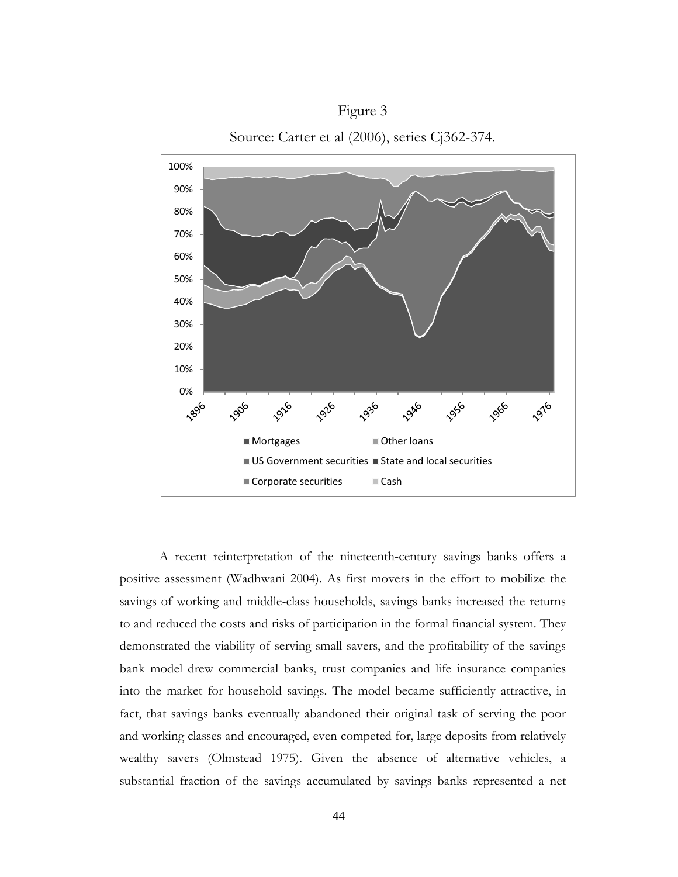

Figure 3 Source: Carter et al (2006), series Cj362-374.

A recent reinterpretation of the nineteenth-century savings banks offers a positive assessment (Wadhwani 2004). As first movers in the effort to mobilize the savings of working and middle-class households, savings banks increased the returns to and reduced the costs and risks of participation in the formal financial system. They demonstrated the viability of serving small savers, and the profitability of the savings bank model drew commercial banks, trust companies and life insurance companies into the market for household savings. The model became sufficiently attractive, in fact, that savings banks eventually abandoned their original task of serving the poor and working classes and encouraged, even competed for, large deposits from relatively wealthy savers (Olmstead 1975). Given the absence of alternative vehicles, a substantial fraction of the savings accumulated by savings banks represented a net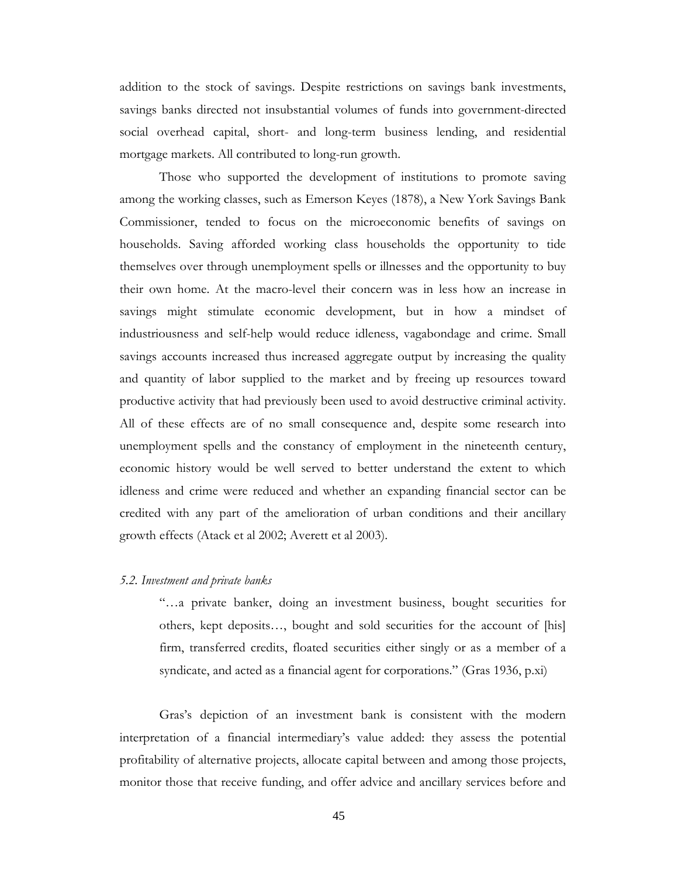addition to the stock of savings. Despite restrictions on savings bank investments, savings banks directed not insubstantial volumes of funds into government-directed social overhead capital, short- and long-term business lending, and residential mortgage markets. All contributed to long-run growth.

Those who supported the development of institutions to promote saving among the working classes, such as Emerson Keyes (1878), a New York Savings Bank Commissioner, tended to focus on the microeconomic benefits of savings on households. Saving afforded working class households the opportunity to tide themselves over through unemployment spells or illnesses and the opportunity to buy their own home. At the macro-level their concern was in less how an increase in savings might stimulate economic development, but in how a mindset of industriousness and self-help would reduce idleness, vagabondage and crime. Small savings accounts increased thus increased aggregate output by increasing the quality and quantity of labor supplied to the market and by freeing up resources toward productive activity that had previously been used to avoid destructive criminal activity. All of these effects are of no small consequence and, despite some research into unemployment spells and the constancy of employment in the nineteenth century, economic history would be well served to better understand the extent to which idleness and crime were reduced and whether an expanding financial sector can be credited with any part of the amelioration of urban conditions and their ancillary growth effects (Atack et al 2002; Averett et al 2003).

### *5.2. Investment and private banks*

"…a private banker, doing an investment business, bought securities for others, kept deposits…, bought and sold securities for the account of [his] firm, transferred credits, floated securities either singly or as a member of a syndicate, and acted as a financial agent for corporations." (Gras 1936, p.xi)

Gras's depiction of an investment bank is consistent with the modern interpretation of a financial intermediary's value added: they assess the potential profitability of alternative projects, allocate capital between and among those projects, monitor those that receive funding, and offer advice and ancillary services before and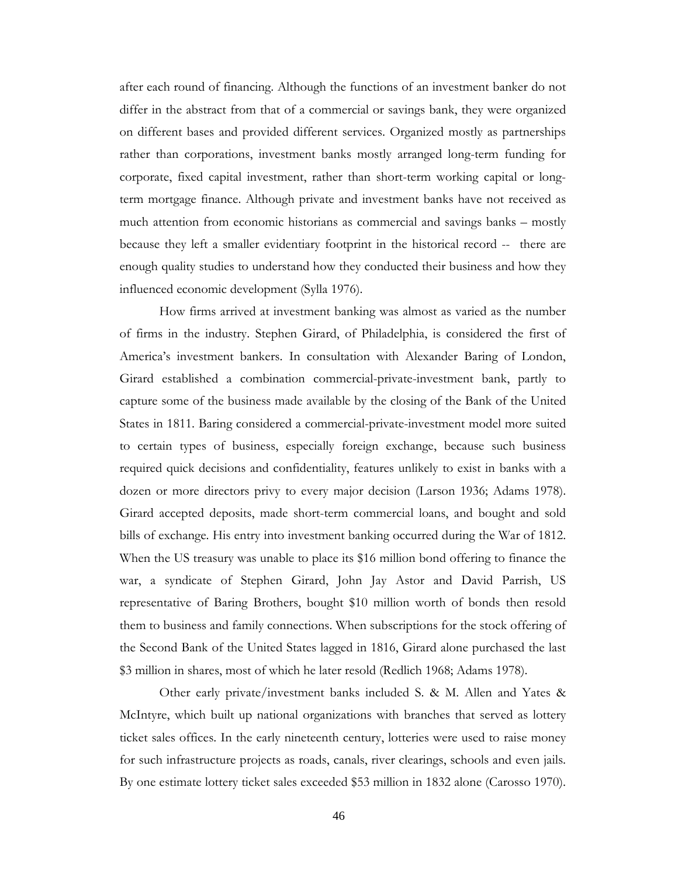after each round of financing. Although the functions of an investment banker do not differ in the abstract from that of a commercial or savings bank, they were organized on different bases and provided different services. Organized mostly as partnerships rather than corporations, investment banks mostly arranged long-term funding for corporate, fixed capital investment, rather than short-term working capital or longterm mortgage finance. Although private and investment banks have not received as much attention from economic historians as commercial and savings banks – mostly because they left a smaller evidentiary footprint in the historical record -- there are enough quality studies to understand how they conducted their business and how they influenced economic development (Sylla 1976).

How firms arrived at investment banking was almost as varied as the number of firms in the industry. Stephen Girard, of Philadelphia, is considered the first of America's investment bankers. In consultation with Alexander Baring of London, Girard established a combination commercial-private-investment bank, partly to capture some of the business made available by the closing of the Bank of the United States in 1811. Baring considered a commercial-private-investment model more suited to certain types of business, especially foreign exchange, because such business required quick decisions and confidentiality, features unlikely to exist in banks with a dozen or more directors privy to every major decision (Larson 1936; Adams 1978). Girard accepted deposits, made short-term commercial loans, and bought and sold bills of exchange. His entry into investment banking occurred during the War of 1812. When the US treasury was unable to place its \$16 million bond offering to finance the war, a syndicate of Stephen Girard, John Jay Astor and David Parrish, US representative of Baring Brothers, bought \$10 million worth of bonds then resold them to business and family connections. When subscriptions for the stock offering of the Second Bank of the United States lagged in 1816, Girard alone purchased the last \$3 million in shares, most of which he later resold (Redlich 1968; Adams 1978).

Other early private/investment banks included S. & M. Allen and Yates & McIntyre, which built up national organizations with branches that served as lottery ticket sales offices. In the early nineteenth century, lotteries were used to raise money for such infrastructure projects as roads, canals, river clearings, schools and even jails. By one estimate lottery ticket sales exceeded \$53 million in 1832 alone (Carosso 1970).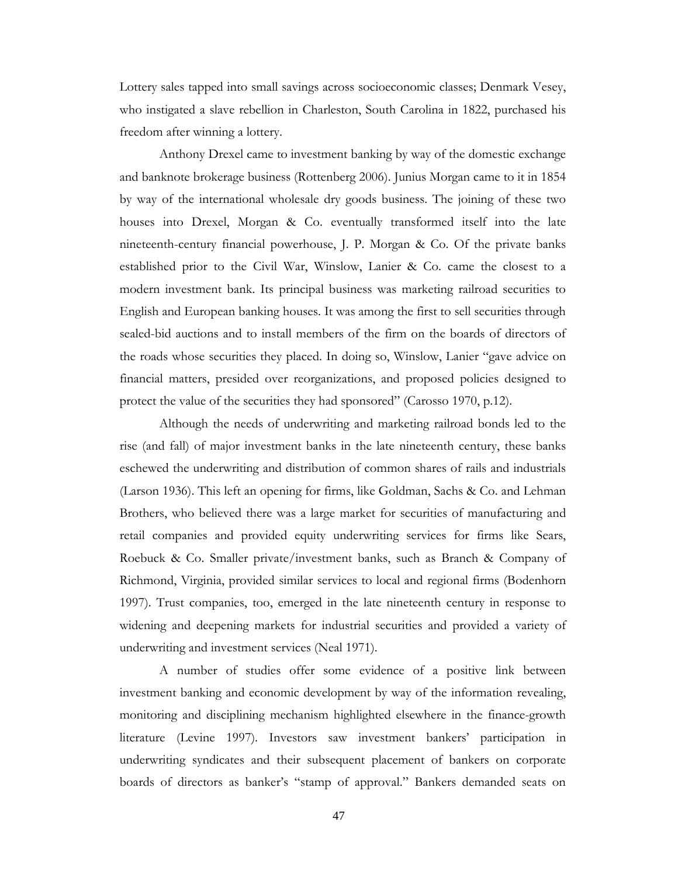Lottery sales tapped into small savings across socioeconomic classes; Denmark Vesey, who instigated a slave rebellion in Charleston, South Carolina in 1822, purchased his freedom after winning a lottery.

Anthony Drexel came to investment banking by way of the domestic exchange and banknote brokerage business (Rottenberg 2006). Junius Morgan came to it in 1854 by way of the international wholesale dry goods business. The joining of these two houses into Drexel, Morgan & Co. eventually transformed itself into the late nineteenth-century financial powerhouse, J. P. Morgan & Co. Of the private banks established prior to the Civil War, Winslow, Lanier & Co. came the closest to a modern investment bank. Its principal business was marketing railroad securities to English and European banking houses. It was among the first to sell securities through sealed-bid auctions and to install members of the firm on the boards of directors of the roads whose securities they placed. In doing so, Winslow, Lanier "gave advice on financial matters, presided over reorganizations, and proposed policies designed to protect the value of the securities they had sponsored" (Carosso 1970, p.12).

Although the needs of underwriting and marketing railroad bonds led to the rise (and fall) of major investment banks in the late nineteenth century, these banks eschewed the underwriting and distribution of common shares of rails and industrials (Larson 1936). This left an opening for firms, like Goldman, Sachs & Co. and Lehman Brothers, who believed there was a large market for securities of manufacturing and retail companies and provided equity underwriting services for firms like Sears, Roebuck & Co. Smaller private/investment banks, such as Branch & Company of Richmond, Virginia, provided similar services to local and regional firms (Bodenhorn 1997). Trust companies, too, emerged in the late nineteenth century in response to widening and deepening markets for industrial securities and provided a variety of underwriting and investment services (Neal 1971).

A number of studies offer some evidence of a positive link between investment banking and economic development by way of the information revealing, monitoring and disciplining mechanism highlighted elsewhere in the finance-growth literature (Levine 1997). Investors saw investment bankers' participation in underwriting syndicates and their subsequent placement of bankers on corporate boards of directors as banker's "stamp of approval." Bankers demanded seats on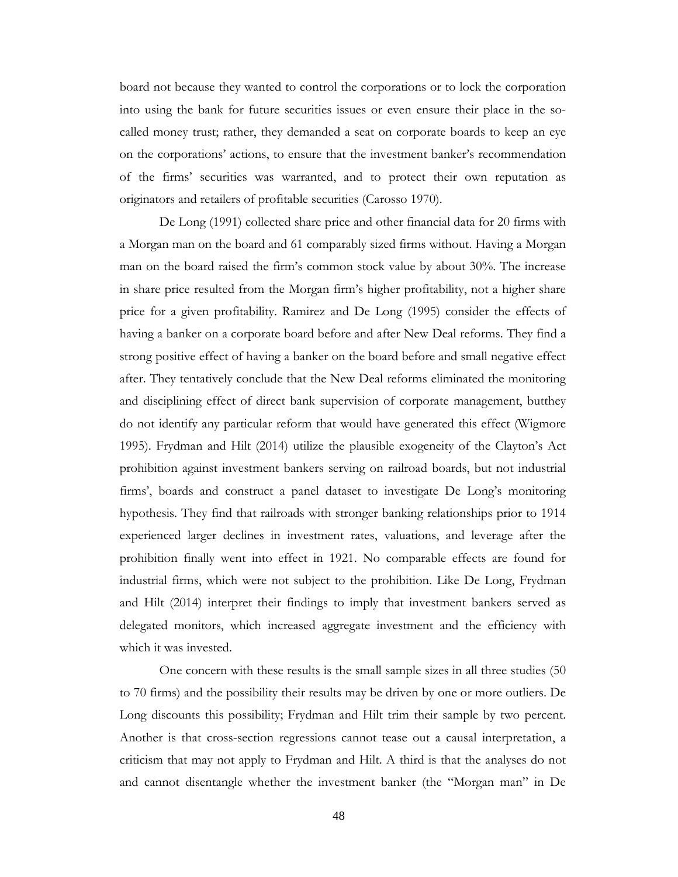board not because they wanted to control the corporations or to lock the corporation into using the bank for future securities issues or even ensure their place in the socalled money trust; rather, they demanded a seat on corporate boards to keep an eye on the corporations' actions, to ensure that the investment banker's recommendation of the firms' securities was warranted, and to protect their own reputation as originators and retailers of profitable securities (Carosso 1970).

De Long (1991) collected share price and other financial data for 20 firms with a Morgan man on the board and 61 comparably sized firms without. Having a Morgan man on the board raised the firm's common stock value by about 30%. The increase in share price resulted from the Morgan firm's higher profitability, not a higher share price for a given profitability. Ramirez and De Long (1995) consider the effects of having a banker on a corporate board before and after New Deal reforms. They find a strong positive effect of having a banker on the board before and small negative effect after. They tentatively conclude that the New Deal reforms eliminated the monitoring and disciplining effect of direct bank supervision of corporate management, butthey do not identify any particular reform that would have generated this effect (Wigmore 1995). Frydman and Hilt (2014) utilize the plausible exogeneity of the Clayton's Act prohibition against investment bankers serving on railroad boards, but not industrial firms', boards and construct a panel dataset to investigate De Long's monitoring hypothesis. They find that railroads with stronger banking relationships prior to 1914 experienced larger declines in investment rates, valuations, and leverage after the prohibition finally went into effect in 1921. No comparable effects are found for industrial firms, which were not subject to the prohibition. Like De Long, Frydman and Hilt (2014) interpret their findings to imply that investment bankers served as delegated monitors, which increased aggregate investment and the efficiency with which it was invested.

One concern with these results is the small sample sizes in all three studies (50 to 70 firms) and the possibility their results may be driven by one or more outliers. De Long discounts this possibility; Frydman and Hilt trim their sample by two percent. Another is that cross-section regressions cannot tease out a causal interpretation, a criticism that may not apply to Frydman and Hilt. A third is that the analyses do not and cannot disentangle whether the investment banker (the "Morgan man" in De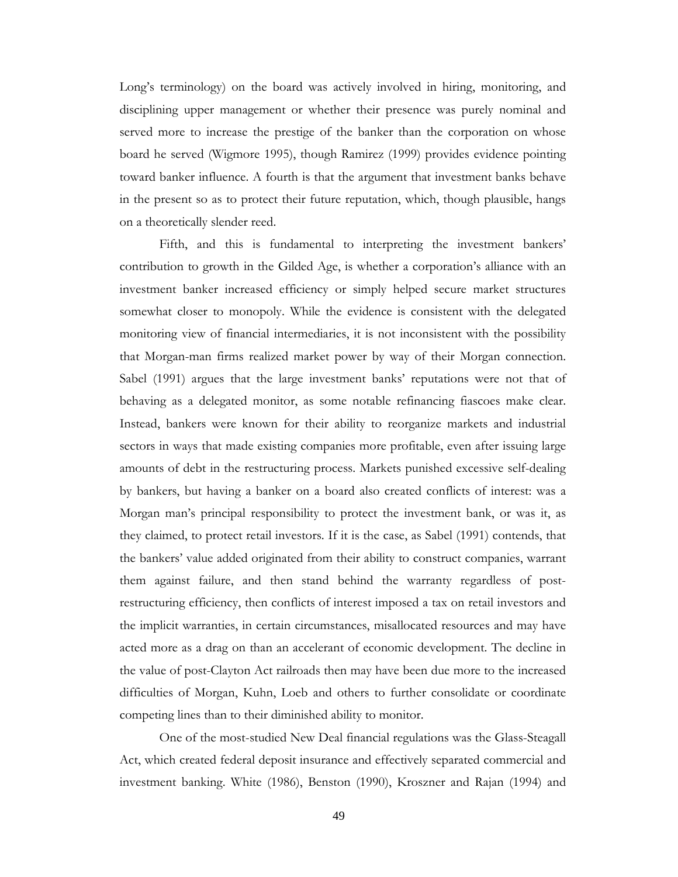Long's terminology) on the board was actively involved in hiring, monitoring, and disciplining upper management or whether their presence was purely nominal and served more to increase the prestige of the banker than the corporation on whose board he served (Wigmore 1995), though Ramirez (1999) provides evidence pointing toward banker influence. A fourth is that the argument that investment banks behave in the present so as to protect their future reputation, which, though plausible, hangs on a theoretically slender reed.

Fifth, and this is fundamental to interpreting the investment bankers' contribution to growth in the Gilded Age, is whether a corporation's alliance with an investment banker increased efficiency or simply helped secure market structures somewhat closer to monopoly. While the evidence is consistent with the delegated monitoring view of financial intermediaries, it is not inconsistent with the possibility that Morgan-man firms realized market power by way of their Morgan connection. Sabel (1991) argues that the large investment banks' reputations were not that of behaving as a delegated monitor, as some notable refinancing fiascoes make clear. Instead, bankers were known for their ability to reorganize markets and industrial sectors in ways that made existing companies more profitable, even after issuing large amounts of debt in the restructuring process. Markets punished excessive self-dealing by bankers, but having a banker on a board also created conflicts of interest: was a Morgan man's principal responsibility to protect the investment bank, or was it, as they claimed, to protect retail investors. If it is the case, as Sabel (1991) contends, that the bankers' value added originated from their ability to construct companies, warrant them against failure, and then stand behind the warranty regardless of postrestructuring efficiency, then conflicts of interest imposed a tax on retail investors and the implicit warranties, in certain circumstances, misallocated resources and may have acted more as a drag on than an accelerant of economic development. The decline in the value of post-Clayton Act railroads then may have been due more to the increased difficulties of Morgan, Kuhn, Loeb and others to further consolidate or coordinate competing lines than to their diminished ability to monitor.

One of the most-studied New Deal financial regulations was the Glass-Steagall Act, which created federal deposit insurance and effectively separated commercial and investment banking. White (1986), Benston (1990), Kroszner and Rajan (1994) and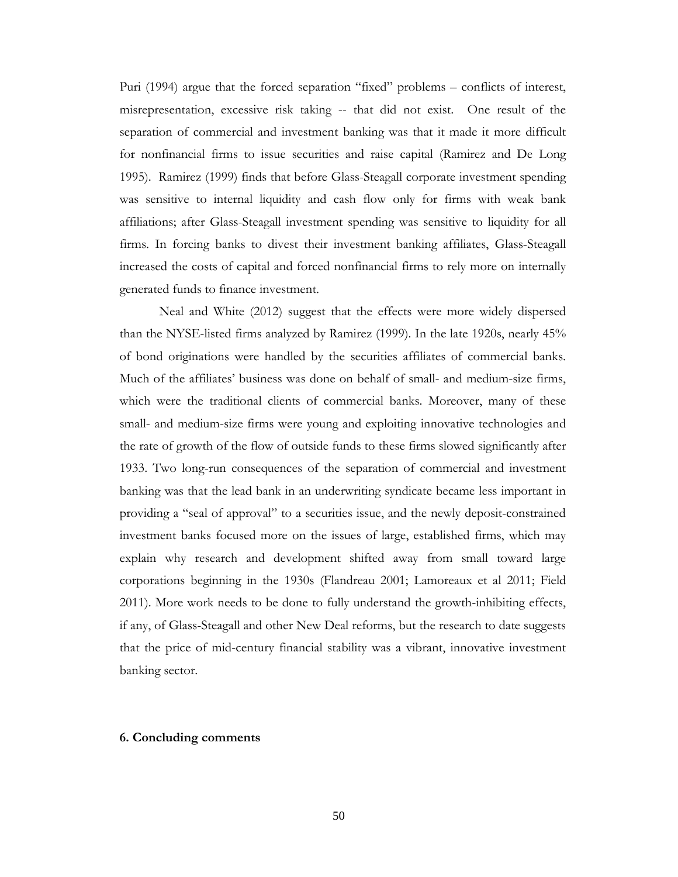Puri (1994) argue that the forced separation "fixed" problems – conflicts of interest, misrepresentation, excessive risk taking -- that did not exist. One result of the separation of commercial and investment banking was that it made it more difficult for nonfinancial firms to issue securities and raise capital (Ramirez and De Long 1995). Ramirez (1999) finds that before Glass-Steagall corporate investment spending was sensitive to internal liquidity and cash flow only for firms with weak bank affiliations; after Glass-Steagall investment spending was sensitive to liquidity for all firms. In forcing banks to divest their investment banking affiliates, Glass-Steagall increased the costs of capital and forced nonfinancial firms to rely more on internally generated funds to finance investment.

Neal and White (2012) suggest that the effects were more widely dispersed than the NYSE-listed firms analyzed by Ramirez (1999). In the late 1920s, nearly 45% of bond originations were handled by the securities affiliates of commercial banks. Much of the affiliates' business was done on behalf of small- and medium-size firms, which were the traditional clients of commercial banks. Moreover, many of these small- and medium-size firms were young and exploiting innovative technologies and the rate of growth of the flow of outside funds to these firms slowed significantly after 1933. Two long-run consequences of the separation of commercial and investment banking was that the lead bank in an underwriting syndicate became less important in providing a "seal of approval" to a securities issue, and the newly deposit-constrained investment banks focused more on the issues of large, established firms, which may explain why research and development shifted away from small toward large corporations beginning in the 1930s (Flandreau 2001; Lamoreaux et al 2011; Field 2011). More work needs to be done to fully understand the growth-inhibiting effects, if any, of Glass-Steagall and other New Deal reforms, but the research to date suggests that the price of mid-century financial stability was a vibrant, innovative investment banking sector.

### **6. Concluding comments**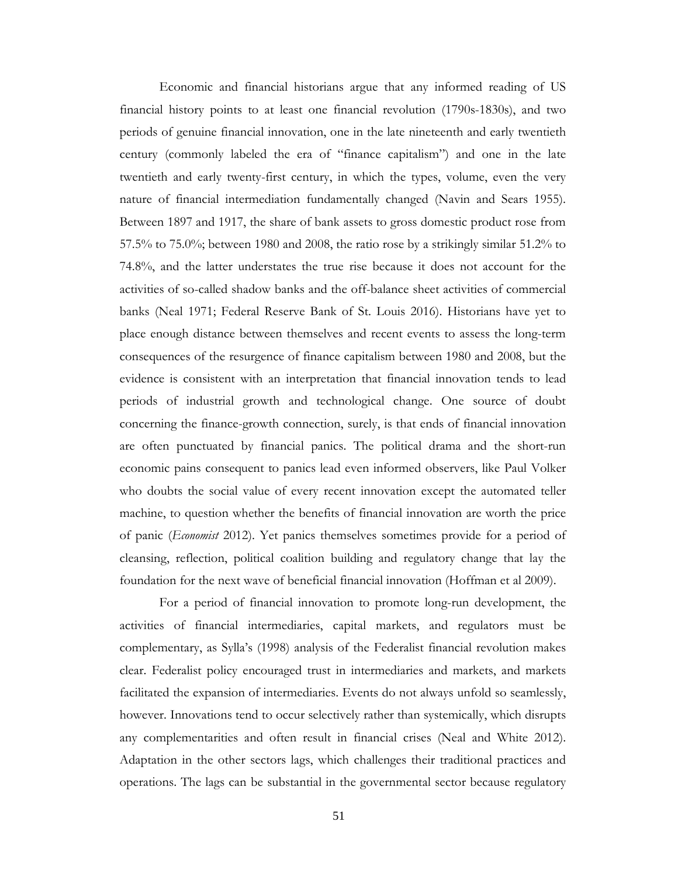Economic and financial historians argue that any informed reading of US financial history points to at least one financial revolution (1790s-1830s), and two periods of genuine financial innovation, one in the late nineteenth and early twentieth century (commonly labeled the era of "finance capitalism") and one in the late twentieth and early twenty-first century, in which the types, volume, even the very nature of financial intermediation fundamentally changed (Navin and Sears 1955). Between 1897 and 1917, the share of bank assets to gross domestic product rose from 57.5% to 75.0%; between 1980 and 2008, the ratio rose by a strikingly similar 51.2% to 74.8%, and the latter understates the true rise because it does not account for the activities of so-called shadow banks and the off-balance sheet activities of commercial banks (Neal 1971; Federal Reserve Bank of St. Louis 2016). Historians have yet to place enough distance between themselves and recent events to assess the long-term consequences of the resurgence of finance capitalism between 1980 and 2008, but the evidence is consistent with an interpretation that financial innovation tends to lead periods of industrial growth and technological change. One source of doubt concerning the finance-growth connection, surely, is that ends of financial innovation are often punctuated by financial panics. The political drama and the short-run economic pains consequent to panics lead even informed observers, like Paul Volker who doubts the social value of every recent innovation except the automated teller machine, to question whether the benefits of financial innovation are worth the price of panic (*Economist* 2012). Yet panics themselves sometimes provide for a period of cleansing, reflection, political coalition building and regulatory change that lay the foundation for the next wave of beneficial financial innovation (Hoffman et al 2009).

For a period of financial innovation to promote long-run development, the activities of financial intermediaries, capital markets, and regulators must be complementary, as Sylla's (1998) analysis of the Federalist financial revolution makes clear. Federalist policy encouraged trust in intermediaries and markets, and markets facilitated the expansion of intermediaries. Events do not always unfold so seamlessly, however. Innovations tend to occur selectively rather than systemically, which disrupts any complementarities and often result in financial crises (Neal and White 2012). Adaptation in the other sectors lags, which challenges their traditional practices and operations. The lags can be substantial in the governmental sector because regulatory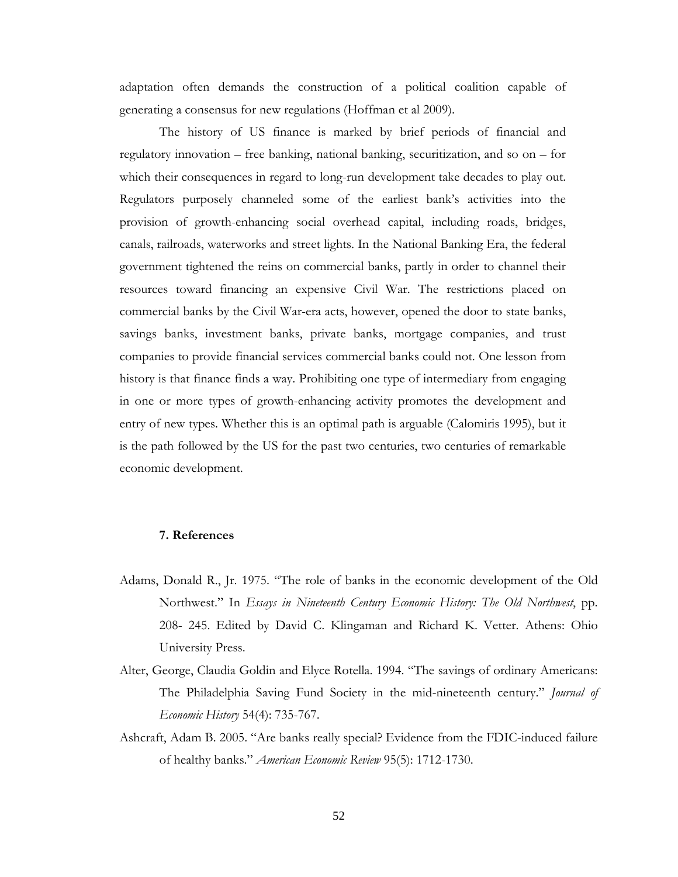adaptation often demands the construction of a political coalition capable of generating a consensus for new regulations (Hoffman et al 2009).

The history of US finance is marked by brief periods of financial and regulatory innovation – free banking, national banking, securitization, and so on – for which their consequences in regard to long-run development take decades to play out. Regulators purposely channeled some of the earliest bank's activities into the provision of growth-enhancing social overhead capital, including roads, bridges, canals, railroads, waterworks and street lights. In the National Banking Era, the federal government tightened the reins on commercial banks, partly in order to channel their resources toward financing an expensive Civil War. The restrictions placed on commercial banks by the Civil War-era acts, however, opened the door to state banks, savings banks, investment banks, private banks, mortgage companies, and trust companies to provide financial services commercial banks could not. One lesson from history is that finance finds a way. Prohibiting one type of intermediary from engaging in one or more types of growth-enhancing activity promotes the development and entry of new types. Whether this is an optimal path is arguable (Calomiris 1995), but it is the path followed by the US for the past two centuries, two centuries of remarkable economic development.

## **7. References**

- Adams, Donald R., Jr. 1975. "The role of banks in the economic development of the Old Northwest." In *Essays in Nineteenth Century Economic History: The Old Northwest*, pp. 208- 245. Edited by David C. Klingaman and Richard K. Vetter. Athens: Ohio University Press.
- Alter, George, Claudia Goldin and Elyce Rotella. 1994. "The savings of ordinary Americans: The Philadelphia Saving Fund Society in the mid-nineteenth century." *Journal of Economic History* 54(4): 735-767.
- Ashcraft, Adam B. 2005. "Are banks really special? Evidence from the FDIC-induced failure of healthy banks." *American Economic Review* 95(5): 1712-1730.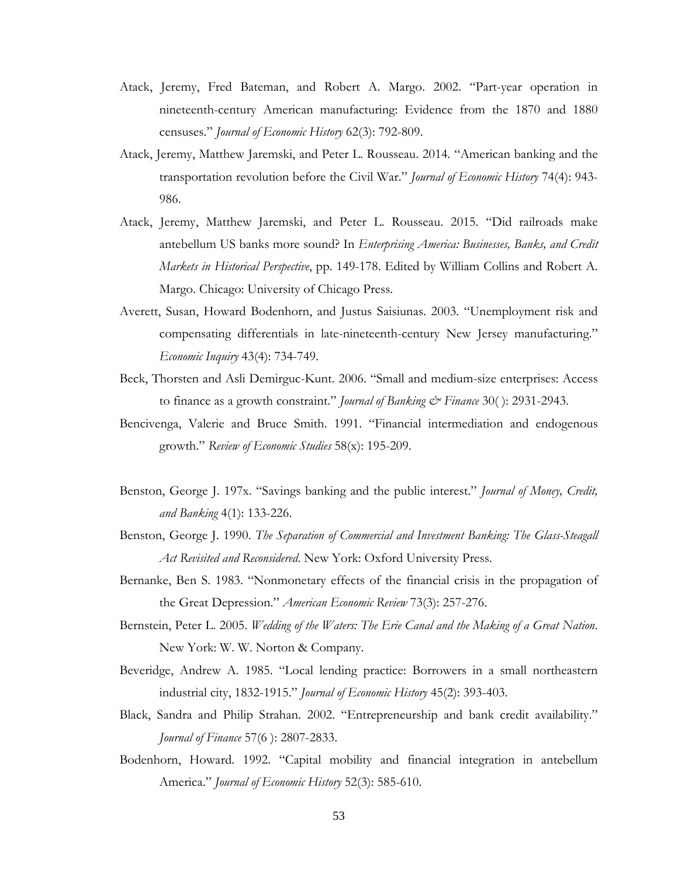- Atack, Jeremy, Fred Bateman, and Robert A. Margo. 2002. "Part-year operation in nineteenth-century American manufacturing: Evidence from the 1870 and 1880 censuses." *Journal of Economic History* 62(3): 792-809.
- Atack, Jeremy, Matthew Jaremski, and Peter L. Rousseau. 2014. "American banking and the transportation revolution before the Civil War." *Journal of Economic History* 74(4): 943- 986.
- Atack, Jeremy, Matthew Jaremski, and Peter L. Rousseau. 2015. "Did railroads make antebellum US banks more sound? In *Enterprising America: Businesses, Banks, and Credit Markets in Historical Perspective*, pp. 149-178. Edited by William Collins and Robert A. Margo. Chicago: University of Chicago Press.
- Averett, Susan, Howard Bodenhorn, and Justus Saisiunas. 2003. "Unemployment risk and compensating differentials in late-nineteenth-century New Jersey manufacturing." *Economic Inquiry* 43(4): 734-749.
- Beck, Thorsten and Asli Demirguc-Kunt. 2006. "Small and medium-size enterprises: Access to finance as a growth constraint." *Journal of Banking & Finance* 30( ): 2931-2943.
- Bencivenga, Valerie and Bruce Smith. 1991. "Financial intermediation and endogenous growth." *Review of Economic Studies* 58(x): 195-209.
- Benston, George J. 197x. "Savings banking and the public interest." *Journal of Money, Credit, and Banking* 4(1): 133-226.
- Benston, George J. 1990. *The Separation of Commercial and Investment Banking: The Glass-Steagall Act Revisited and Reconsidered*. New York: Oxford University Press.
- Bernanke, Ben S. 1983. "Nonmonetary effects of the financial crisis in the propagation of the Great Depression." *American Economic Review* 73(3): 257-276.
- Bernstein, Peter L. 2005. *Wedding of the Waters: The Erie Canal and the Making of a Great Nation*. New York: W. W. Norton & Company.
- Beveridge, Andrew A. 1985. "Local lending practice: Borrowers in a small northeastern industrial city, 1832-1915." *Journal of Economic History* 45(2): 393-403.
- Black, Sandra and Philip Strahan. 2002. "Entrepreneurship and bank credit availability." *Journal of Finance* 57(6 ): 2807-2833.
- Bodenhorn, Howard. 1992. "Capital mobility and financial integration in antebellum America." *Journal of Economic History* 52(3): 585-610.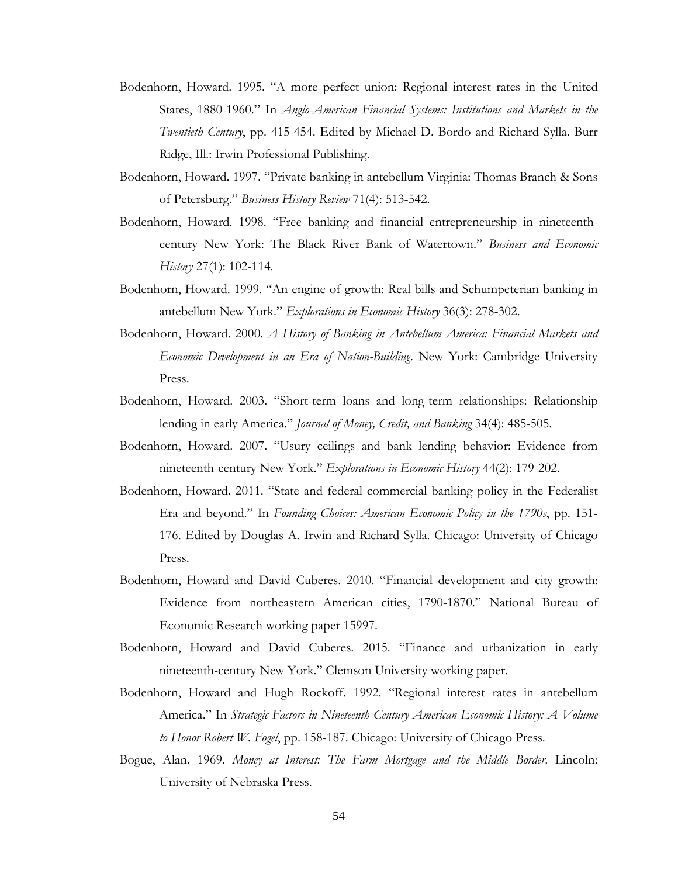- Bodenhorn, Howard. 1995. "A more perfect union: Regional interest rates in the United States, 1880-1960." In *Anglo-American Financial Systems: Institutions and Markets in the Twentieth Century*, pp. 415-454. Edited by Michael D. Bordo and Richard Sylla. Burr Ridge, Ill.: Irwin Professional Publishing.
- Bodenhorn, Howard. 1997. "Private banking in antebellum Virginia: Thomas Branch & Sons of Petersburg." *Business History Review* 71(4): 513-542.
- Bodenhorn, Howard. 1998. "Free banking and financial entrepreneurship in nineteenthcentury New York: The Black River Bank of Watertown." *Business and Economic History* 27(1): 102-114.
- Bodenhorn, Howard. 1999. "An engine of growth: Real bills and Schumpeterian banking in antebellum New York." *Explorations in Economic History* 36(3): 278-302.
- Bodenhorn, Howard. 2000. *A History of Banking in Antebellum America: Financial Markets and Economic Development in an Era of Nation-Building*. New York: Cambridge University Press.
- Bodenhorn, Howard. 2003. "Short-term loans and long-term relationships: Relationship lending in early America." *Journal of Money, Credit, and Banking* 34(4): 485-505.
- Bodenhorn, Howard. 2007. "Usury ceilings and bank lending behavior: Evidence from nineteenth-century New York." *Explorations in Economic History* 44(2): 179-202.
- Bodenhorn, Howard. 2011. "State and federal commercial banking policy in the Federalist Era and beyond." In *Founding Choices: American Economic Policy in the 1790s*, pp. 151- 176. Edited by Douglas A. Irwin and Richard Sylla. Chicago: University of Chicago Press.
- Bodenhorn, Howard and David Cuberes. 2010. "Financial development and city growth: Evidence from northeastern American cities, 1790-1870." National Bureau of Economic Research working paper 15997.
- Bodenhorn, Howard and David Cuberes. 2015. "Finance and urbanization in early nineteenth-century New York." Clemson University working paper.
- Bodenhorn, Howard and Hugh Rockoff. 1992. "Regional interest rates in antebellum America." In *Strategic Factors in Nineteenth Century American Economic History: A Volume to Honor Robert W. Fogel*, pp. 158-187. Chicago: University of Chicago Press.
- Bogue, Alan. 1969. *Money at Interest: The Farm Mortgage and the Middle Border*. Lincoln: University of Nebraska Press.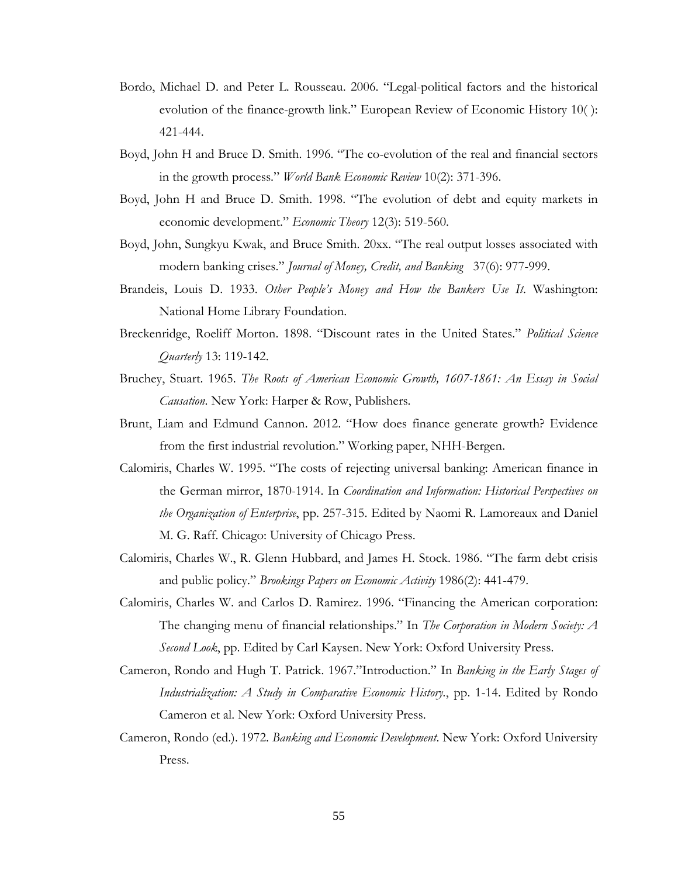- Bordo, Michael D. and Peter L. Rousseau. 2006. "Legal-political factors and the historical evolution of the finance-growth link." European Review of Economic History 10( ): 421-444.
- Boyd, John H and Bruce D. Smith. 1996. "The co-evolution of the real and financial sectors in the growth process." *World Bank Economic Review* 10(2): 371-396.
- Boyd, John H and Bruce D. Smith. 1998. "The evolution of debt and equity markets in economic development." *Economic Theory* 12(3): 519-560.
- Boyd, John, Sungkyu Kwak, and Bruce Smith. 20xx. "The real output losses associated with modern banking crises." *Journal of Money, Credit, and Banking* 37(6): 977-999.
- Brandeis, Louis D. 1933. *Other People's Money and How the Bankers Use It*. Washington: National Home Library Foundation.
- Breckenridge, Roeliff Morton. 1898. "Discount rates in the United States." *Political Science Quarterly* 13: 119-142.
- Bruchey, Stuart. 1965. *The Roots of American Economic Growth, 1607-1861: An Essay in Social Causation*. New York: Harper & Row, Publishers.
- Brunt, Liam and Edmund Cannon. 2012. "How does finance generate growth? Evidence from the first industrial revolution." Working paper, NHH-Bergen.
- Calomiris, Charles W. 1995. "The costs of rejecting universal banking: American finance in the German mirror, 1870-1914. In *Coordination and Information: Historical Perspectives on the Organization of Enterprise*, pp. 257-315. Edited by Naomi R. Lamoreaux and Daniel M. G. Raff. Chicago: University of Chicago Press.
- Calomiris, Charles W., R. Glenn Hubbard, and James H. Stock. 1986. "The farm debt crisis and public policy." *Brookings Papers on Economic Activity* 1986(2): 441-479.
- Calomiris, Charles W. and Carlos D. Ramirez. 1996. "Financing the American corporation: The changing menu of financial relationships." In *The Corporation in Modern Society: A Second Look*, pp. Edited by Carl Kaysen. New York: Oxford University Press.
- Cameron, Rondo and Hugh T. Patrick. 1967."Introduction." In *Banking in the Early Stages of Industrialization: A Study in Comparative Economic History.*, pp. 1-14. Edited by Rondo Cameron et al. New York: Oxford University Press.
- Cameron, Rondo (ed.). 1972. *Banking and Economic Development*. New York: Oxford University Press.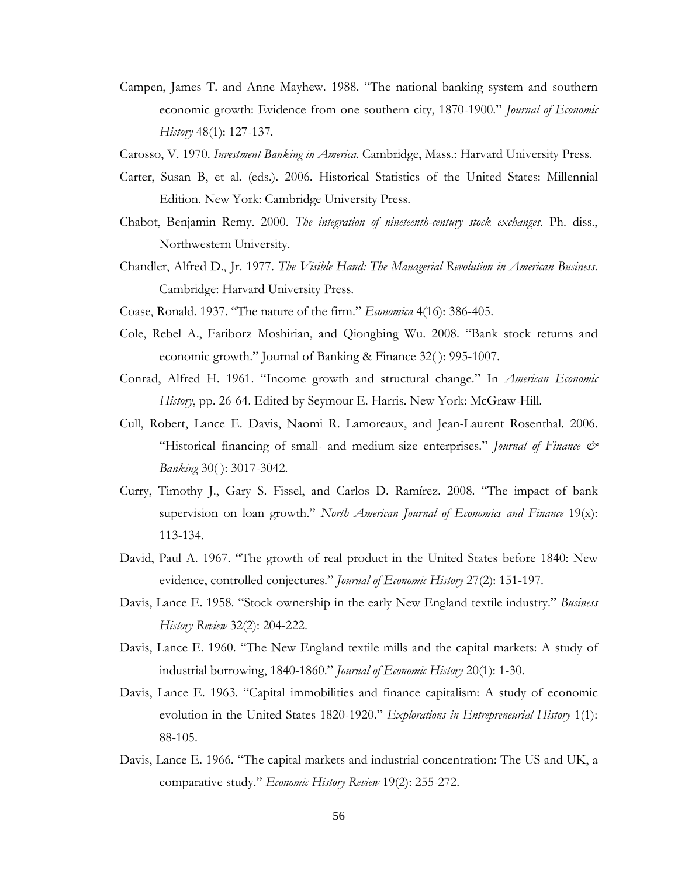- Campen, James T. and Anne Mayhew. 1988. "The national banking system and southern economic growth: Evidence from one southern city, 1870-1900." *Journal of Economic History* 48(1): 127-137.
- Carosso, V. 1970. *Investment Banking in America*. Cambridge, Mass.: Harvard University Press.
- Carter, Susan B, et al. (eds.). 2006. Historical Statistics of the United States: Millennial Edition. New York: Cambridge University Press.
- Chabot, Benjamin Remy. 2000. *The integration of nineteenth-century stock exchanges*. Ph. diss., Northwestern University.
- Chandler, Alfred D., Jr. 1977. *The Visible Hand: The Managerial Revolution in American Business*. Cambridge: Harvard University Press.
- Coase, Ronald. 1937. "The nature of the firm." *Economica* 4(16): 386-405.
- Cole, Rebel A., Fariborz Moshirian, and Qiongbing Wu. 2008. "Bank stock returns and economic growth." Journal of Banking & Finance 32( ): 995-1007.
- Conrad, Alfred H. 1961. "Income growth and structural change." In *American Economic History*, pp. 26-64. Edited by Seymour E. Harris. New York: McGraw-Hill.
- Cull, Robert, Lance E. Davis, Naomi R. Lamoreaux, and Jean-Laurent Rosenthal. 2006. "Historical financing of small- and medium-size enterprises." *Journal of Finance & Banking* 30( ): 3017-3042.
- Curry, Timothy J., Gary S. Fissel, and Carlos D. Ramírez. 2008. "The impact of bank supervision on loan growth." *North American Journal of Economics and Finance* 19(x): 113-134.
- David, Paul A. 1967. "The growth of real product in the United States before 1840: New evidence, controlled conjectures." *Journal of Economic History* 27(2): 151-197.
- Davis, Lance E. 1958. "Stock ownership in the early New England textile industry." *Business History Review* 32(2): 204-222.
- Davis, Lance E. 1960. "The New England textile mills and the capital markets: A study of industrial borrowing, 1840-1860." *Journal of Economic History* 20(1): 1-30.
- Davis, Lance E. 1963. "Capital immobilities and finance capitalism: A study of economic evolution in the United States 1820-1920." *Explorations in Entrepreneurial History* 1(1): 88-105.
- Davis, Lance E. 1966. "The capital markets and industrial concentration: The US and UK, a comparative study." *Economic History Review* 19(2): 255-272.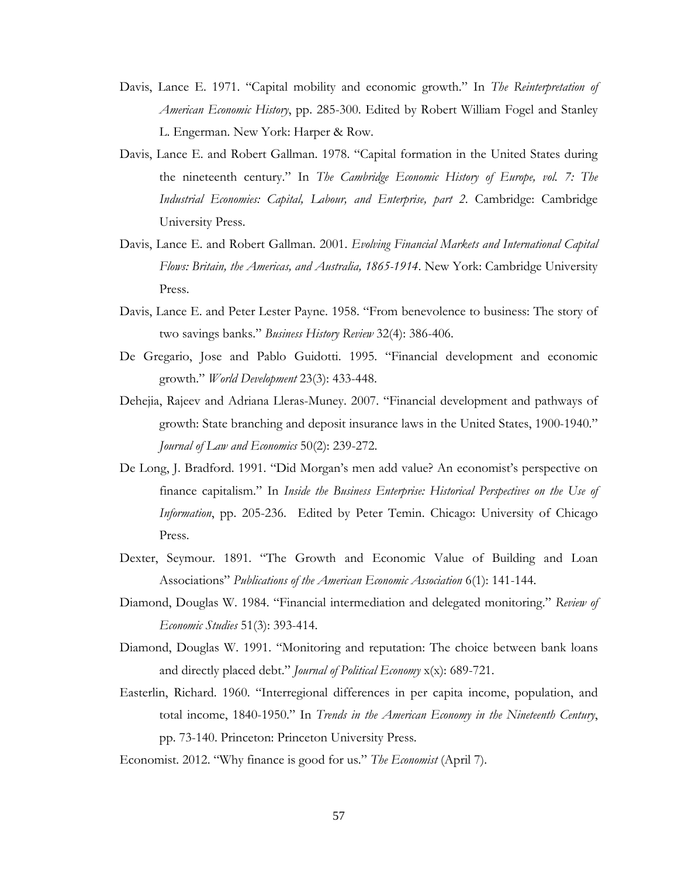- Davis, Lance E. 1971. "Capital mobility and economic growth." In *The Reinterpretation of American Economic History*, pp. 285-300. Edited by Robert William Fogel and Stanley L. Engerman. New York: Harper & Row.
- Davis, Lance E. and Robert Gallman. 1978. "Capital formation in the United States during the nineteenth century." In *The Cambridge Economic History of Europe, vol. 7: The Industrial Economies: Capital, Labour, and Enterprise, part 2*. Cambridge: Cambridge University Press.
- Davis, Lance E. and Robert Gallman. 2001. *Evolving Financial Markets and International Capital Flows: Britain, the Americas, and Australia, 1865-1914*. New York: Cambridge University Press.
- Davis, Lance E. and Peter Lester Payne. 1958. "From benevolence to business: The story of two savings banks." *Business History Review* 32(4): 386-406.
- De Gregario, Jose and Pablo Guidotti. 1995. "Financial development and economic growth." *World Development* 23(3): 433-448.
- Dehejia, Rajeev and Adriana Lleras-Muney. 2007. "Financial development and pathways of growth: State branching and deposit insurance laws in the United States, 1900-1940." *Journal of Law and Economics* 50(2): 239-272.
- De Long, J. Bradford. 1991. "Did Morgan's men add value? An economist's perspective on finance capitalism." In *Inside the Business Enterprise: Historical Perspectives on the Use of Information*, pp. 205-236. Edited by Peter Temin. Chicago: University of Chicago Press.
- Dexter, Seymour. 1891. "The Growth and Economic Value of Building and Loan Associations" *Publications of the American Economic Association* 6(1): 141-144.
- Diamond, Douglas W. 1984. "Financial intermediation and delegated monitoring." *Review of Economic Studies* 51(3): 393-414.
- Diamond, Douglas W. 1991. "Monitoring and reputation: The choice between bank loans and directly placed debt." *Journal of Political Economy* x(x): 689-721.
- Easterlin, Richard. 1960. "Interregional differences in per capita income, population, and total income, 1840-1950." In *Trends in the American Economy in the Nineteenth Century*, pp. 73-140. Princeton: Princeton University Press.
- Economist. 2012. "Why finance is good for us." *The Economist* (April 7).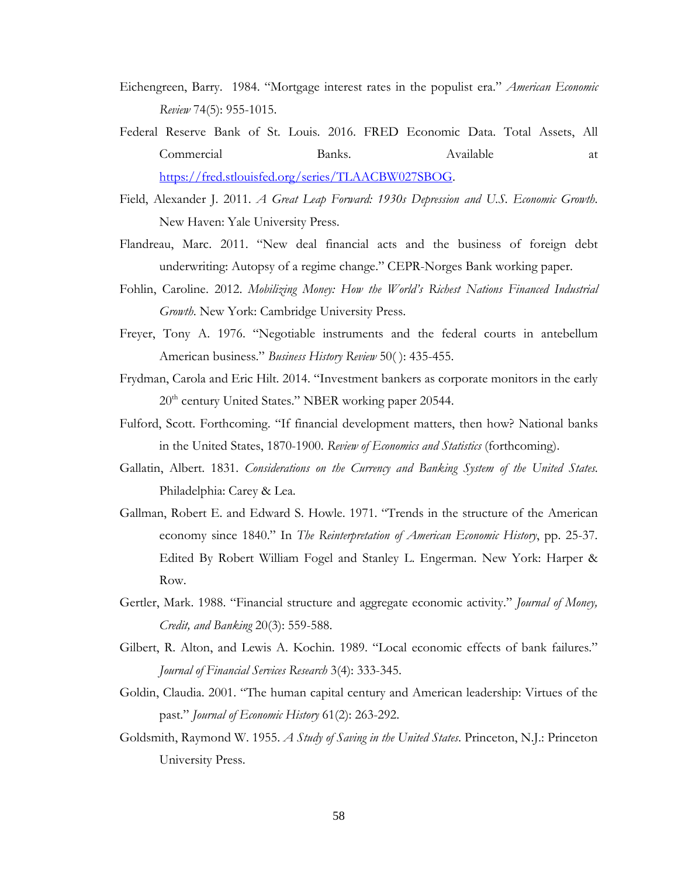- Eichengreen, Barry. 1984. "Mortgage interest rates in the populist era." *American Economic Review* 74(5): 955-1015.
- Federal Reserve Bank of St. Louis. 2016. FRED Economic Data. Total Assets, All Commercial Banks. Available at [https://fred.stlouisfed.org/series/TLAACBW027SBOG.](https://fred.stlouisfed.org/series/TLAACBW027SBOG)
- Field, Alexander J. 2011. *A Great Leap Forward: 1930s Depression and U.S. Economic Growth*. New Haven: Yale University Press.
- Flandreau, Marc. 2011. "New deal financial acts and the business of foreign debt underwriting: Autopsy of a regime change." CEPR-Norges Bank working paper.
- Fohlin, Caroline. 2012. *Mobilizing Money: How the World's Richest Nations Financed Industrial Growth*. New York: Cambridge University Press.
- Freyer, Tony A. 1976. "Negotiable instruments and the federal courts in antebellum American business." *Business History Review* 50( ): 435-455.
- Frydman, Carola and Eric Hilt. 2014. "Investment bankers as corporate monitors in the early  $20<sup>th</sup>$  century United States." NBER working paper 20544.
- Fulford, Scott. Forthcoming. "If financial development matters, then how? National banks in the United States, 1870-1900. *Review of Economics and Statistics* (forthcoming).
- Gallatin, Albert. 1831. *Considerations on the Currency and Banking System of the United States*. Philadelphia: Carey & Lea.
- Gallman, Robert E. and Edward S. Howle. 1971. "Trends in the structure of the American economy since 1840." In *The Reinterpretation of American Economic History*, pp. 25-37. Edited By Robert William Fogel and Stanley L. Engerman. New York: Harper & Row.
- Gertler, Mark. 1988. "Financial structure and aggregate economic activity." *Journal of Money, Credit, and Banking* 20(3): 559-588.
- Gilbert, R. Alton, and Lewis A. Kochin. 1989. "Local economic effects of bank failures." *Journal of Financial Services Research* 3(4): 333-345.
- Goldin, Claudia. 2001. "The human capital century and American leadership: Virtues of the past." *Journal of Economic History* 61(2): 263-292.
- Goldsmith, Raymond W. 1955. *A Study of Saving in the United States*. Princeton, N.J.: Princeton University Press.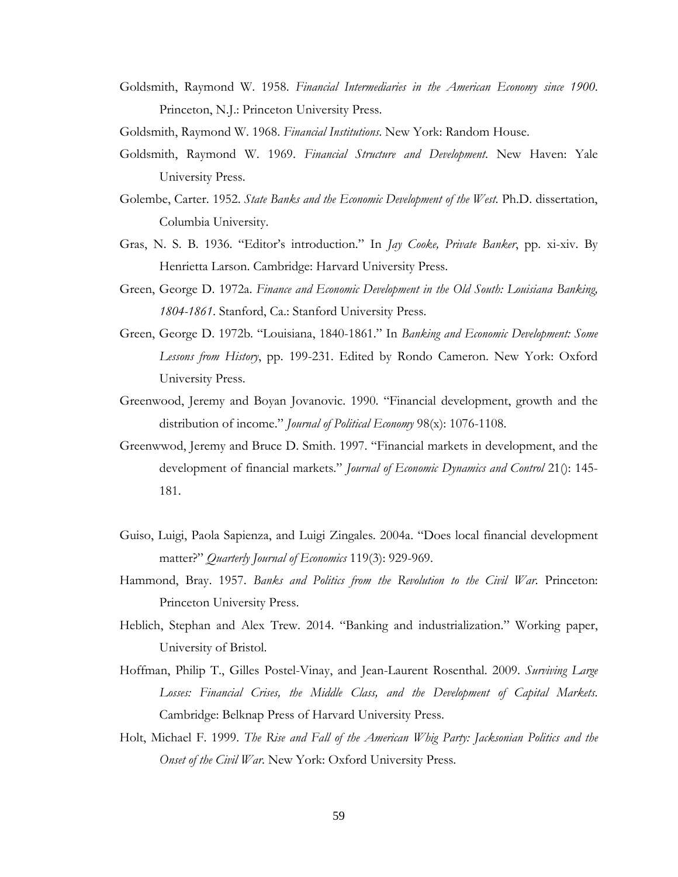- Goldsmith, Raymond W. 1958. *Financial Intermediaries in the American Economy since 1900*. Princeton, N.J.: Princeton University Press.
- Goldsmith, Raymond W. 1968. *Financial Institutions*. New York: Random House.
- Goldsmith, Raymond W. 1969. *Financial Structure and Development*. New Haven: Yale University Press.
- Golembe, Carter. 1952. *State Banks and the Economic Development of the West*. Ph.D. dissertation, Columbia University.
- Gras, N. S. B. 1936. "Editor's introduction." In *Jay Cooke, Private Banker*, pp. xi-xiv. By Henrietta Larson. Cambridge: Harvard University Press.
- Green, George D. 1972a. *Finance and Economic Development in the Old South: Louisiana Banking, 1804-1861*. Stanford, Ca.: Stanford University Press.
- Green, George D. 1972b. "Louisiana, 1840-1861." In *Banking and Economic Development: Some Lessons from History*, pp. 199-231. Edited by Rondo Cameron. New York: Oxford University Press.
- Greenwood, Jeremy and Boyan Jovanovic. 1990. "Financial development, growth and the distribution of income." *Journal of Political Economy* 98(x): 1076-1108.
- Greenwwod, Jeremy and Bruce D. Smith. 1997. "Financial markets in development, and the development of financial markets." *Journal of Economic Dynamics and Control* 21(): 145- 181.
- Guiso, Luigi, Paola Sapienza, and Luigi Zingales. 2004a. "Does local financial development matter?" *Quarterly Journal of Economics* 119(3): 929-969.
- Hammond, Bray. 1957. *Banks and Politics from the Revolution to the Civil War*. Princeton: Princeton University Press.
- Heblich, Stephan and Alex Trew. 2014. "Banking and industrialization." Working paper, University of Bristol.
- Hoffman, Philip T., Gilles Postel-Vinay, and Jean-Laurent Rosenthal. 2009. *Surviving Large Losses: Financial Crises, the Middle Class, and the Development of Capital Markets*. Cambridge: Belknap Press of Harvard University Press.
- Holt, Michael F. 1999. *The Rise and Fall of the American Whig Party: Jacksonian Politics and the Onset of the Civil War*. New York: Oxford University Press.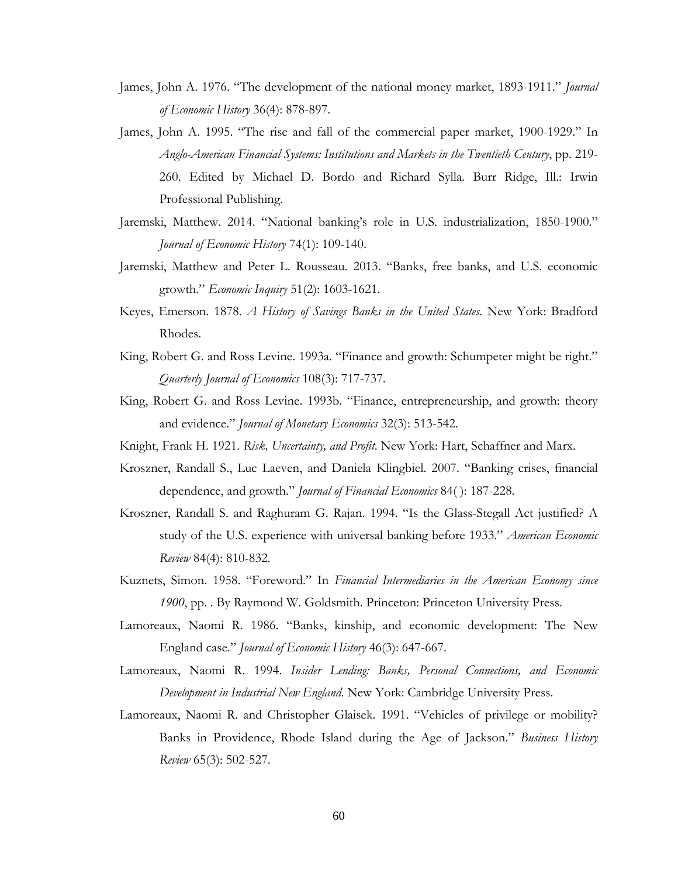- James, John A. 1976. "The development of the national money market, 1893-1911." *Journal of Economic History* 36(4): 878-897.
- James, John A. 1995. "The rise and fall of the commercial paper market, 1900-1929." In *Anglo-American Financial Systems: Institutions and Markets in the Twentieth Century*, pp. 219- 260. Edited by Michael D. Bordo and Richard Sylla. Burr Ridge, Ill.: Irwin Professional Publishing.
- Jaremski, Matthew. 2014. "National banking's role in U.S. industrialization, 1850-1900." *Journal of Economic History* 74(1): 109-140.
- Jaremski, Matthew and Peter L. Rousseau. 2013. "Banks, free banks, and U.S. economic growth." *Economic Inquiry* 51(2): 1603-1621.
- Keyes, Emerson. 1878. *A History of Savings Banks in the United States*. New York: Bradford Rhodes.
- King, Robert G. and Ross Levine. 1993a. "Finance and growth: Schumpeter might be right." *Quarterly Journal of Economics* 108(3): 717-737.
- King, Robert G. and Ross Levine. 1993b. "Finance, entrepreneurship, and growth: theory and evidence." *Journal of Monetary Economics* 32(3): 513-542.
- Knight, Frank H. 1921. *Risk, Uncertainty, and Profit*. New York: Hart, Schaffner and Marx.
- Kroszner, Randall S., Luc Laeven, and Daniela Klingbiel. 2007. "Banking crises, financial dependence, and growth." *Journal of Financial Economics* 84( ): 187-228.
- Kroszner, Randall S. and Raghuram G. Rajan. 1994. "Is the Glass-Stegall Act justified? A study of the U.S. experience with universal banking before 1933." *American Economic Review* 84(4): 810-832.
- Kuznets, Simon. 1958. "Foreword." In *Financial Intermediaries in the American Economy since 1900*, pp. . By Raymond W. Goldsmith. Princeton: Princeton University Press.
- Lamoreaux, Naomi R. 1986. "Banks, kinship, and economic development: The New England case." *Journal of Economic History* 46(3): 647-667.
- Lamoreaux, Naomi R. 1994. *Insider Lending: Banks, Personal Connections, and Economic Development in Industrial New England*. New York: Cambridge University Press.
- Lamoreaux, Naomi R. and Christopher Glaisek. 1991. "Vehicles of privilege or mobility? Banks in Providence, Rhode Island during the Age of Jackson." *Business History Review* 65(3): 502-527.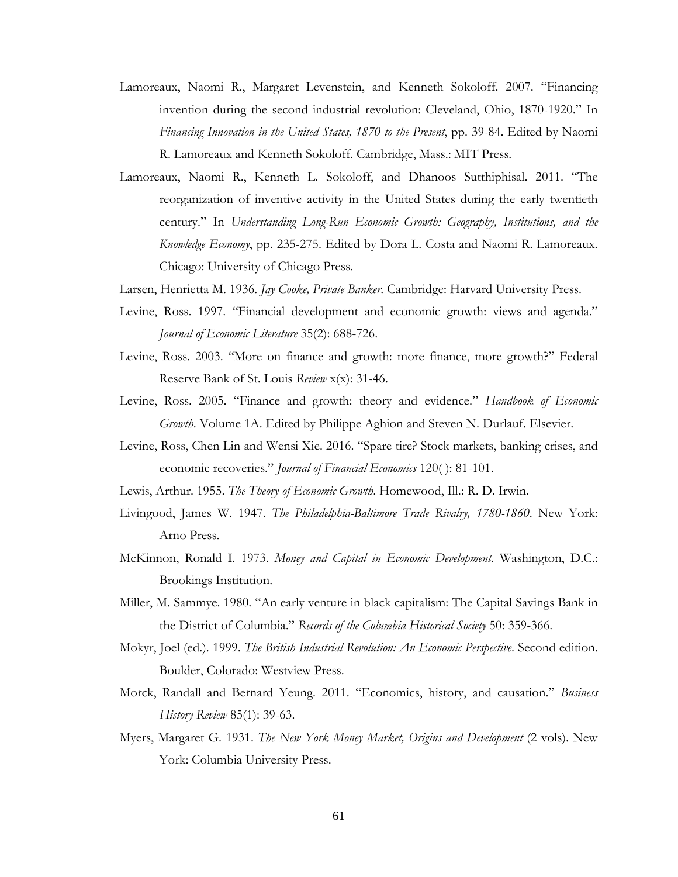- Lamoreaux, Naomi R., Margaret Levenstein, and Kenneth Sokoloff. 2007. "Financing invention during the second industrial revolution: Cleveland, Ohio, 1870-1920." In *Financing Innovation in the United States, 1870 to the Present*, pp. 39-84. Edited by Naomi R. Lamoreaux and Kenneth Sokoloff. Cambridge, Mass.: MIT Press.
- Lamoreaux, Naomi R., Kenneth L. Sokoloff, and Dhanoos Sutthiphisal. 2011. "The reorganization of inventive activity in the United States during the early twentieth century." In *Understanding Long-Run Economic Growth: Geography, Institutions, and the Knowledge Economy*, pp. 235-275. Edited by Dora L. Costa and Naomi R. Lamoreaux. Chicago: University of Chicago Press.
- Larsen, Henrietta M. 1936. *Jay Cooke, Private Banker*. Cambridge: Harvard University Press.
- Levine, Ross. 1997. "Financial development and economic growth: views and agenda." *Journal of Economic Literature* 35(2): 688-726.
- Levine, Ross. 2003. "More on finance and growth: more finance, more growth?" Federal Reserve Bank of St. Louis *Review* x(x): 31-46.
- Levine, Ross. 2005. "Finance and growth: theory and evidence." *Handbook of Economic Growth*. Volume 1A. Edited by Philippe Aghion and Steven N. Durlauf. Elsevier.
- Levine, Ross, Chen Lin and Wensi Xie. 2016. "Spare tire? Stock markets, banking crises, and economic recoveries." *Journal of Financial Economics* 120( ): 81-101.
- Lewis, Arthur. 1955. *The Theory of Economic Growth*. Homewood, Ill.: R. D. Irwin.
- Livingood, James W. 1947. *The Philadelphia-Baltimore Trade Rivalry, 1780-1860*. New York: Arno Press.
- McKinnon, Ronald I. 1973. *Money and Capital in Economic Development*. Washington, D.C.: Brookings Institution.
- Miller, M. Sammye. 1980. "An early venture in black capitalism: The Capital Savings Bank in the District of Columbia." *Records of the Columbia Historical Society* 50: 359-366.
- Mokyr, Joel (ed.). 1999. *The British Industrial Revolution: An Economic Perspective*. Second edition. Boulder, Colorado: Westview Press.
- Morck, Randall and Bernard Yeung. 2011. "Economics, history, and causation." *Business History Review* 85(1): 39-63.
- Myers, Margaret G. 1931. *The New York Money Market, Origins and Development* (2 vols). New York: Columbia University Press.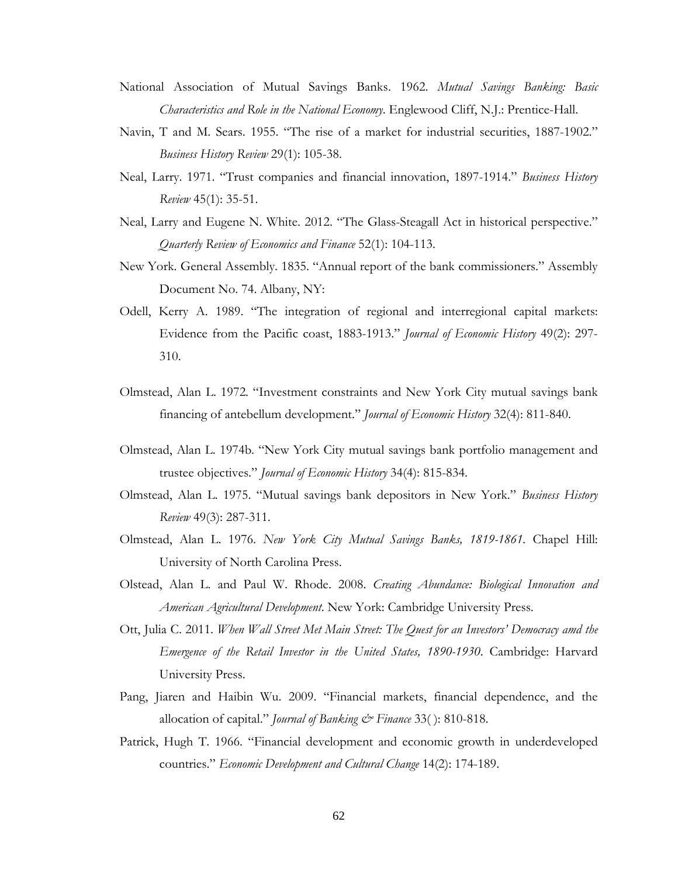- National Association of Mutual Savings Banks. 1962. *Mutual Savings Banking: Basic Characteristics and Role in the National Economy*. Englewood Cliff, N.J.: Prentice-Hall.
- Navin, T and M. Sears. 1955. "The rise of a market for industrial securities, 1887-1902." *Business History Review* 29(1): 105-38.
- Neal, Larry. 1971. "Trust companies and financial innovation, 1897-1914." *Business History Review* 45(1): 35-51.
- Neal, Larry and Eugene N. White. 2012. "The Glass-Steagall Act in historical perspective." *Quarterly Review of Economics and Finance* 52(1): 104-113.
- New York. General Assembly. 1835. "Annual report of the bank commissioners." Assembly Document No. 74. Albany, NY:
- Odell, Kerry A. 1989. "The integration of regional and interregional capital markets: Evidence from the Pacific coast, 1883-1913." *Journal of Economic History* 49(2): 297- 310.
- Olmstead, Alan L. 1972. "Investment constraints and New York City mutual savings bank financing of antebellum development." *Journal of Economic History* 32(4): 811-840.
- Olmstead, Alan L. 1974b. "New York City mutual savings bank portfolio management and trustee objectives." *Journal of Economic History* 34(4): 815-834.
- Olmstead, Alan L. 1975. "Mutual savings bank depositors in New York." *Business History Review* 49(3): 287-311.
- Olmstead, Alan L. 1976. *New York City Mutual Savings Banks, 1819-1861.* Chapel Hill: University of North Carolina Press.
- Olstead, Alan L. and Paul W. Rhode. 2008. *Creating Abundance: Biological Innovation and American Agricultural Development*. New York: Cambridge University Press.
- Ott, Julia C. 2011. *When Wall Street Met Main Street: The Quest for an Investors' Democracy amd the Emergence of the Retail Investor in the United States, 1890-1930*. Cambridge: Harvard University Press.
- Pang, Jiaren and Haibin Wu. 2009. "Financial markets, financial dependence, and the allocation of capital." *Journal of Banking & Finance* 33( ): 810-818.
- Patrick, Hugh T. 1966. "Financial development and economic growth in underdeveloped countries." *Economic Development and Cultural Change* 14(2): 174-189.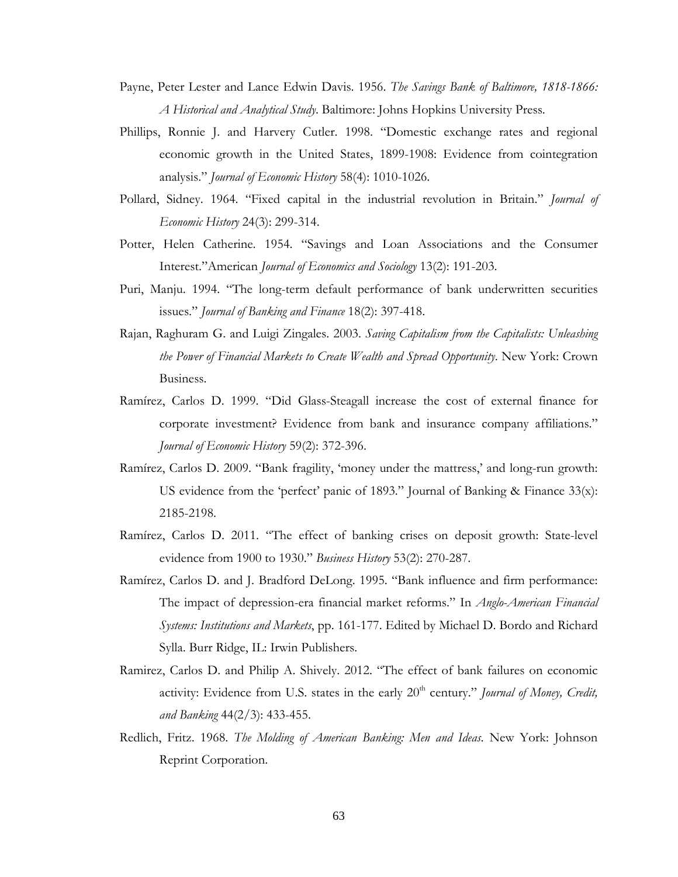- Payne, Peter Lester and Lance Edwin Davis. 1956. *The Savings Bank of Baltimore, 1818-1866: A Historical and Analytical Study*. Baltimore: Johns Hopkins University Press.
- Phillips, Ronnie J. and Harvery Cutler. 1998. "Domestic exchange rates and regional economic growth in the United States, 1899-1908: Evidence from cointegration analysis." *Journal of Economic History* 58(4): 1010-1026.
- Pollard, Sidney. 1964. "Fixed capital in the industrial revolution in Britain." *Journal of Economic History* 24(3): 299-314.
- Potter, Helen Catherine. 1954. "Savings and Loan Associations and the Consumer Interest."American *Journal of Economics and Sociology* 13(2): 191-203.
- Puri, Manju. 1994. "The long-term default performance of bank underwritten securities issues." *Journal of Banking and Finance* 18(2): 397-418.
- Rajan, Raghuram G. and Luigi Zingales. 2003. *Saving Capitalism from the Capitalists: Unleashing the Power of Financial Markets to Create Wealth and Spread Opportunity*. New York: Crown Business.
- Ramírez, Carlos D. 1999. "Did Glass-Steagall increase the cost of external finance for corporate investment? Evidence from bank and insurance company affiliations." *Journal of Economic History* 59(2): 372-396.
- Ramírez, Carlos D. 2009. "Bank fragility, 'money under the mattress,' and long-run growth: US evidence from the 'perfect' panic of 1893." Journal of Banking & Finance 33(x): 2185-2198.
- Ramírez, Carlos D. 2011. "The effect of banking crises on deposit growth: State-level evidence from 1900 to 1930." *Business History* 53(2): 270-287.
- Ramírez, Carlos D. and J. Bradford DeLong. 1995. "Bank influence and firm performance: The impact of depression-era financial market reforms." In *Anglo-American Financial Systems: Institutions and Markets*, pp. 161-177. Edited by Michael D. Bordo and Richard Sylla. Burr Ridge, IL: Irwin Publishers.
- Ramirez, Carlos D. and Philip A. Shively. 2012. "The effect of bank failures on economic activity: Evidence from U.S. states in the early 20<sup>th</sup> century." *Journal of Money, Credit, and Banking* 44(2/3): 433-455.
- Redlich, Fritz. 1968. *The Molding of American Banking: Men and Ideas*. New York: Johnson Reprint Corporation.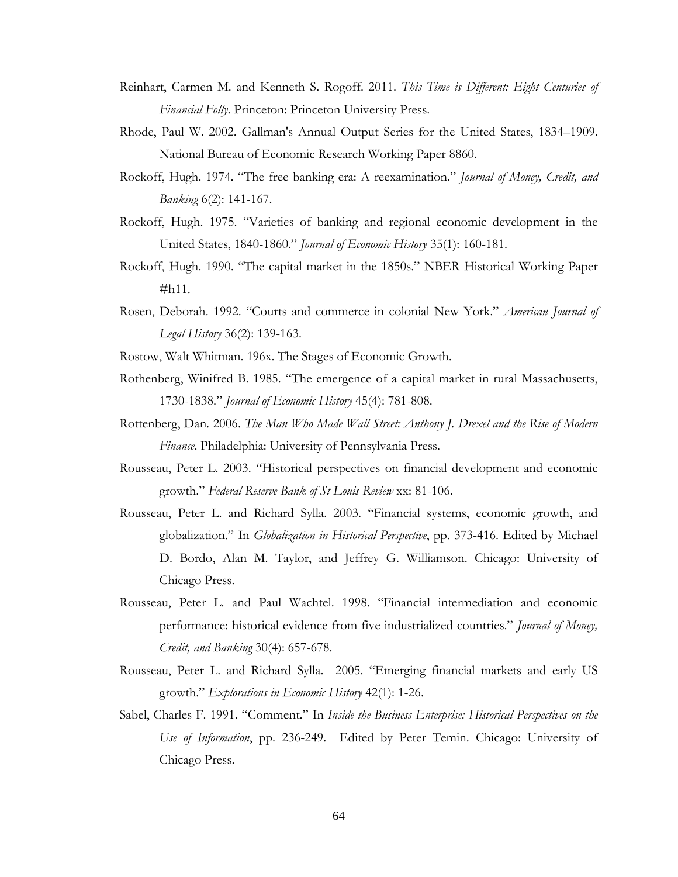- Reinhart, Carmen M. and Kenneth S. Rogoff. 2011. *This Time is Different: Eight Centuries of Financial Folly*. Princeton: Princeton University Press.
- Rhode, Paul W. 2002. Gallman's Annual Output Series for the United States, 1834–1909. National Bureau of Economic Research Working Paper 8860.
- Rockoff, Hugh. 1974. "The free banking era: A reexamination." *Journal of Money, Credit, and Banking* 6(2): 141-167.
- Rockoff, Hugh. 1975. "Varieties of banking and regional economic development in the United States, 1840-1860." *Journal of Economic History* 35(1): 160-181.
- Rockoff, Hugh. 1990. "The capital market in the 1850s." NBER Historical Working Paper #h11.
- Rosen, Deborah. 1992. "Courts and commerce in colonial New York." *American Journal of Legal History* 36(2): 139-163.
- Rostow, Walt Whitman. 196x. The Stages of Economic Growth.
- Rothenberg, Winifred B. 1985. "The emergence of a capital market in rural Massachusetts, 1730-1838." *Journal of Economic History* 45(4): 781-808.
- Rottenberg, Dan. 2006. *The Man Who Made Wall Street: Anthony J. Drexel and the Rise of Modern Finance*. Philadelphia: University of Pennsylvania Press.
- Rousseau, Peter L. 2003. "Historical perspectives on financial development and economic growth." *Federal Reserve Bank of St Louis Review* xx: 81-106.
- Rousseau, Peter L. and Richard Sylla. 2003. "Financial systems, economic growth, and globalization." In *Globalization in Historical Perspective*, pp. 373-416. Edited by Michael D. Bordo, Alan M. Taylor, and Jeffrey G. Williamson. Chicago: University of Chicago Press.
- Rousseau, Peter L. and Paul Wachtel. 1998. "Financial intermediation and economic performance: historical evidence from five industrialized countries." *Journal of Money, Credit, and Banking* 30(4): 657-678.
- Rousseau, Peter L. and Richard Sylla. 2005. "Emerging financial markets and early US growth." *Explorations in Economic History* 42(1): 1-26.
- Sabel, Charles F. 1991. "Comment." In *Inside the Business Enterprise: Historical Perspectives on the Use of Information*, pp. 236-249. Edited by Peter Temin. Chicago: University of Chicago Press.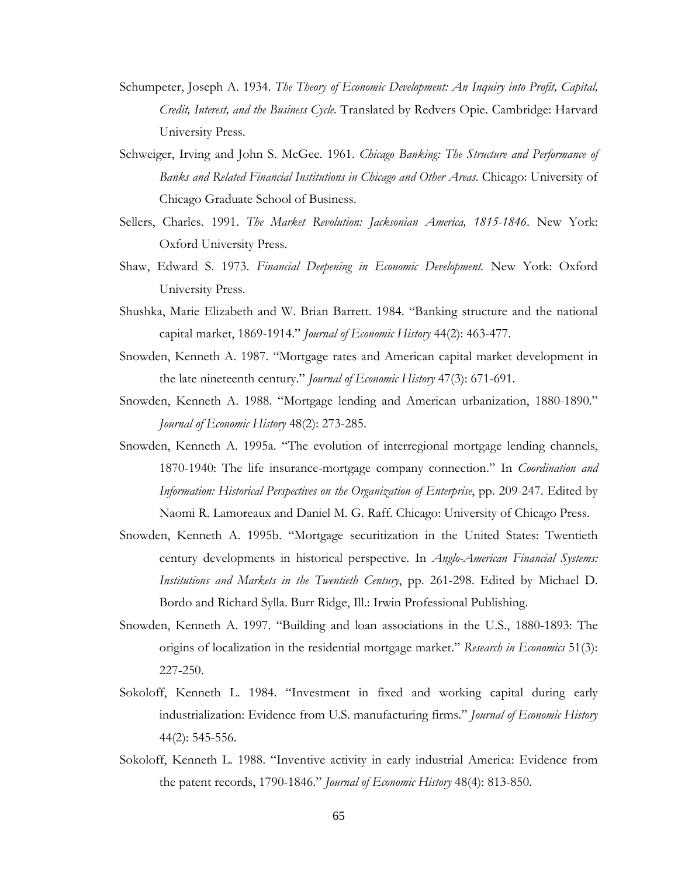- Schumpeter, Joseph A. 1934. *The Theory of Economic Development: An Inquiry into Profit, Capital, Credit, Interest, and the Business Cycle*. Translated by Redvers Opie. Cambridge: Harvard University Press.
- Schweiger, Irving and John S. McGee. 1961. *Chicago Banking: The Structure and Performance of Banks and Related Financial Institutions in Chicago and Other Areas*. Chicago: University of Chicago Graduate School of Business.
- Sellers, Charles. 1991. *The Market Revolution: Jacksonian America, 1815-1846*. New York: Oxford University Press.
- Shaw, Edward S. 1973. *Financial Deepening in Economic Development.* New York: Oxford University Press.
- Shushka, Marie Elizabeth and W. Brian Barrett. 1984. "Banking structure and the national capital market, 1869-1914." *Journal of Economic History* 44(2): 463-477.
- Snowden, Kenneth A. 1987. "Mortgage rates and American capital market development in the late nineteenth century." *Journal of Economic History* 47(3): 671-691.
- Snowden, Kenneth A. 1988. "Mortgage lending and American urbanization, 1880-1890." *Journal of Economic History* 48(2): 273-285.
- Snowden, Kenneth A. 1995a. "The evolution of interregional mortgage lending channels, 1870-1940: The life insurance-mortgage company connection." In *Coordination and Information: Historical Perspectives on the Organization of Enterprise*, pp. 209-247. Edited by Naomi R. Lamoreaux and Daniel M. G. Raff. Chicago: University of Chicago Press.
- Snowden, Kenneth A. 1995b. "Mortgage securitization in the United States: Twentieth century developments in historical perspective. In *Anglo-American Financial Systems: Institutions and Markets in the Twentieth Century*, pp. 261-298. Edited by Michael D. Bordo and Richard Sylla. Burr Ridge, Ill.: Irwin Professional Publishing.
- Snowden, Kenneth A. 1997. "Building and loan associations in the U.S., 1880-1893: The origins of localization in the residential mortgage market." *Research in Economics* 51(3): 227-250.
- Sokoloff, Kenneth L. 1984. "Investment in fixed and working capital during early industrialization: Evidence from U.S. manufacturing firms." *Journal of Economic History* 44(2): 545-556.
- Sokoloff, Kenneth L. 1988. "Inventive activity in early industrial America: Evidence from the patent records, 1790-1846." *Journal of Economic History* 48(4): 813-850.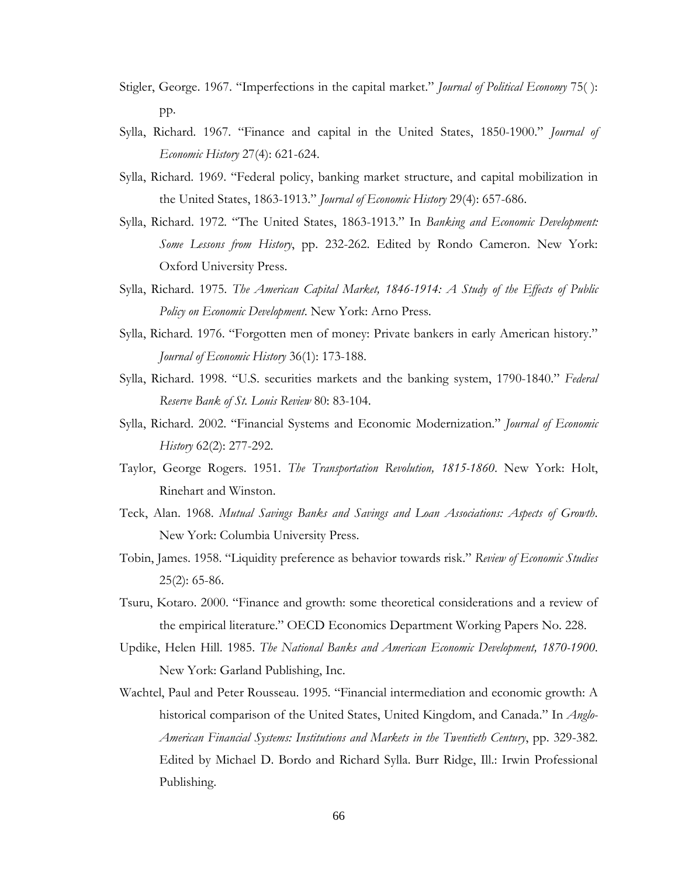- Stigler, George. 1967. "Imperfections in the capital market." *Journal of Political Economy* 75( ): pp.
- Sylla, Richard. 1967. "Finance and capital in the United States, 1850-1900." *Journal of Economic History* 27(4): 621-624.
- Sylla, Richard. 1969. "Federal policy, banking market structure, and capital mobilization in the United States, 1863-1913." *Journal of Economic History* 29(4): 657-686.
- Sylla, Richard. 1972. "The United States, 1863-1913." In *Banking and Economic Development: Some Lessons from History*, pp. 232-262. Edited by Rondo Cameron. New York: Oxford University Press.
- Sylla, Richard. 1975. *The American Capital Market, 1846-1914: A Study of the Effects of Public Policy on Economic Development*. New York: Arno Press.
- Sylla, Richard. 1976. "Forgotten men of money: Private bankers in early American history." *Journal of Economic History* 36(1): 173-188.
- Sylla, Richard. 1998. "U.S. securities markets and the banking system, 1790-1840." *Federal Reserve Bank of St. Louis Review* 80: 83-104.
- Sylla, Richard. 2002. "Financial Systems and Economic Modernization." *Journal of Economic History* 62(2): 277-292.
- Taylor, George Rogers. 1951. *The Transportation Revolution, 1815-1860*. New York: Holt, Rinehart and Winston.
- Teck, Alan. 1968. *Mutual Savings Banks and Savings and Loan Associations: Aspects of Growth*. New York: Columbia University Press.
- Tobin, James. 1958. "Liquidity preference as behavior towards risk." *Review of Economic Studies*  25(2): 65-86.
- Tsuru, Kotaro. 2000. "Finance and growth: some theoretical considerations and a review of the empirical literature." OECD Economics Department Working Papers No. 228.
- Updike, Helen Hill. 1985. *The National Banks and American Economic Development, 1870-1900*. New York: Garland Publishing, Inc.
- Wachtel, Paul and Peter Rousseau. 1995. "Financial intermediation and economic growth: A historical comparison of the United States, United Kingdom, and Canada." In *Anglo-American Financial Systems: Institutions and Markets in the Twentieth Century*, pp. 329-382. Edited by Michael D. Bordo and Richard Sylla. Burr Ridge, Ill.: Irwin Professional Publishing.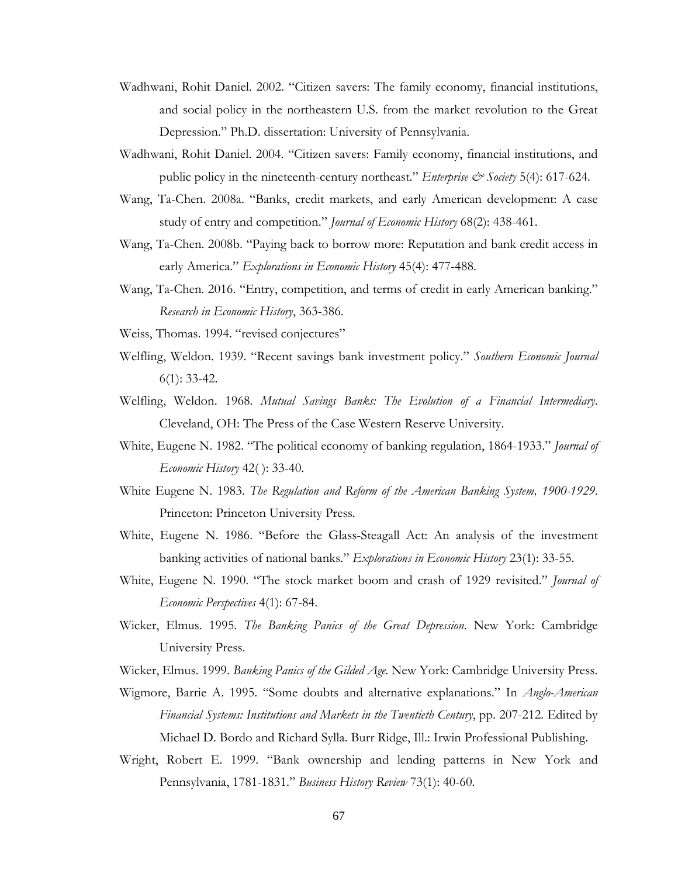- Wadhwani, Rohit Daniel. 2002. "Citizen savers: The family economy, financial institutions, and social policy in the northeastern U.S. from the market revolution to the Great Depression." Ph.D. dissertation: University of Pennsylvania.
- Wadhwani, Rohit Daniel. 2004. "Citizen savers: Family economy, financial institutions, and public policy in the nineteenth-century northeast." *Enterprise & Society* 5(4): 617-624.
- Wang, Ta-Chen. 2008a. "Banks, credit markets, and early American development: A case study of entry and competition." *Journal of Economic History* 68(2): 438-461.
- Wang, Ta-Chen. 2008b. "Paying back to borrow more: Reputation and bank credit access in early America." *Explorations in Economic History* 45(4): 477-488.
- Wang, Ta-Chen. 2016. "Entry, competition, and terms of credit in early American banking." *Research in Economic History*, 363-386.
- Weiss, Thomas. 1994. "revised conjectures"
- Welfling, Weldon. 1939. "Recent savings bank investment policy." *Southern Economic Journal* 6(1): 33-42.
- Welfling, Weldon. 1968. *Mutual Savings Banks: The Evolution of a Financial Intermediary*. Cleveland, OH: The Press of the Case Western Reserve University.
- White, Eugene N. 1982. "The political economy of banking regulation, 1864-1933." *Journal of Economic History* 42( ): 33-40.
- White Eugene N. 1983. *The Regulation and Reform of the American Banking System, 1900-1929*. Princeton: Princeton University Press.
- White, Eugene N. 1986. "Before the Glass-Steagall Act: An analysis of the investment banking activities of national banks." *Explorations in Economic History* 23(1): 33-55.
- White, Eugene N. 1990. "The stock market boom and crash of 1929 revisited." *Journal of Economic Perspectives* 4(1): 67-84.
- Wicker, Elmus. 1995. *The Banking Panics of the Great Depression*. New York: Cambridge University Press.

Wicker, Elmus. 1999. *Banking Panics of the Gilded Age*. New York: Cambridge University Press.

- Wigmore, Barrie A. 1995. "Some doubts and alternative explanations." In *Anglo-American Financial Systems: Institutions and Markets in the Twentieth Century*, pp. 207-212. Edited by Michael D. Bordo and Richard Sylla. Burr Ridge, Ill.: Irwin Professional Publishing.
- Wright, Robert E. 1999. "Bank ownership and lending patterns in New York and Pennsylvania, 1781-1831." *Business History Review* 73(1): 40-60.